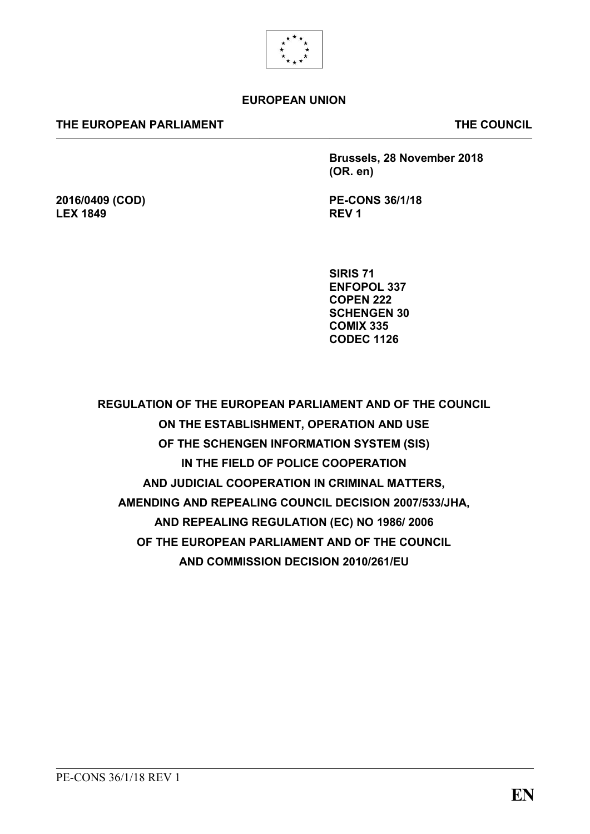

# **EUROPEAN UNION**

### **THE EUROPEAN PARLIAMENT THE COUNCIL**

**2016/0409 (COD)**

**LEX 1849**

**Brussels, 28 November 2018 (OR. en)**

**PE-CONS 36/1/18 REV 1**

**SIRIS 71 ENFOPOL 337 COPEN 222 SCHENGEN 30 COMIX 335 CODEC 1126**

**REGULATION OF THE EUROPEAN PARLIAMENT AND OF THE COUNCIL ON THE ESTABLISHMENT, OPERATION AND USE OF THE SCHENGEN INFORMATION SYSTEM (SIS) IN THE FIELD OF POLICE COOPERATION AND JUDICIAL COOPERATION IN CRIMINAL MATTERS, AMENDING AND REPEALING COUNCIL DECISION 2007/533/JHA, AND REPEALING REGULATION (EC) NO 1986/ 2006 OF THE EUROPEAN PARLIAMENT AND OF THE COUNCIL AND COMMISSION DECISION 2010/261/EU**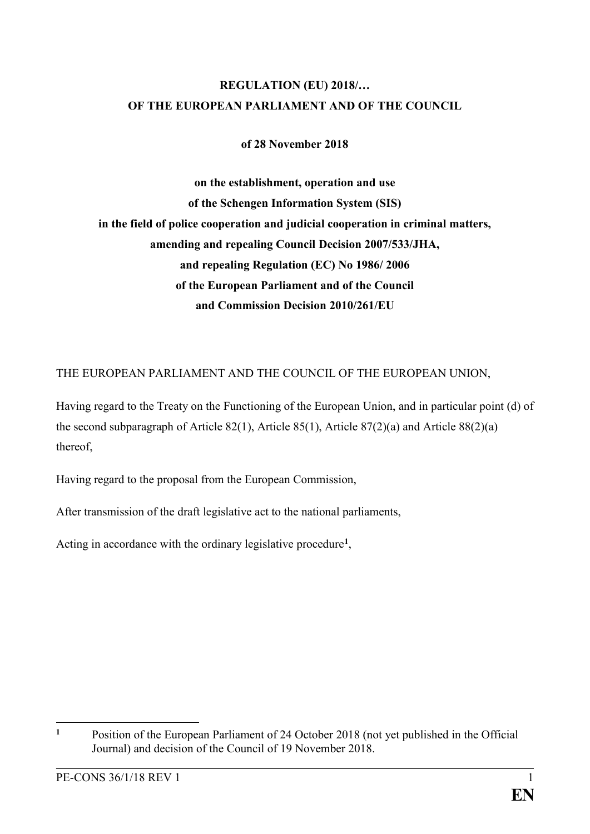# **REGULATION (EU) 2018/… OF THE EUROPEAN PARLIAMENT AND OF THE COUNCIL**

**of 28 November 2018**

**on the establishment, operation and use of the Schengen Information System (SIS) in the field of police cooperation and judicial cooperation in criminal matters, amending and repealing Council Decision 2007/533/JHA, and repealing Regulation (EC) No 1986/ 2006 of the European Parliament and of the Council and Commission Decision 2010/261/EU**

THE EUROPEAN PARLIAMENT AND THE COUNCIL OF THE EUROPEAN UNION,

Having regard to the Treaty on the Functioning of the European Union, and in particular point (d) of the second subparagraph of Article 82(1), Article 85(1), Article 87(2)(a) and Article 88(2)(a) thereof,

Having regard to the proposal from the European Commission,

After transmission of the draft legislative act to the national parliaments,

Acting in accordance with the ordinary legislative procedure**<sup>1</sup>** ,

 $\mathbf{1}$ **<sup>1</sup>** Position of the European Parliament of 24 October 2018 (not yet published in the Official Journal) and decision of the Council of 19 November 2018.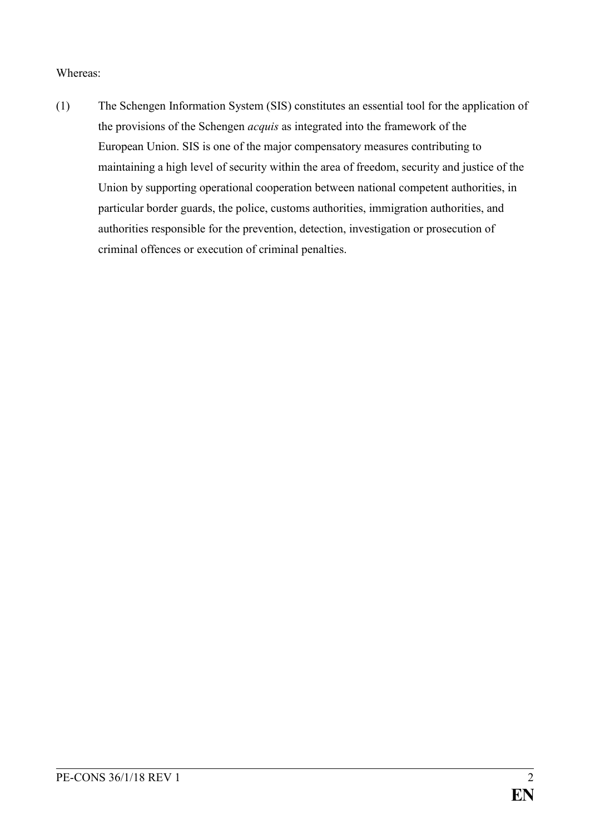# Whereas:

(1) The Schengen Information System (SIS) constitutes an essential tool for the application of the provisions of the Schengen *acquis* as integrated into the framework of the European Union. SIS is one of the major compensatory measures contributing to maintaining a high level of security within the area of freedom, security and justice of the Union by supporting operational cooperation between national competent authorities, in particular border guards, the police, customs authorities, immigration authorities, and authorities responsible for the prevention, detection, investigation or prosecution of criminal offences or execution of criminal penalties.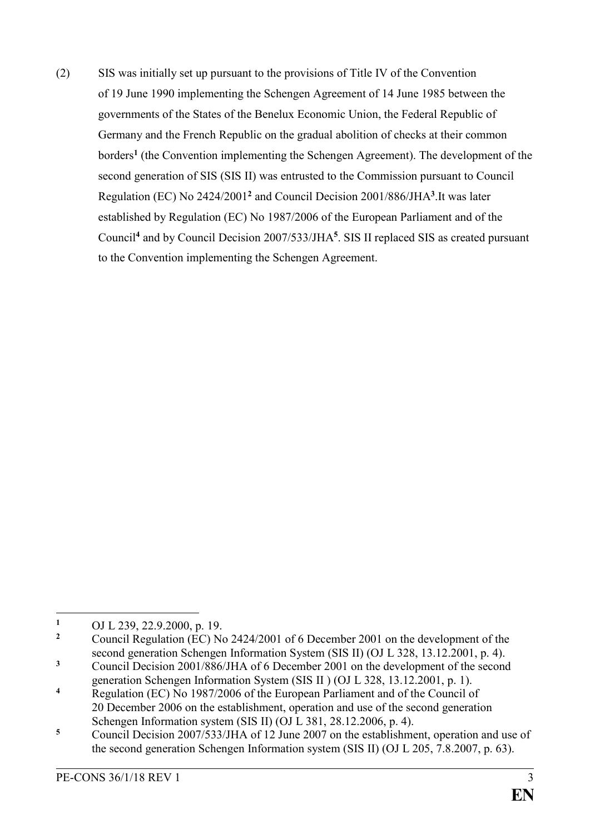(2) SIS was initially set up pursuant to the provisions of Title IV of the Convention of 19 June 1990 implementing the Schengen Agreement of 14 June 1985 between the governments of the States of the Benelux Economic Union, the Federal Republic of Germany and the French Republic on the gradual abolition of checks at their common borders**<sup>1</sup>** (the Convention implementing the Schengen Agreement). The development of the second generation of SIS (SIS II) was entrusted to the Commission pursuant to Council Regulation (EC) No 2424/2001**<sup>2</sup>** and Council Decision 2001/886/JHA**<sup>3</sup>** .It was later established by Regulation (EC) No 1987/2006 of the European Parliament and of the Council**<sup>4</sup>** and by Council Decision 2007/533/JHA**<sup>5</sup>** . SIS II replaced SIS as created pursuant to the Convention implementing the Schengen Agreement.

 $\mathbf{1}$ 1 OJ L 239, 22.9.2000, p. 19.

**<sup>2</sup>** Council Regulation (EC) No 2424/2001 of 6 December 2001 on the development of the second generation Schengen Information System (SIS II) (OJ L 328, 13.12.2001, p. 4).

**<sup>3</sup>** Council Decision 2001/886/JHA of 6 December 2001 on the development of the second generation Schengen Information System (SIS II ) (OJ L 328, 13.12.2001, p. 1).

**<sup>4</sup>** Regulation (EC) No 1987/2006 of the European Parliament and of the Council of 20 December 2006 on the establishment, operation and use of the second generation Schengen Information system (SIS II) (OJ L 381, 28.12.2006, p. 4).

<sup>&</sup>lt;sup>5</sup> Council Decision 2007/533/JHA of 12 June 2007 on the establishment, operation and use of the second generation Schengen Information system (SIS II) (OJ L 205, 7.8.2007, p. 63).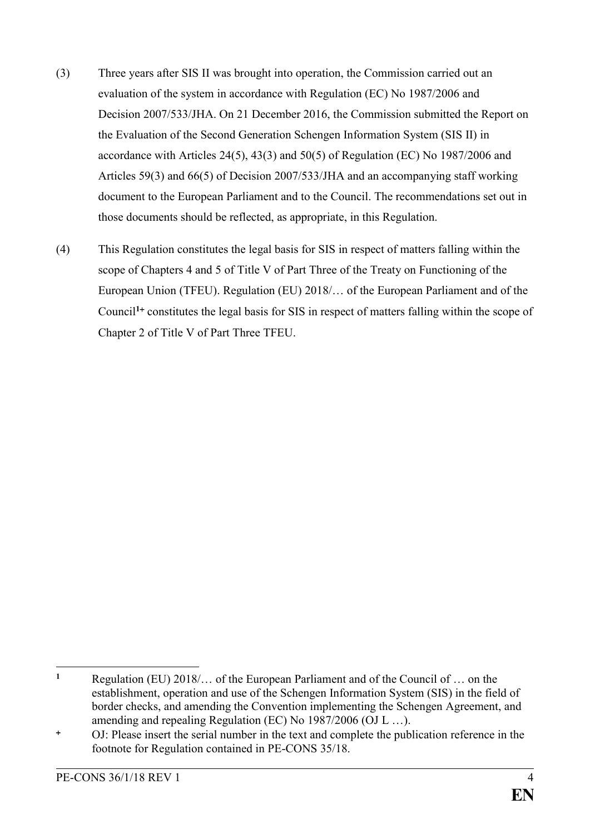- (3) Three years after SIS II was brought into operation, the Commission carried out an evaluation of the system in accordance with Regulation (EC) No 1987/2006 and Decision 2007/533/JHA. On 21 December 2016, the Commission submitted the Report on the Evaluation of the Second Generation Schengen Information System (SIS II) in accordance with Articles 24(5), 43(3) and 50(5) of Regulation (EC) No 1987/2006 and Articles 59(3) and 66(5) of Decision 2007/533/JHA and an accompanying staff working document to the European Parliament and to the Council. The recommendations set out in those documents should be reflected, as appropriate, in this Regulation.
- (4) This Regulation constitutes the legal basis for SIS in respect of matters falling within the scope of Chapters 4 and 5 of Title V of Part Three of the Treaty on Functioning of the European Union (TFEU). Regulation (EU) 2018/… of the European Parliament and of the Council<sup>1+</sup> constitutes the legal basis for SIS in respect of matters falling within the scope of Chapter 2 of Title V of Part Three TFEU.

<u>.</u>

**<sup>1</sup>** Regulation (EU) 2018/… of the European Parliament and of the Council of … on the establishment, operation and use of the Schengen Information System (SIS) in the field of border checks, and amending the Convention implementing the Schengen Agreement, and amending and repealing Regulation (EC) No 1987/2006 (OJ L …).

OJ: Please insert the serial number in the text and complete the publication reference in the footnote for Regulation contained in PE-CONS 35/18.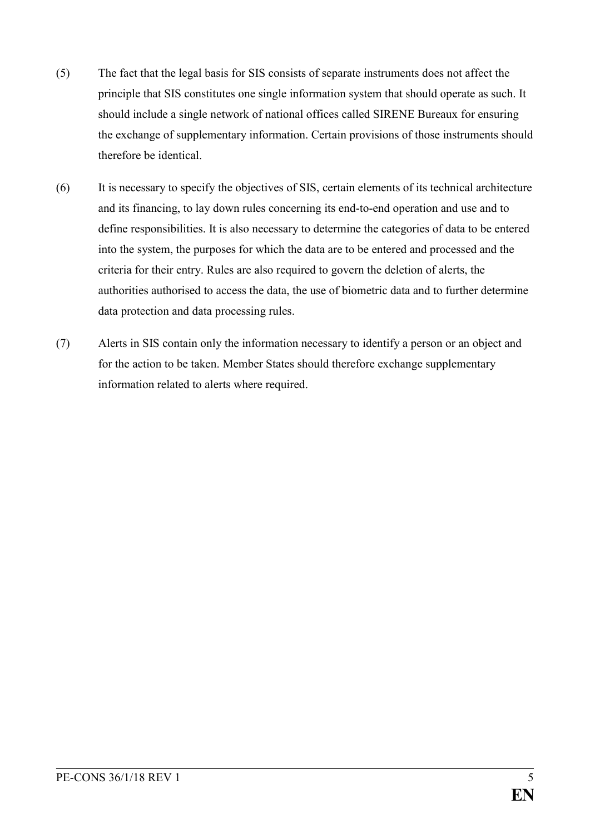- (5) The fact that the legal basis for SIS consists of separate instruments does not affect the principle that SIS constitutes one single information system that should operate as such. It should include a single network of national offices called SIRENE Bureaux for ensuring the exchange of supplementary information. Certain provisions of those instruments should therefore be identical.
- (6) It is necessary to specify the objectives of SIS, certain elements of its technical architecture and its financing, to lay down rules concerning its end-to-end operation and use and to define responsibilities. It is also necessary to determine the categories of data to be entered into the system, the purposes for which the data are to be entered and processed and the criteria for their entry. Rules are also required to govern the deletion of alerts, the authorities authorised to access the data, the use of biometric data and to further determine data protection and data processing rules.
- (7) Alerts in SIS contain only the information necessary to identify a person or an object and for the action to be taken. Member States should therefore exchange supplementary information related to alerts where required.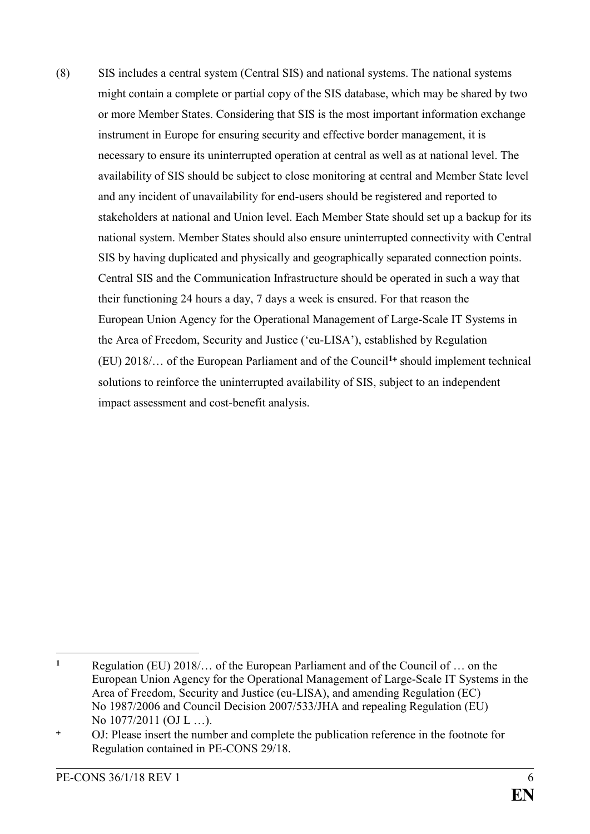(8) SIS includes a central system (Central SIS) and national systems. The national systems might contain a complete or partial copy of the SIS database, which may be shared by two or more Member States. Considering that SIS is the most important information exchange instrument in Europe for ensuring security and effective border management, it is necessary to ensure its uninterrupted operation at central as well as at national level. The availability of SIS should be subject to close monitoring at central and Member State level and any incident of unavailability for end-users should be registered and reported to stakeholders at national and Union level. Each Member State should set up a backup for its national system. Member States should also ensure uninterrupted connectivity with Central SIS by having duplicated and physically and geographically separated connection points. Central SIS and the Communication Infrastructure should be operated in such a way that their functioning 24 hours a day, 7 days a week is ensured. For that reason the European Union Agency for the Operational Management of Large-Scale IT Systems in the Area of Freedom, Security and Justice ('eu-LISA'), established by Regulation (EU) 2018/… of the European Parliament and of the Council**<sup>1</sup>** should implement technical solutions to reinforce the uninterrupted availability of SIS, subject to an independent impact assessment and cost-benefit analysis.

 $\mathbf{1}$ **<sup>1</sup>** Regulation (EU) 2018/… of the European Parliament and of the Council of … on the European Union Agency for the Operational Management of Large-Scale IT Systems in the Area of Freedom, Security and Justice (eu-LISA), and amending Regulation (EC) No 1987/2006 and Council Decision 2007/533/JHA and repealing Regulation (EU) No 1077/2011 (OJ L …).

OJ: Please insert the number and complete the publication reference in the footnote for Regulation contained in PE-CONS 29/18.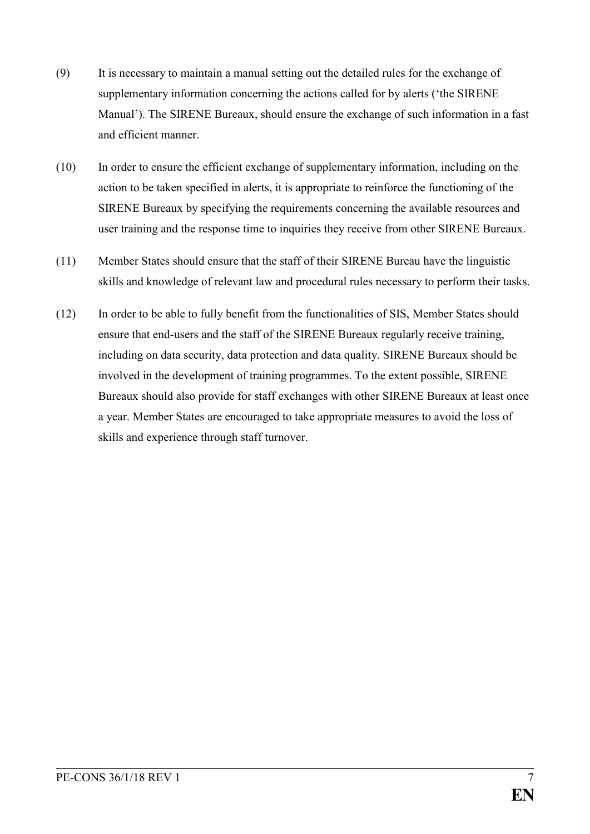- (9) It is necessary to maintain a manual setting out the detailed rules for the exchange of supplementary information concerning the actions called for by alerts ('the SIRENE Manual'). The SIRENE Bureaux, should ensure the exchange of such information in a fast and efficient manner.
- (10) In order to ensure the efficient exchange of supplementary information, including on the action to be taken specified in alerts, it is appropriate to reinforce the functioning of the SIRENE Bureaux by specifying the requirements concerning the available resources and user training and the response time to inquiries they receive from other SIRENE Bureaux.
- (11) Member States should ensure that the staff of their SIRENE Bureau have the linguistic skills and knowledge of relevant law and procedural rules necessary to perform their tasks.
- (12) In order to be able to fully benefit from the functionalities of SIS, Member States should ensure that end-users and the staff of the SIRENE Bureaux regularly receive training, including on data security, data protection and data quality. SIRENE Bureaux should be involved in the development of training programmes. To the extent possible, SIRENE Bureaux should also provide for staff exchanges with other SIRENE Bureaux at least once a year. Member States are encouraged to take appropriate measures to avoid the loss of skills and experience through staff turnover.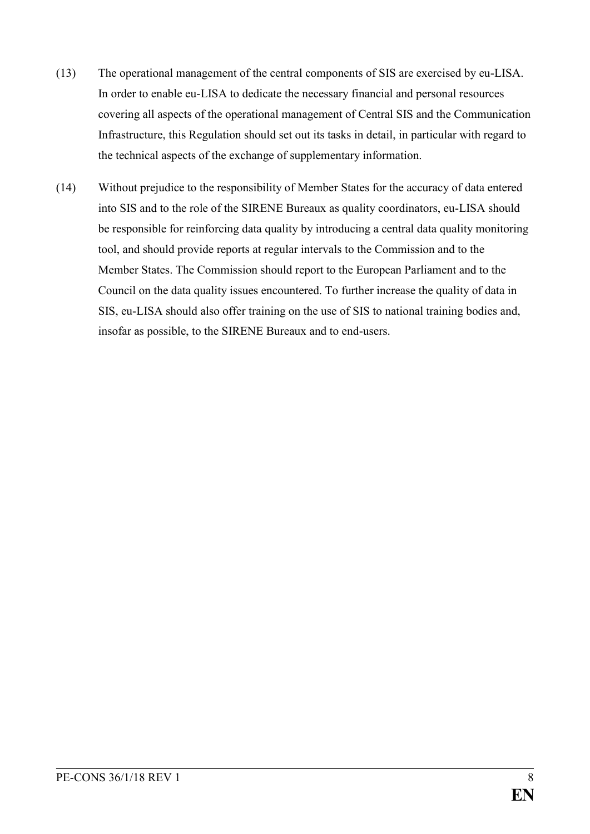- (13) The operational management of the central components of SIS are exercised by eu-LISA. In order to enable eu-LISA to dedicate the necessary financial and personal resources covering all aspects of the operational management of Central SIS and the Communication Infrastructure, this Regulation should set out its tasks in detail, in particular with regard to the technical aspects of the exchange of supplementary information.
- (14) Without prejudice to the responsibility of Member States for the accuracy of data entered into SIS and to the role of the SIRENE Bureaux as quality coordinators, eu-LISA should be responsible for reinforcing data quality by introducing a central data quality monitoring tool, and should provide reports at regular intervals to the Commission and to the Member States. The Commission should report to the European Parliament and to the Council on the data quality issues encountered. To further increase the quality of data in SIS, eu-LISA should also offer training on the use of SIS to national training bodies and, insofar as possible, to the SIRENE Bureaux and to end-users.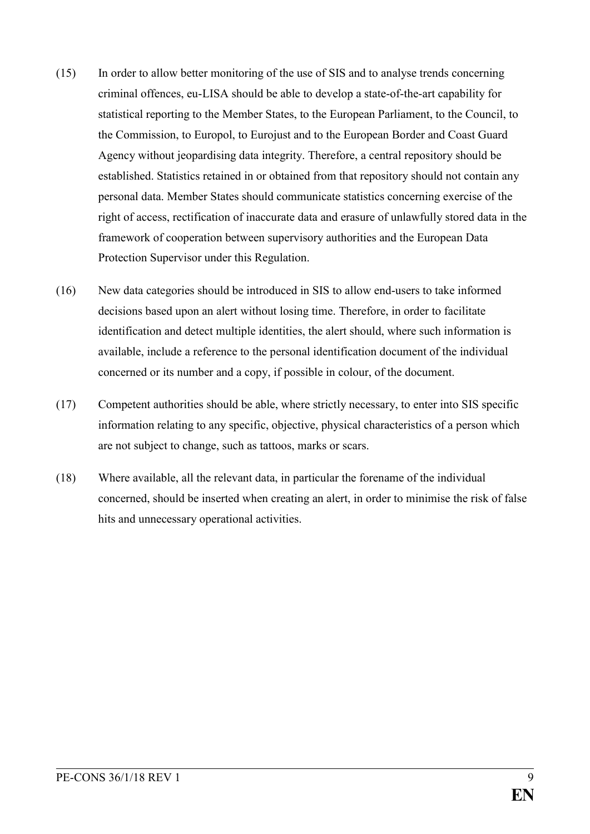- (15) In order to allow better monitoring of the use of SIS and to analyse trends concerning criminal offences, eu-LISA should be able to develop a state-of-the-art capability for statistical reporting to the Member States, to the European Parliament, to the Council, to the Commission, to Europol, to Eurojust and to the European Border and Coast Guard Agency without jeopardising data integrity. Therefore, a central repository should be established. Statistics retained in or obtained from that repository should not contain any personal data. Member States should communicate statistics concerning exercise of the right of access, rectification of inaccurate data and erasure of unlawfully stored data in the framework of cooperation between supervisory authorities and the European Data Protection Supervisor under this Regulation.
- (16) New data categories should be introduced in SIS to allow end-users to take informed decisions based upon an alert without losing time. Therefore, in order to facilitate identification and detect multiple identities, the alert should, where such information is available, include a reference to the personal identification document of the individual concerned or its number and a copy, if possible in colour, of the document.
- (17) Competent authorities should be able, where strictly necessary, to enter into SIS specific information relating to any specific, objective, physical characteristics of a person which are not subject to change, such as tattoos, marks or scars.
- (18) Where available, all the relevant data, in particular the forename of the individual concerned, should be inserted when creating an alert, in order to minimise the risk of false hits and unnecessary operational activities.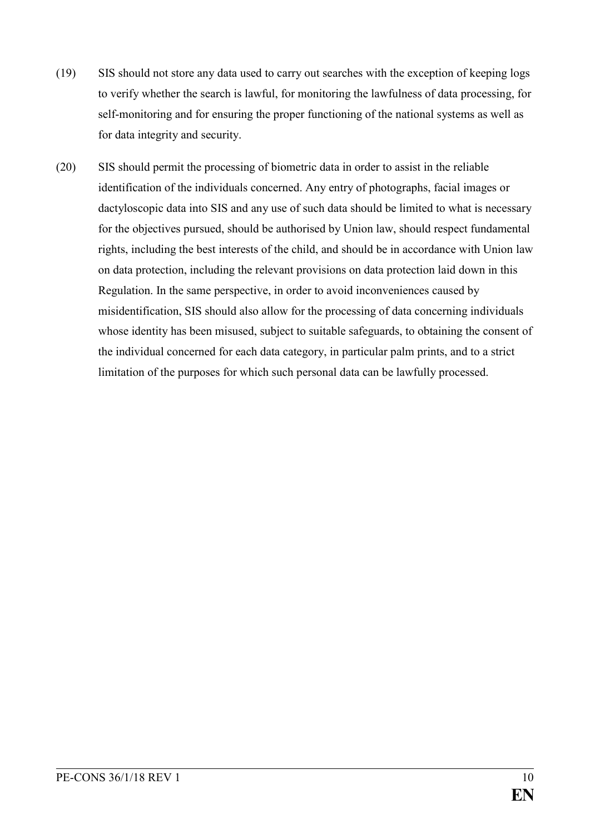- (19) SIS should not store any data used to carry out searches with the exception of keeping logs to verify whether the search is lawful, for monitoring the lawfulness of data processing, for self-monitoring and for ensuring the proper functioning of the national systems as well as for data integrity and security.
- (20) SIS should permit the processing of biometric data in order to assist in the reliable identification of the individuals concerned. Any entry of photographs, facial images or dactyloscopic data into SIS and any use of such data should be limited to what is necessary for the objectives pursued, should be authorised by Union law, should respect fundamental rights, including the best interests of the child, and should be in accordance with Union law on data protection, including the relevant provisions on data protection laid down in this Regulation. In the same perspective, in order to avoid inconveniences caused by misidentification, SIS should also allow for the processing of data concerning individuals whose identity has been misused, subject to suitable safeguards, to obtaining the consent of the individual concerned for each data category, in particular palm prints, and to a strict limitation of the purposes for which such personal data can be lawfully processed.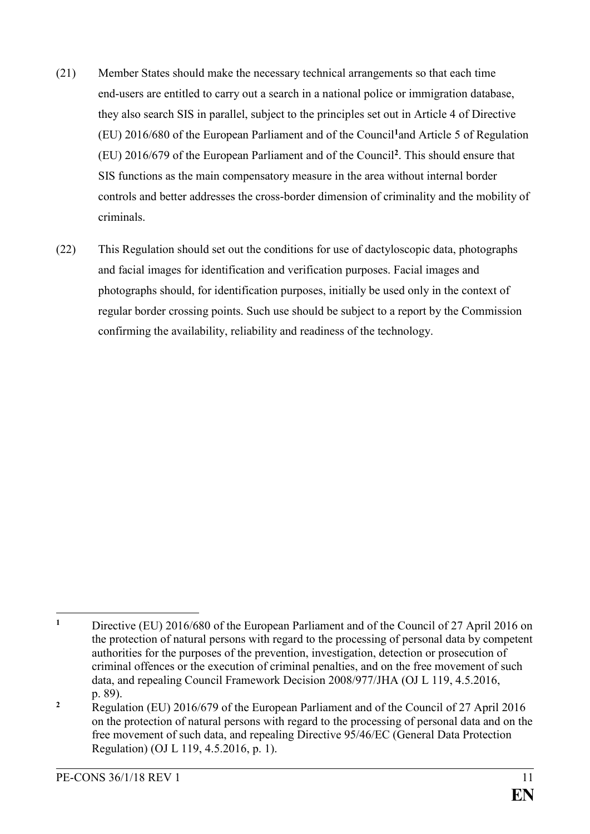- (21) Member States should make the necessary technical arrangements so that each time end-users are entitled to carry out a search in a national police or immigration database, they also search SIS in parallel, subject to the principles set out in Article 4 of Directive (EU) 2016/680 of the European Parliament and of the Council**<sup>1</sup>**and Article 5 of Regulation (EU) 2016/679 of the European Parliament and of the Council**<sup>2</sup>** . This should ensure that SIS functions as the main compensatory measure in the area without internal border controls and better addresses the cross-border dimension of criminality and the mobility of criminals.
- (22) This Regulation should set out the conditions for use of dactyloscopic data, photographs and facial images for identification and verification purposes. Facial images and photographs should, for identification purposes, initially be used only in the context of regular border crossing points. Such use should be subject to a report by the Commission confirming the availability, reliability and readiness of the technology.

 $\mathbf{1}$ **<sup>1</sup>** Directive (EU) 2016/680 of the European Parliament and of the Council of 27 April 2016 on the protection of natural persons with regard to the processing of personal data by competent authorities for the purposes of the prevention, investigation, detection or prosecution of criminal offences or the execution of criminal penalties, and on the free movement of such data, and repealing Council Framework Decision 2008/977/JHA (OJ L 119, 4.5.2016, p. 89).

<sup>&</sup>lt;sup>2</sup> Regulation (EU) 2016/679 of the European Parliament and of the Council of 27 April 2016 on the protection of natural persons with regard to the processing of personal data and on the free movement of such data, and repealing Directive 95/46/EC (General Data Protection Regulation) (OJ L 119, 4.5.2016, p. 1).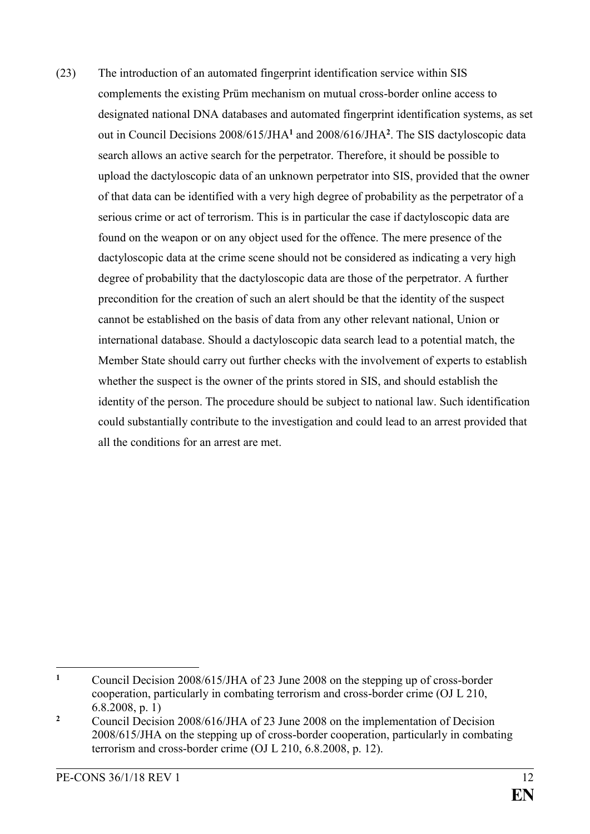(23) The introduction of an automated fingerprint identification service within SIS complements the existing Prüm mechanism on mutual cross-border online access to designated national DNA databases and automated fingerprint identification systems, as set out in Council Decisions 2008/615/JHA**<sup>1</sup>** and 2008/616/JHA**<sup>2</sup>** . The SIS dactyloscopic data search allows an active search for the perpetrator. Therefore, it should be possible to upload the dactyloscopic data of an unknown perpetrator into SIS, provided that the owner of that data can be identified with a very high degree of probability as the perpetrator of a serious crime or act of terrorism. This is in particular the case if dactyloscopic data are found on the weapon or on any object used for the offence. The mere presence of the dactyloscopic data at the crime scene should not be considered as indicating a very high degree of probability that the dactyloscopic data are those of the perpetrator. A further precondition for the creation of such an alert should be that the identity of the suspect cannot be established on the basis of data from any other relevant national, Union or international database. Should a dactyloscopic data search lead to a potential match, the Member State should carry out further checks with the involvement of experts to establish whether the suspect is the owner of the prints stored in SIS, and should establish the identity of the person. The procedure should be subject to national law. Such identification could substantially contribute to the investigation and could lead to an arrest provided that all the conditions for an arrest are met.

<sup>1</sup> **<sup>1</sup>** Council Decision 2008/615/JHA of 23 June 2008 on the stepping up of cross-border cooperation, particularly in combating terrorism and cross-border crime (OJ L 210, 6.8.2008, p. 1)

**<sup>2</sup>** Council Decision 2008/616/JHA of 23 June 2008 on the implementation of Decision 2008/615/JHA on the stepping up of cross-border cooperation, particularly in combating terrorism and cross-border crime (OJ L 210, 6.8.2008, p. 12).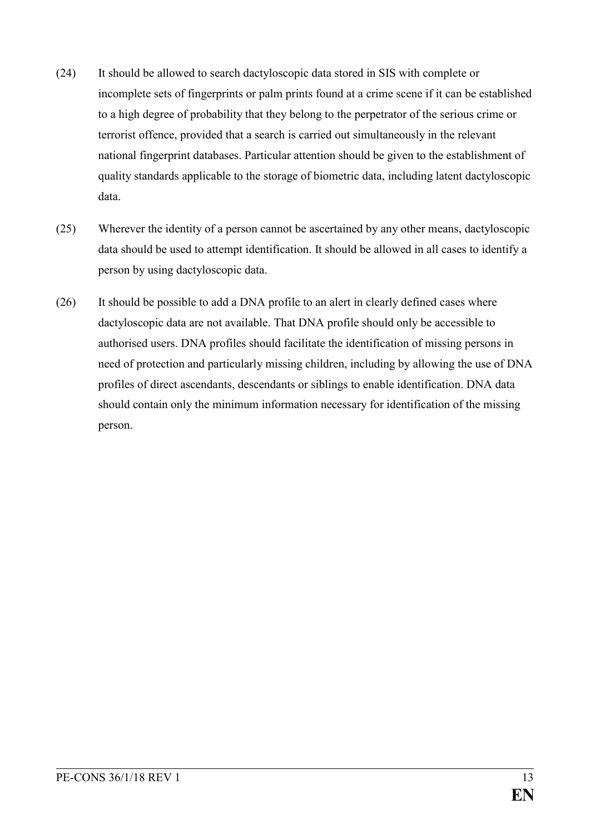- (24) It should be allowed to search dactyloscopic data stored in SIS with complete or incomplete sets of fingerprints or palm prints found at a crime scene if it can be established to a high degree of probability that they belong to the perpetrator of the serious crime or terrorist offence, provided that a search is carried out simultaneously in the relevant national fingerprint databases. Particular attention should be given to the establishment of quality standards applicable to the storage of biometric data, including latent dactyloscopic data.
- (25) Wherever the identity of a person cannot be ascertained by any other means, dactyloscopic data should be used to attempt identification. It should be allowed in all cases to identify a person by using dactyloscopic data.
- (26) It should be possible to add a DNA profile to an alert in clearly defined cases where dactyloscopic data are not available. That DNA profile should only be accessible to authorised users. DNA profiles should facilitate the identification of missing persons in need of protection and particularly missing children, including by allowing the use of DNA profiles of direct ascendants, descendants or siblings to enable identification. DNA data should contain only the minimum information necessary for identification of the missing person.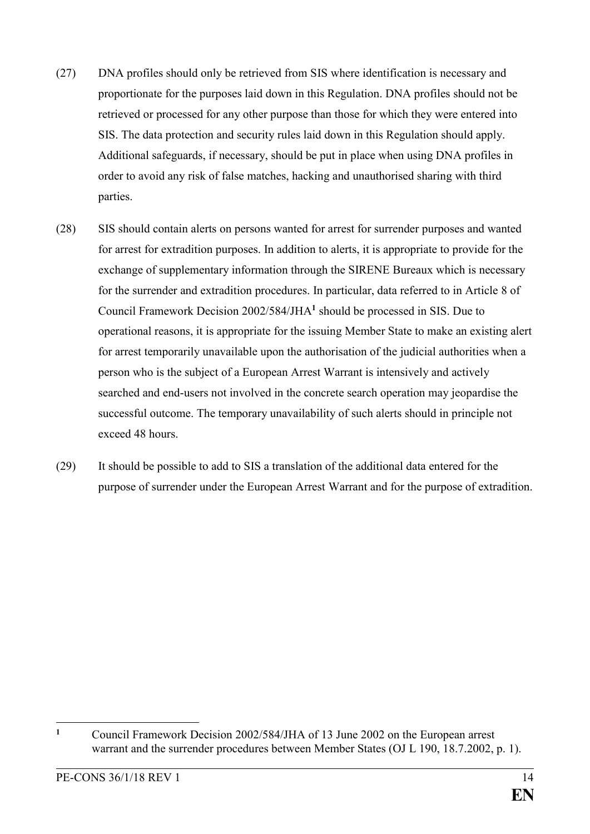- (27) DNA profiles should only be retrieved from SIS where identification is necessary and proportionate for the purposes laid down in this Regulation. DNA profiles should not be retrieved or processed for any other purpose than those for which they were entered into SIS. The data protection and security rules laid down in this Regulation should apply. Additional safeguards, if necessary, should be put in place when using DNA profiles in order to avoid any risk of false matches, hacking and unauthorised sharing with third parties.
- (28) SIS should contain alerts on persons wanted for arrest for surrender purposes and wanted for arrest for extradition purposes. In addition to alerts, it is appropriate to provide for the exchange of supplementary information through the SIRENE Bureaux which is necessary for the surrender and extradition procedures. In particular, data referred to in Article 8 of Council Framework Decision 2002/584/JHA**<sup>1</sup>** should be processed in SIS. Due to operational reasons, it is appropriate for the issuing Member State to make an existing alert for arrest temporarily unavailable upon the authorisation of the judicial authorities when a person who is the subject of a European Arrest Warrant is intensively and actively searched and end-users not involved in the concrete search operation may jeopardise the successful outcome. The temporary unavailability of such alerts should in principle not exceed 48 hours.
- (29) It should be possible to add to SIS a translation of the additional data entered for the purpose of surrender under the European Arrest Warrant and for the purpose of extradition.

 $\mathbf{1}$ **<sup>1</sup>** Council Framework Decision 2002/584/JHA of 13 June 2002 on the European arrest warrant and the surrender procedures between Member States (OJ L 190, 18.7.2002, p. 1).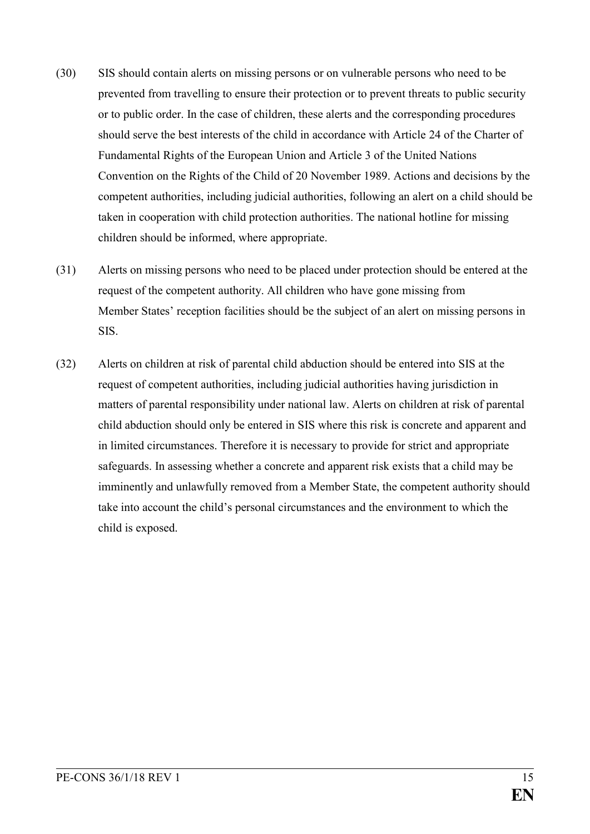- (30) SIS should contain alerts on missing persons or on vulnerable persons who need to be prevented from travelling to ensure their protection or to prevent threats to public security or to public order. In the case of children, these alerts and the corresponding procedures should serve the best interests of the child in accordance with Article 24 of the Charter of Fundamental Rights of the European Union and Article 3 of the United Nations Convention on the Rights of the Child of 20 November 1989. Actions and decisions by the competent authorities, including judicial authorities, following an alert on a child should be taken in cooperation with child protection authorities. The national hotline for missing children should be informed, where appropriate.
- (31) Alerts on missing persons who need to be placed under protection should be entered at the request of the competent authority. All children who have gone missing from Member States' reception facilities should be the subject of an alert on missing persons in SIS.
- (32) Alerts on children at risk of parental child abduction should be entered into SIS at the request of competent authorities, including judicial authorities having jurisdiction in matters of parental responsibility under national law. Alerts on children at risk of parental child abduction should only be entered in SIS where this risk is concrete and apparent and in limited circumstances. Therefore it is necessary to provide for strict and appropriate safeguards. In assessing whether a concrete and apparent risk exists that a child may be imminently and unlawfully removed from a Member State, the competent authority should take into account the child's personal circumstances and the environment to which the child is exposed.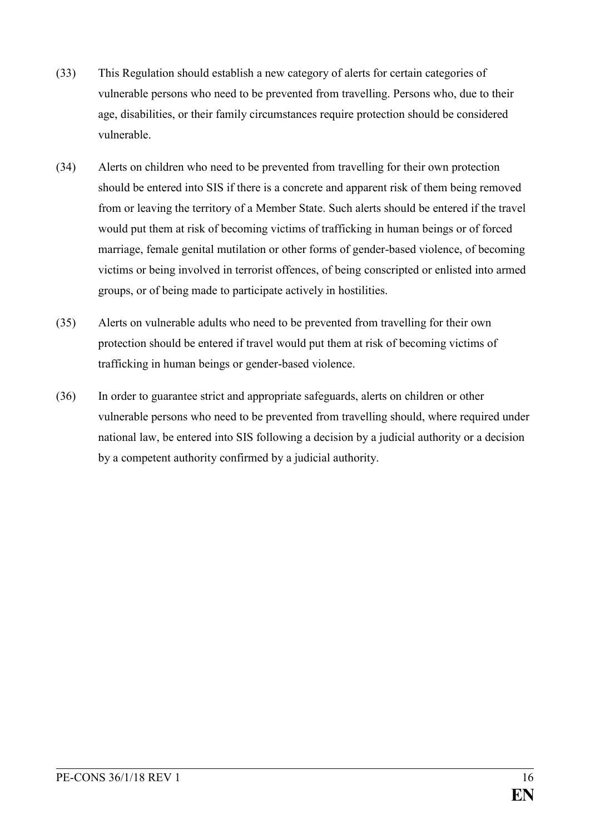- (33) This Regulation should establish a new category of alerts for certain categories of vulnerable persons who need to be prevented from travelling. Persons who, due to their age, disabilities, or their family circumstances require protection should be considered vulnerable.
- (34) Alerts on children who need to be prevented from travelling for their own protection should be entered into SIS if there is a concrete and apparent risk of them being removed from or leaving the territory of a Member State. Such alerts should be entered if the travel would put them at risk of becoming victims of trafficking in human beings or of forced marriage, female genital mutilation or other forms of gender-based violence, of becoming victims or being involved in terrorist offences, of being conscripted or enlisted into armed groups, or of being made to participate actively in hostilities.
- (35) Alerts on vulnerable adults who need to be prevented from travelling for their own protection should be entered if travel would put them at risk of becoming victims of trafficking in human beings or gender-based violence.
- (36) In order to guarantee strict and appropriate safeguards, alerts on children or other vulnerable persons who need to be prevented from travelling should, where required under national law, be entered into SIS following a decision by a judicial authority or a decision by a competent authority confirmed by a judicial authority.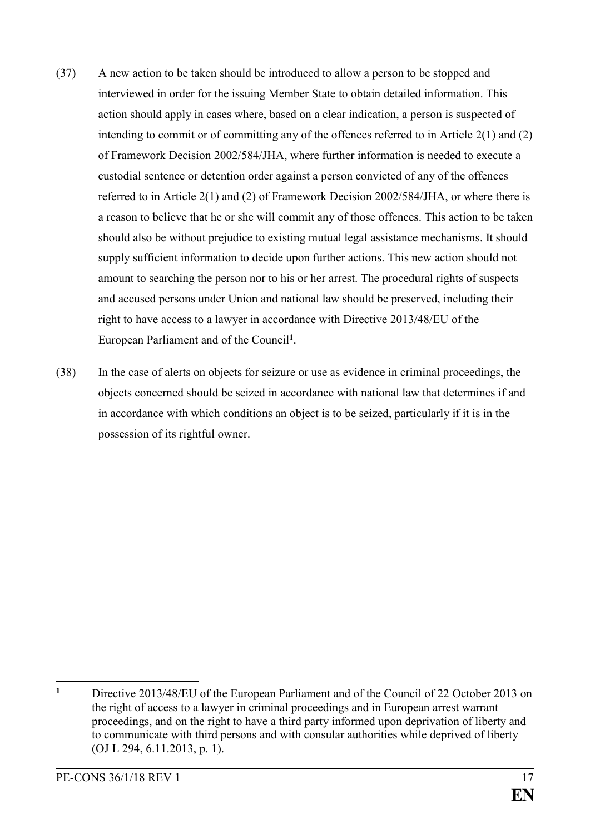- (37) A new action to be taken should be introduced to allow a person to be stopped and interviewed in order for the issuing Member State to obtain detailed information. This action should apply in cases where, based on a clear indication, a person is suspected of intending to commit or of committing any of the offences referred to in Article 2(1) and (2) of Framework Decision 2002/584/JHA, where further information is needed to execute a custodial sentence or detention order against a person convicted of any of the offences referred to in Article 2(1) and (2) of Framework Decision 2002/584/JHA, or where there is a reason to believe that he or she will commit any of those offences. This action to be taken should also be without prejudice to existing mutual legal assistance mechanisms. It should supply sufficient information to decide upon further actions. This new action should not amount to searching the person nor to his or her arrest. The procedural rights of suspects and accused persons under Union and national law should be preserved, including their right to have access to a lawyer in accordance with Directive 2013/48/EU of the European Parliament and of the Council**<sup>1</sup>** .
- (38) In the case of alerts on objects for seizure or use as evidence in criminal proceedings, the objects concerned should be seized in accordance with national law that determines if and in accordance with which conditions an object is to be seized, particularly if it is in the possession of its rightful owner.

 $\mathbf{1}$ **<sup>1</sup>** Directive 2013/48/EU of the European Parliament and of the Council of 22 October 2013 on the right of access to a lawyer in criminal proceedings and in European arrest warrant proceedings, and on the right to have a third party informed upon deprivation of liberty and to communicate with third persons and with consular authorities while deprived of liberty (OJ L 294, 6.11.2013, p. 1).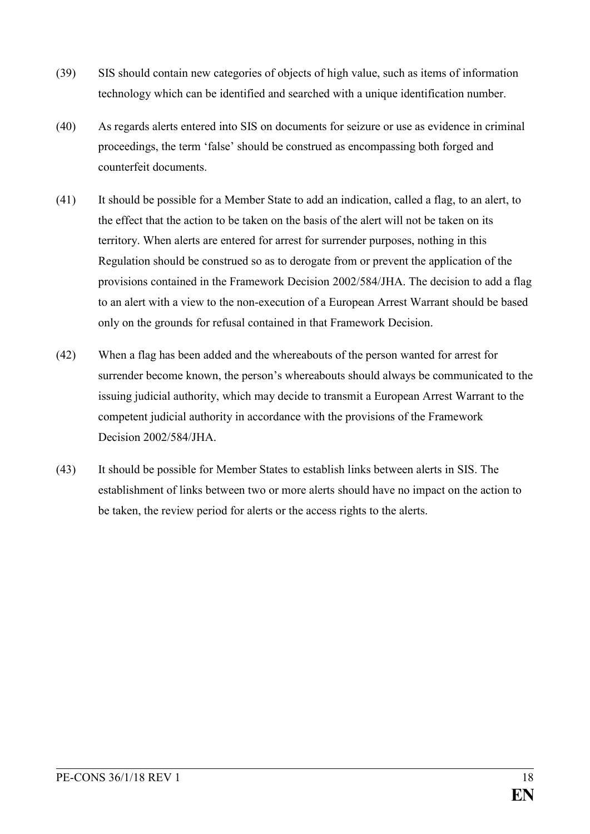- (39) SIS should contain new categories of objects of high value, such as items of information technology which can be identified and searched with a unique identification number.
- (40) As regards alerts entered into SIS on documents for seizure or use as evidence in criminal proceedings, the term 'false' should be construed as encompassing both forged and counterfeit documents.
- (41) It should be possible for a Member State to add an indication, called a flag, to an alert, to the effect that the action to be taken on the basis of the alert will not be taken on its territory. When alerts are entered for arrest for surrender purposes, nothing in this Regulation should be construed so as to derogate from or prevent the application of the provisions contained in the Framework Decision 2002/584/JHA. The decision to add a flag to an alert with a view to the non-execution of a European Arrest Warrant should be based only on the grounds for refusal contained in that Framework Decision.
- (42) When a flag has been added and the whereabouts of the person wanted for arrest for surrender become known, the person's whereabouts should always be communicated to the issuing judicial authority, which may decide to transmit a European Arrest Warrant to the competent judicial authority in accordance with the provisions of the Framework Decision 2002/584/JHA.
- (43) It should be possible for Member States to establish links between alerts in SIS. The establishment of links between two or more alerts should have no impact on the action to be taken, the review period for alerts or the access rights to the alerts.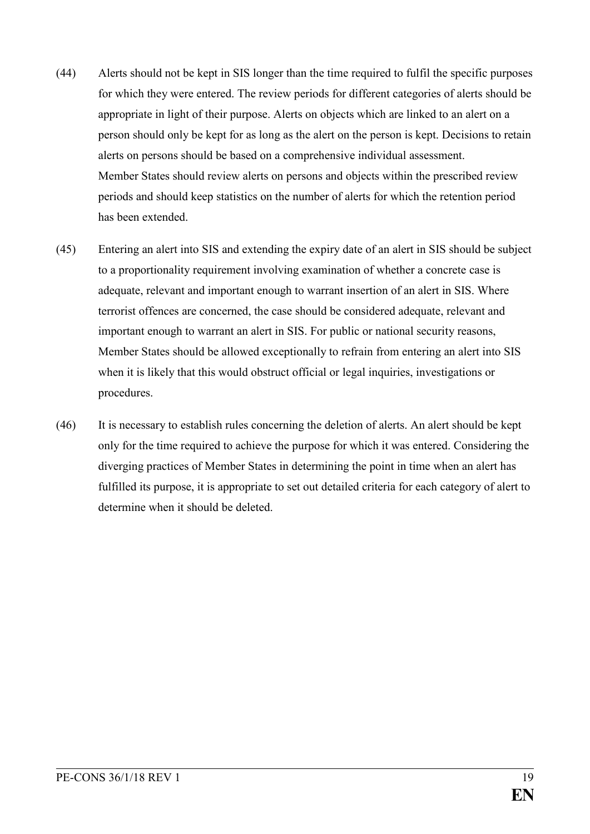- (44) Alerts should not be kept in SIS longer than the time required to fulfil the specific purposes for which they were entered. The review periods for different categories of alerts should be appropriate in light of their purpose. Alerts on objects which are linked to an alert on a person should only be kept for as long as the alert on the person is kept. Decisions to retain alerts on persons should be based on a comprehensive individual assessment. Member States should review alerts on persons and objects within the prescribed review periods and should keep statistics on the number of alerts for which the retention period has been extended.
- (45) Entering an alert into SIS and extending the expiry date of an alert in SIS should be subject to a proportionality requirement involving examination of whether a concrete case is adequate, relevant and important enough to warrant insertion of an alert in SIS. Where terrorist offences are concerned, the case should be considered adequate, relevant and important enough to warrant an alert in SIS. For public or national security reasons, Member States should be allowed exceptionally to refrain from entering an alert into SIS when it is likely that this would obstruct official or legal inquiries, investigations or procedures.
- (46) It is necessary to establish rules concerning the deletion of alerts. An alert should be kept only for the time required to achieve the purpose for which it was entered. Considering the diverging practices of Member States in determining the point in time when an alert has fulfilled its purpose, it is appropriate to set out detailed criteria for each category of alert to determine when it should be deleted.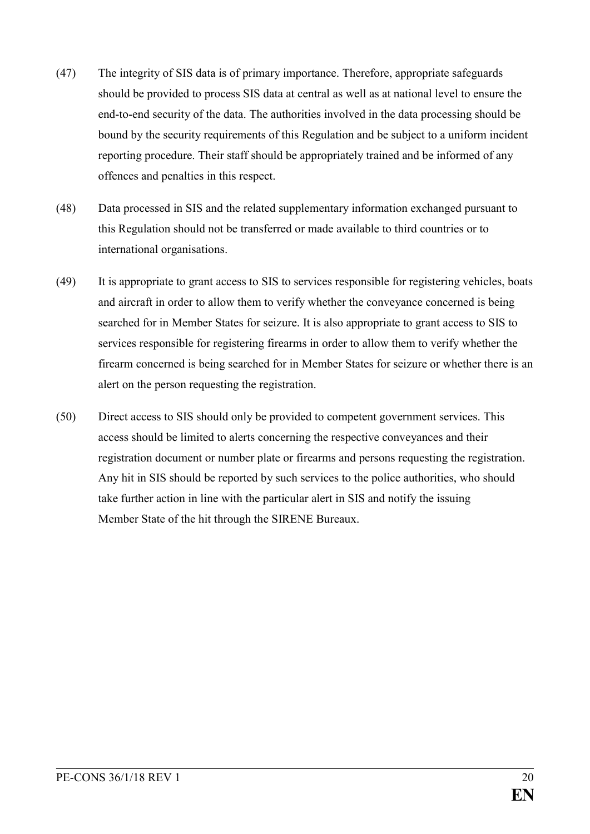- (47) The integrity of SIS data is of primary importance. Therefore, appropriate safeguards should be provided to process SIS data at central as well as at national level to ensure the end-to-end security of the data. The authorities involved in the data processing should be bound by the security requirements of this Regulation and be subject to a uniform incident reporting procedure. Their staff should be appropriately trained and be informed of any offences and penalties in this respect.
- (48) Data processed in SIS and the related supplementary information exchanged pursuant to this Regulation should not be transferred or made available to third countries or to international organisations.
- (49) It is appropriate to grant access to SIS to services responsible for registering vehicles, boats and aircraft in order to allow them to verify whether the conveyance concerned is being searched for in Member States for seizure. It is also appropriate to grant access to SIS to services responsible for registering firearms in order to allow them to verify whether the firearm concerned is being searched for in Member States for seizure or whether there is an alert on the person requesting the registration.
- (50) Direct access to SIS should only be provided to competent government services. This access should be limited to alerts concerning the respective conveyances and their registration document or number plate or firearms and persons requesting the registration. Any hit in SIS should be reported by such services to the police authorities, who should take further action in line with the particular alert in SIS and notify the issuing Member State of the hit through the SIRENE Bureaux.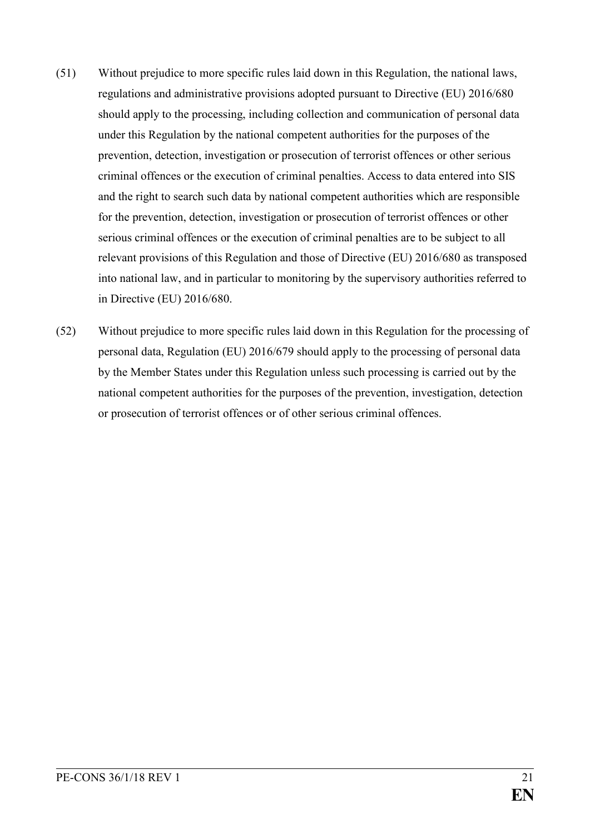- (51) Without prejudice to more specific rules laid down in this Regulation, the national laws, regulations and administrative provisions adopted pursuant to Directive (EU) 2016/680 should apply to the processing, including collection and communication of personal data under this Regulation by the national competent authorities for the purposes of the prevention, detection, investigation or prosecution of terrorist offences or other serious criminal offences or the execution of criminal penalties. Access to data entered into SIS and the right to search such data by national competent authorities which are responsible for the prevention, detection, investigation or prosecution of terrorist offences or other serious criminal offences or the execution of criminal penalties are to be subject to all relevant provisions of this Regulation and those of Directive (EU) 2016/680 as transposed into national law, and in particular to monitoring by the supervisory authorities referred to in Directive (EU) 2016/680.
- (52) Without prejudice to more specific rules laid down in this Regulation for the processing of personal data, Regulation (EU) 2016/679 should apply to the processing of personal data by the Member States under this Regulation unless such processing is carried out by the national competent authorities for the purposes of the prevention, investigation, detection or prosecution of terrorist offences or of other serious criminal offences.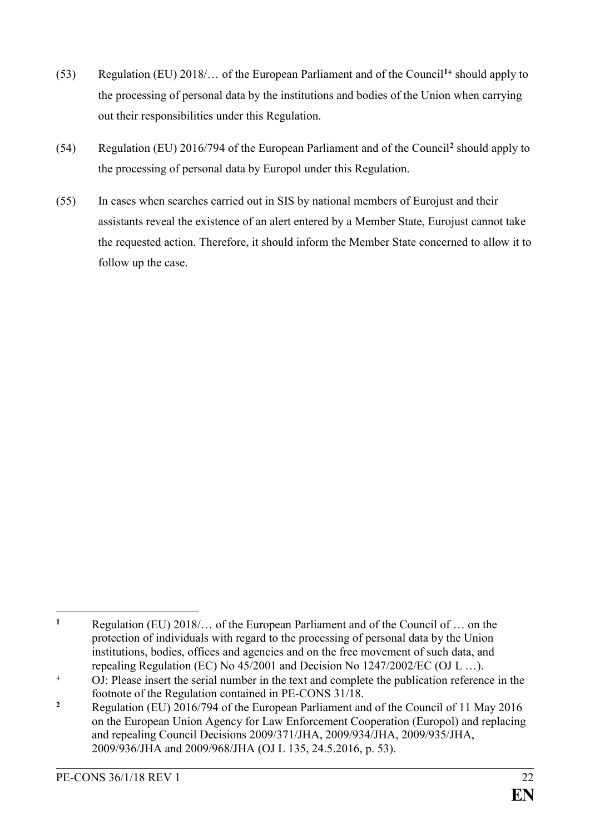- (53) Regulation (EU) 2018/… of the European Parliament and of the Council**<sup>1</sup>** should apply to the processing of personal data by the institutions and bodies of the Union when carrying out their responsibilities under this Regulation.
- (54) Regulation (EU) 2016/794 of the European Parliament and of the Council**<sup>2</sup>** should apply to the processing of personal data by Europol under this Regulation.
- (55) In cases when searches carried out in SIS by national members of Eurojust and their assistants reveal the existence of an alert entered by a Member State, Eurojust cannot take the requested action. Therefore, it should inform the Member State concerned to allow it to follow up the case.

 $\mathbf{1}$ **<sup>1</sup>** Regulation (EU) 2018/… of the European Parliament and of the Council of … on the protection of individuals with regard to the processing of personal data by the Union institutions, bodies, offices and agencies and on the free movement of such data, and repealing Regulation (EC) No 45/2001 and Decision No 1247/2002/EC (OJ L …).

OJ: Please insert the serial number in the text and complete the publication reference in the footnote of the Regulation contained in PE-CONS 31/18.

**<sup>2</sup>** Regulation (EU) 2016/794 of the European Parliament and of the Council of 11 May 2016 on the European Union Agency for Law Enforcement Cooperation (Europol) and replacing and repealing Council Decisions 2009/371/JHA, 2009/934/JHA, 2009/935/JHA, 2009/936/JHA and 2009/968/JHA (OJ L 135, 24.5.2016, p. 53).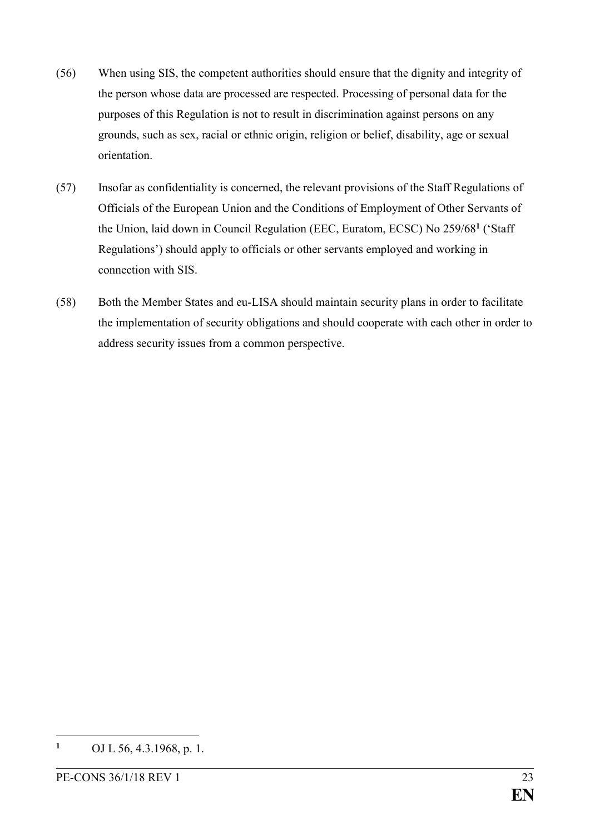- (56) When using SIS, the competent authorities should ensure that the dignity and integrity of the person whose data are processed are respected. Processing of personal data for the purposes of this Regulation is not to result in discrimination against persons on any grounds, such as sex, racial or ethnic origin, religion or belief, disability, age or sexual orientation.
- (57) Insofar as confidentiality is concerned, the relevant provisions of the Staff Regulations of Officials of the European Union and the Conditions of Employment of Other Servants of the Union, laid down in Council Regulation (EEC, Euratom, ECSC) No 259/68**<sup>1</sup>** ('Staff Regulations') should apply to officials or other servants employed and working in connection with SIS.
- (58) Both the Member States and eu-LISA should maintain security plans in order to facilitate the implementation of security obligations and should cooperate with each other in order to address security issues from a common perspective.

 $\mathbf{1}$ **<sup>1</sup>** OJ L 56, 4.3.1968, p. 1.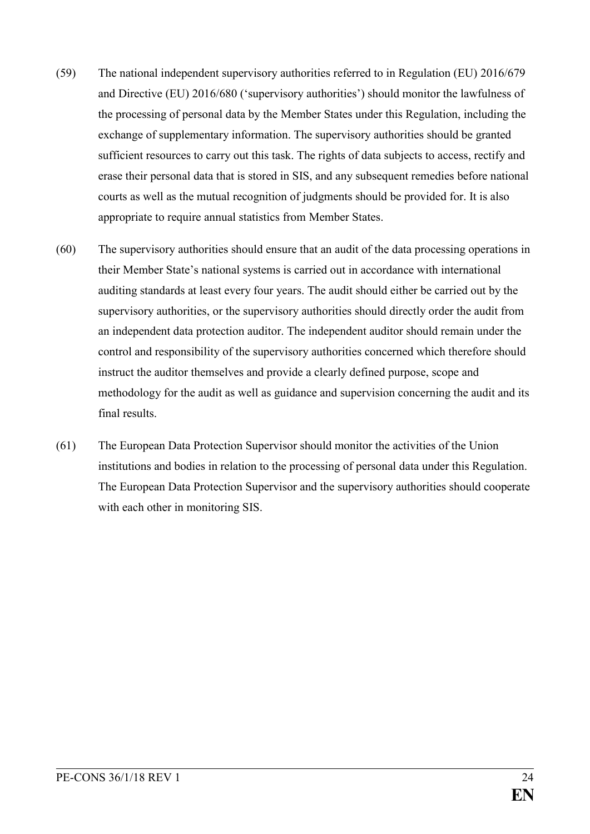- (59) The national independent supervisory authorities referred to in Regulation (EU) 2016/679 and Directive (EU) 2016/680 ('supervisory authorities') should monitor the lawfulness of the processing of personal data by the Member States under this Regulation, including the exchange of supplementary information. The supervisory authorities should be granted sufficient resources to carry out this task. The rights of data subjects to access, rectify and erase their personal data that is stored in SIS, and any subsequent remedies before national courts as well as the mutual recognition of judgments should be provided for. It is also appropriate to require annual statistics from Member States.
- (60) The supervisory authorities should ensure that an audit of the data processing operations in their Member State's national systems is carried out in accordance with international auditing standards at least every four years. The audit should either be carried out by the supervisory authorities, or the supervisory authorities should directly order the audit from an independent data protection auditor. The independent auditor should remain under the control and responsibility of the supervisory authorities concerned which therefore should instruct the auditor themselves and provide a clearly defined purpose, scope and methodology for the audit as well as guidance and supervision concerning the audit and its final results.
- (61) The European Data Protection Supervisor should monitor the activities of the Union institutions and bodies in relation to the processing of personal data under this Regulation. The European Data Protection Supervisor and the supervisory authorities should cooperate with each other in monitoring SIS.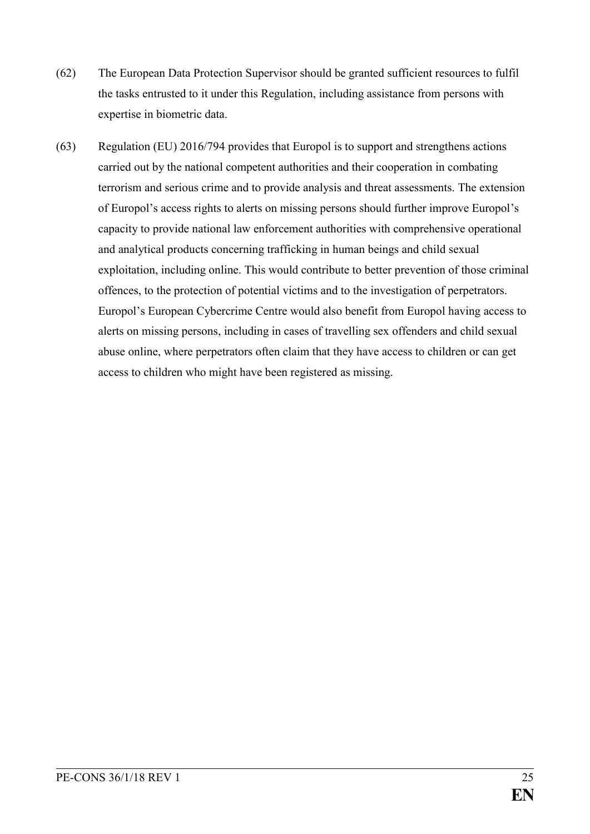- (62) The European Data Protection Supervisor should be granted sufficient resources to fulfil the tasks entrusted to it under this Regulation, including assistance from persons with expertise in biometric data.
- (63) Regulation (EU) 2016/794 provides that Europol is to support and strengthens actions carried out by the national competent authorities and their cooperation in combating terrorism and serious crime and to provide analysis and threat assessments. The extension of Europol's access rights to alerts on missing persons should further improve Europol's capacity to provide national law enforcement authorities with comprehensive operational and analytical products concerning trafficking in human beings and child sexual exploitation, including online. This would contribute to better prevention of those criminal offences, to the protection of potential victims and to the investigation of perpetrators. Europol's European Cybercrime Centre would also benefit from Europol having access to alerts on missing persons, including in cases of travelling sex offenders and child sexual abuse online, where perpetrators often claim that they have access to children or can get access to children who might have been registered as missing.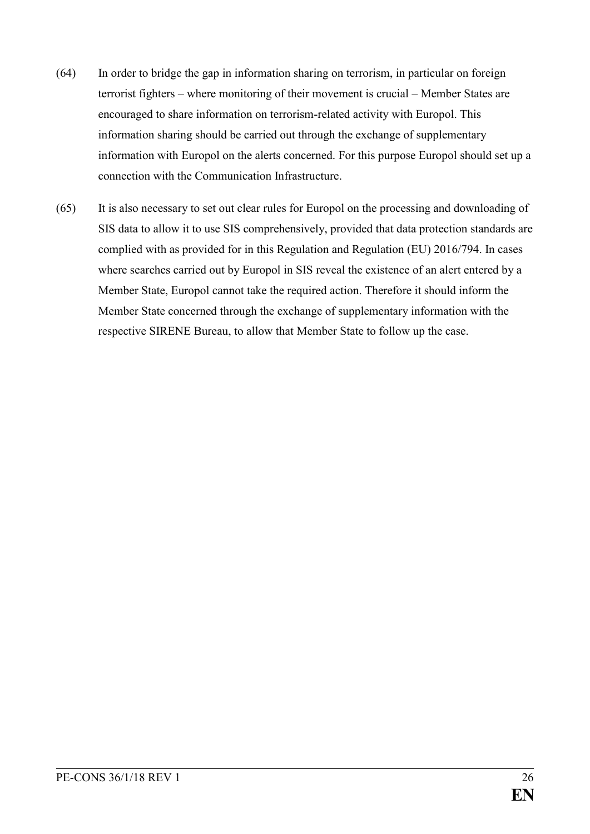- (64) In order to bridge the gap in information sharing on terrorism, in particular on foreign terrorist fighters – where monitoring of their movement is crucial – Member States are encouraged to share information on terrorism-related activity with Europol. This information sharing should be carried out through the exchange of supplementary information with Europol on the alerts concerned. For this purpose Europol should set up a connection with the Communication Infrastructure.
- (65) It is also necessary to set out clear rules for Europol on the processing and downloading of SIS data to allow it to use SIS comprehensively, provided that data protection standards are complied with as provided for in this Regulation and Regulation (EU) 2016/794. In cases where searches carried out by Europol in SIS reveal the existence of an alert entered by a Member State, Europol cannot take the required action. Therefore it should inform the Member State concerned through the exchange of supplementary information with the respective SIRENE Bureau, to allow that Member State to follow up the case.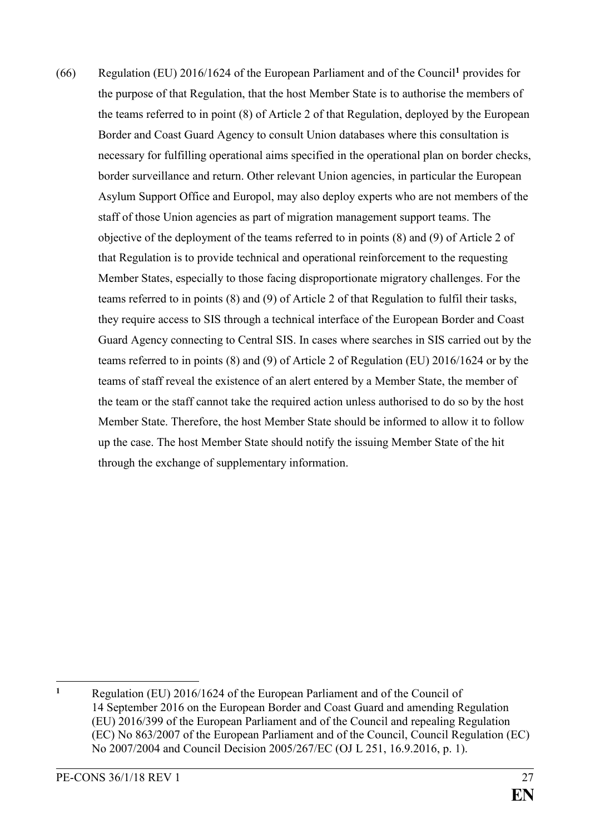(66) Regulation (EU) 2016/1624 of the European Parliament and of the Council**<sup>1</sup>** provides for the purpose of that Regulation, that the host Member State is to authorise the members of the teams referred to in point (8) of Article 2 of that Regulation, deployed by the European Border and Coast Guard Agency to consult Union databases where this consultation is necessary for fulfilling operational aims specified in the operational plan on border checks, border surveillance and return. Other relevant Union agencies, in particular the European Asylum Support Office and Europol, may also deploy experts who are not members of the staff of those Union agencies as part of migration management support teams. The objective of the deployment of the teams referred to in points (8) and (9) of Article 2 of that Regulation is to provide technical and operational reinforcement to the requesting Member States, especially to those facing disproportionate migratory challenges. For the teams referred to in points (8) and (9) of Article 2 of that Regulation to fulfil their tasks, they require access to SIS through a technical interface of the European Border and Coast Guard Agency connecting to Central SIS. In cases where searches in SIS carried out by the teams referred to in points (8) and (9) of Article 2 of Regulation (EU) 2016/1624 or by the teams of staff reveal the existence of an alert entered by a Member State, the member of the team or the staff cannot take the required action unless authorised to do so by the host Member State. Therefore, the host Member State should be informed to allow it to follow up the case. The host Member State should notify the issuing Member State of the hit through the exchange of supplementary information.

 $\mathbf{1}$ **<sup>1</sup>** Regulation (EU) 2016/1624 of the European Parliament and of the Council of 14 September 2016 on the European Border and Coast Guard and amending Regulation (EU) 2016/399 of the European Parliament and of the Council and repealing Regulation (EC) No 863/2007 of the European Parliament and of the Council, Council Regulation (EC) No 2007/2004 and Council Decision 2005/267/EC (OJ L 251, 16.9.2016, p. 1).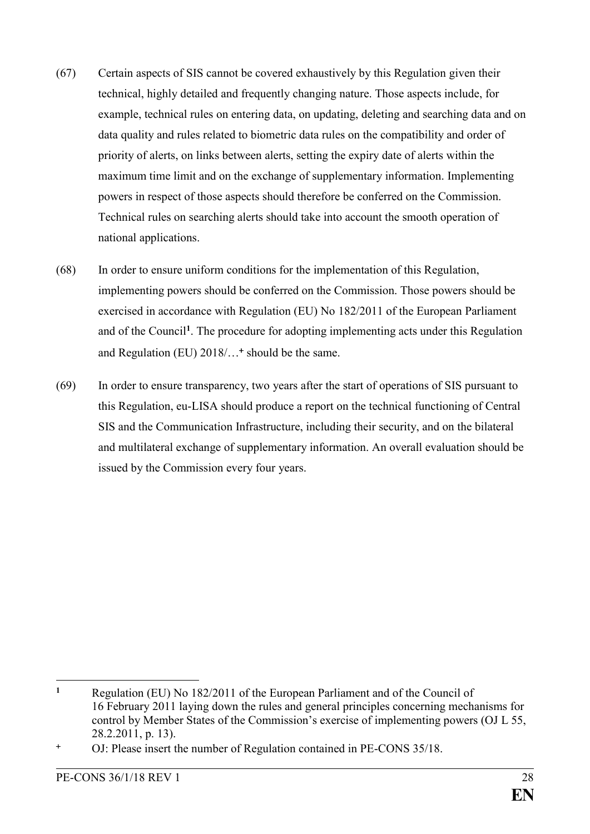- (67) Certain aspects of SIS cannot be covered exhaustively by this Regulation given their technical, highly detailed and frequently changing nature. Those aspects include, for example, technical rules on entering data, on updating, deleting and searching data and on data quality and rules related to biometric data rules on the compatibility and order of priority of alerts, on links between alerts, setting the expiry date of alerts within the maximum time limit and on the exchange of supplementary information. Implementing powers in respect of those aspects should therefore be conferred on the Commission. Technical rules on searching alerts should take into account the smooth operation of national applications.
- (68) In order to ensure uniform conditions for the implementation of this Regulation, implementing powers should be conferred on the Commission. Those powers should be exercised in accordance with Regulation (EU) No 182/2011 of the European Parliament and of the Council**<sup>1</sup>** . The procedure for adopting implementing acts under this Regulation and Regulation (EU) 2018/… should be the same.
- (69) In order to ensure transparency, two years after the start of operations of SIS pursuant to this Regulation, eu-LISA should produce a report on the technical functioning of Central SIS and the Communication Infrastructure, including their security, and on the bilateral and multilateral exchange of supplementary information. An overall evaluation should be issued by the Commission every four years.

 $\mathbf{1}$ **<sup>1</sup>** Regulation (EU) No 182/2011 of the European Parliament and of the Council of 16 February 2011 laying down the rules and general principles concerning mechanisms for control by Member States of the Commission's exercise of implementing powers (OJ L 55, 28.2.2011, p. 13).

OJ: Please insert the number of Regulation contained in PE-CONS 35/18.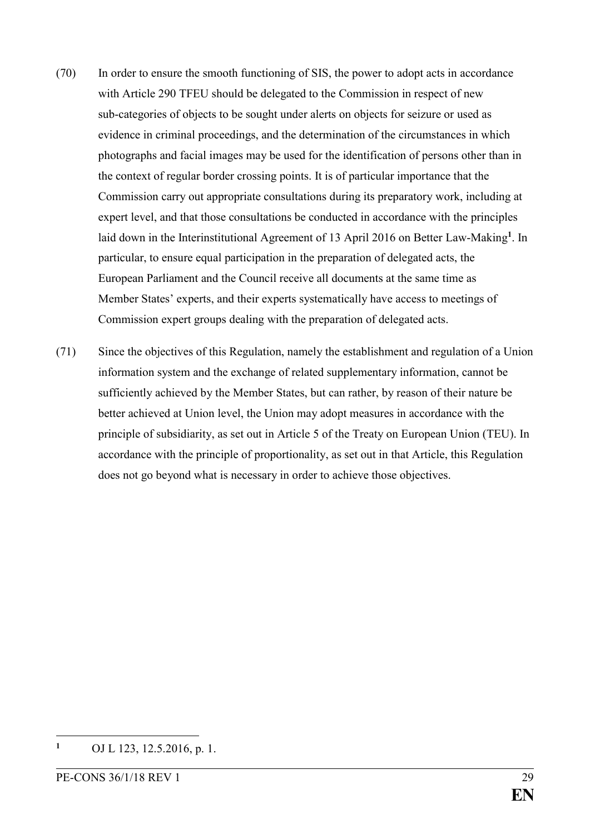- (70) In order to ensure the smooth functioning of SIS, the power to adopt acts in accordance with Article 290 TFEU should be delegated to the Commission in respect of new sub-categories of objects to be sought under alerts on objects for seizure or used as evidence in criminal proceedings, and the determination of the circumstances in which photographs and facial images may be used for the identification of persons other than in the context of regular border crossing points. It is of particular importance that the Commission carry out appropriate consultations during its preparatory work, including at expert level, and that those consultations be conducted in accordance with the principles laid down in the Interinstitutional Agreement of 13 April 2016 on Better Law-Making**<sup>1</sup>** . In particular, to ensure equal participation in the preparation of delegated acts, the European Parliament and the Council receive all documents at the same time as Member States' experts, and their experts systematically have access to meetings of Commission expert groups dealing with the preparation of delegated acts.
- (71) Since the objectives of this Regulation, namely the establishment and regulation of a Union information system and the exchange of related supplementary information, cannot be sufficiently achieved by the Member States, but can rather, by reason of their nature be better achieved at Union level, the Union may adopt measures in accordance with the principle of subsidiarity, as set out in Article 5 of the Treaty on European Union (TEU). In accordance with the principle of proportionality, as set out in that Article, this Regulation does not go beyond what is necessary in order to achieve those objectives.

1

**<sup>1</sup>** OJ L 123, 12.5.2016, p. 1.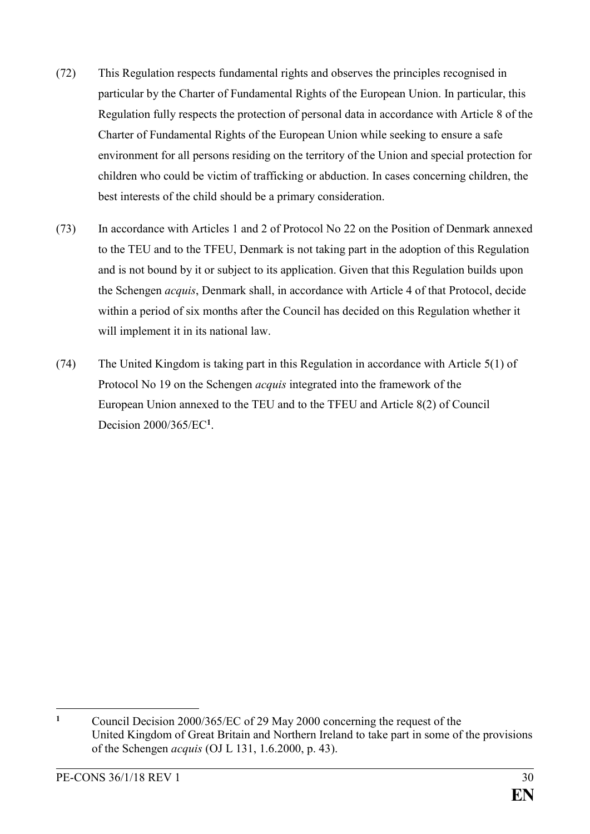- (72) This Regulation respects fundamental rights and observes the principles recognised in particular by the Charter of Fundamental Rights of the European Union. In particular, this Regulation fully respects the protection of personal data in accordance with Article 8 of the Charter of Fundamental Rights of the European Union while seeking to ensure a safe environment for all persons residing on the territory of the Union and special protection for children who could be victim of trafficking or abduction. In cases concerning children, the best interests of the child should be a primary consideration.
- (73) In accordance with Articles 1 and 2 of Protocol No 22 on the Position of Denmark annexed to the TEU and to the TFEU, Denmark is not taking part in the adoption of this Regulation and is not bound by it or subject to its application. Given that this Regulation builds upon the Schengen *acquis*, Denmark shall, in accordance with Article 4 of that Protocol, decide within a period of six months after the Council has decided on this Regulation whether it will implement it in its national law.
- (74) The United Kingdom is taking part in this Regulation in accordance with Article 5(1) of Protocol No 19 on the Schengen *acquis* integrated into the framework of the European Union annexed to the TEU and to the TFEU and Article 8(2) of Council Decision 2000/365/EC**<sup>1</sup>** .

<sup>&</sup>lt;u>.</u> **<sup>1</sup>** Council Decision 2000/365/EC of 29 May 2000 concerning the request of the United Kingdom of Great Britain and Northern Ireland to take part in some of the provisions of the Schengen *acquis* (OJ L 131, 1.6.2000, p. 43).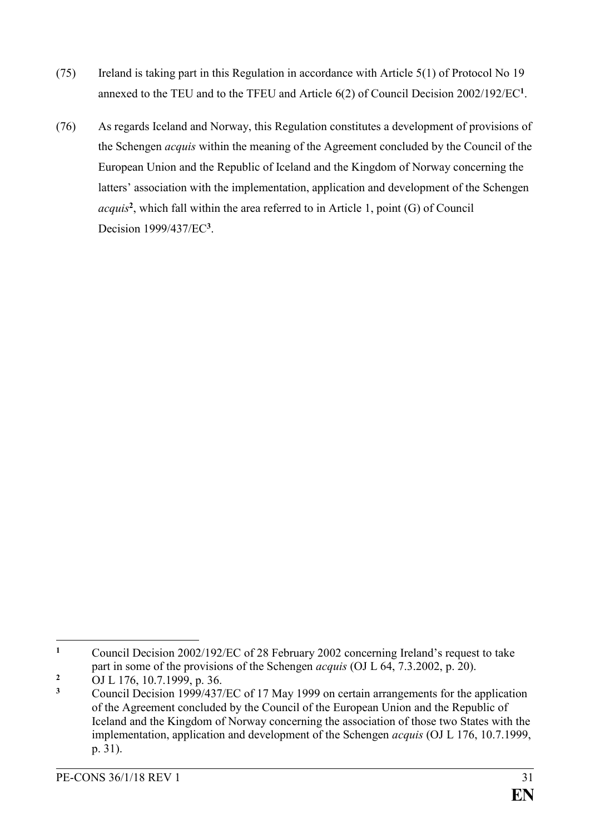- (75) Ireland is taking part in this Regulation in accordance with Article 5(1) of Protocol No 19 annexed to the TEU and to the TFEU and Article 6(2) of Council Decision 2002/192/EC**<sup>1</sup>** .
- (76) As regards Iceland and Norway, this Regulation constitutes a development of provisions of the Schengen *acquis* within the meaning of the Agreement concluded by the Council of the European Union and the Republic of Iceland and the Kingdom of Norway concerning the latters' association with the implementation, application and development of the Schengen *acquis***<sup>2</sup>** , which fall within the area referred to in Article 1, point (G) of Council Decision 1999/437/EC**<sup>3</sup>** .

 $\mathbf{1}$ **<sup>1</sup>** Council Decision 2002/192/EC of 28 February 2002 concerning Ireland's request to take part in some of the provisions of the Schengen *acquis* (OJ L 64, 7.3.2002, p. 20).

<sup>&</sup>lt;sup>2</sup> OJ L 176, 10.7.1999, p. 36.

**<sup>3</sup>** Council Decision 1999/437/EC of 17 May 1999 on certain arrangements for the application of the Agreement concluded by the Council of the European Union and the Republic of Iceland and the Kingdom of Norway concerning the association of those two States with the implementation, application and development of the Schengen *acquis* (OJ L 176, 10.7.1999, p. 31).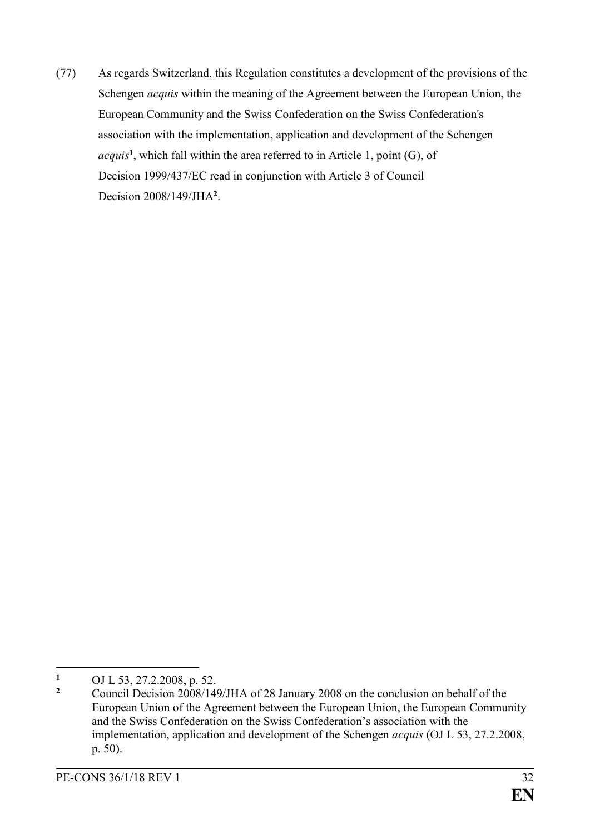(77) As regards Switzerland, this Regulation constitutes a development of the provisions of the Schengen *acquis* within the meaning of the Agreement between the European Union, the European Community and the Swiss Confederation on the Swiss Confederation's association with the implementation, application and development of the Schengen *acquis***<sup>1</sup>** , which fall within the area referred to in Article 1, point (G), of Decision 1999/437/EC read in conjunction with Article 3 of Council Decision 2008/149/JHA**<sup>2</sup>** .

 $\mathbf{1}$ **<sup>1</sup>** OJ L 53, 27.2.2008, p. 52.

**<sup>2</sup>** Council Decision 2008/149/JHA of 28 January 2008 on the conclusion on behalf of the European Union of the Agreement between the European Union, the European Community and the Swiss Confederation on the Swiss Confederation's association with the implementation, application and development of the Schengen *acquis* (OJ L 53, 27.2.2008, p. 50).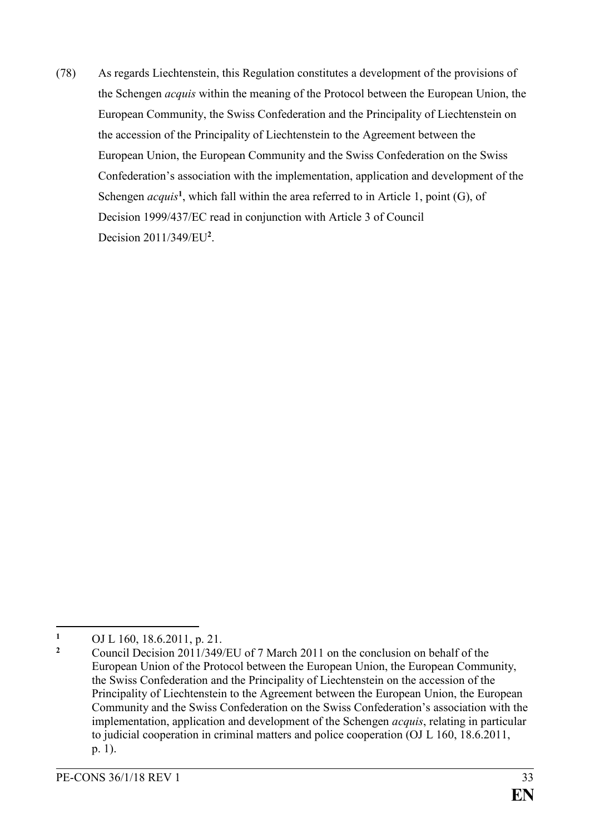(78) As regards Liechtenstein, this Regulation constitutes a development of the provisions of the Schengen *acquis* within the meaning of the Protocol between the European Union, the European Community, the Swiss Confederation and the Principality of Liechtenstein on the accession of the Principality of Liechtenstein to the Agreement between the European Union, the European Community and the Swiss Confederation on the Swiss Confederation's association with the implementation, application and development of the Schengen *acquis*<sup>1</sup>, which fall within the area referred to in Article 1, point (G), of Decision 1999/437/EC read in conjunction with Article 3 of Council Decision 2011/349/EU**<sup>2</sup>** .

<sup>&</sup>lt;u>.</u> <sup>1</sup> OJ L 160, 18.6.2011, p. 21.

**<sup>2</sup>** Council Decision 2011/349/EU of 7 March 2011 on the conclusion on behalf of the European Union of the Protocol between the European Union, the European Community, the Swiss Confederation and the Principality of Liechtenstein on the accession of the Principality of Liechtenstein to the Agreement between the European Union, the European Community and the Swiss Confederation on the Swiss Confederation's association with the implementation, application and development of the Schengen *acquis*, relating in particular to judicial cooperation in criminal matters and police cooperation (OJ L 160, 18.6.2011, p. 1).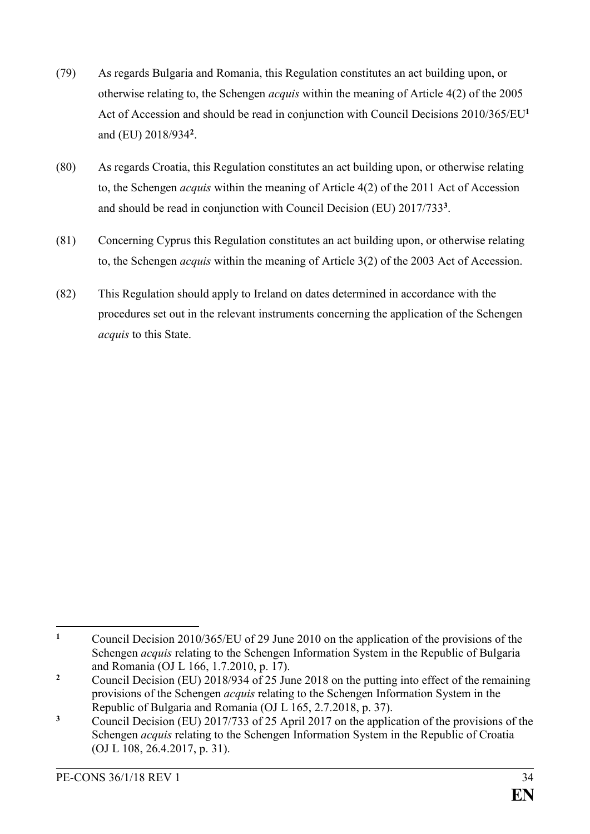- (79) As regards Bulgaria and Romania, this Regulation constitutes an act building upon, or otherwise relating to, the Schengen *acquis* within the meaning of Article 4(2) of the 2005 Act of Accession and should be read in conjunction with Council Decisions 2010/365/EU**<sup>1</sup>** and (EU) 2018/934**<sup>2</sup>** .
- (80) As regards Croatia, this Regulation constitutes an act building upon, or otherwise relating to, the Schengen *acquis* within the meaning of Article 4(2) of the 2011 Act of Accession and should be read in conjunction with Council Decision (EU) 2017/733**<sup>3</sup>** .
- (81) Concerning Cyprus this Regulation constitutes an act building upon, or otherwise relating to, the Schengen *acquis* within the meaning of Article 3(2) of the 2003 Act of Accession.
- (82) This Regulation should apply to Ireland on dates determined in accordance with the procedures set out in the relevant instruments concerning the application of the Schengen *acquis* to this State.

<sup>&</sup>lt;u>.</u> **<sup>1</sup>** Council Decision 2010/365/EU of 29 June 2010 on the application of the provisions of the Schengen *acquis* relating to the Schengen Information System in the Republic of Bulgaria and Romania (OJ L 166, 1.7.2010, p. 17).

**<sup>2</sup>** Council Decision (EU) 2018/934 of 25 June 2018 on the putting into effect of the remaining provisions of the Schengen *acquis* relating to the Schengen Information System in the Republic of Bulgaria and Romania (OJ L 165, 2.7.2018, p. 37).

**<sup>3</sup>** Council Decision (EU) 2017/733 of 25 April 2017 on the application of the provisions of the Schengen *acquis* relating to the Schengen Information System in the Republic of Croatia (OJ L 108, 26.4.2017, p. 31).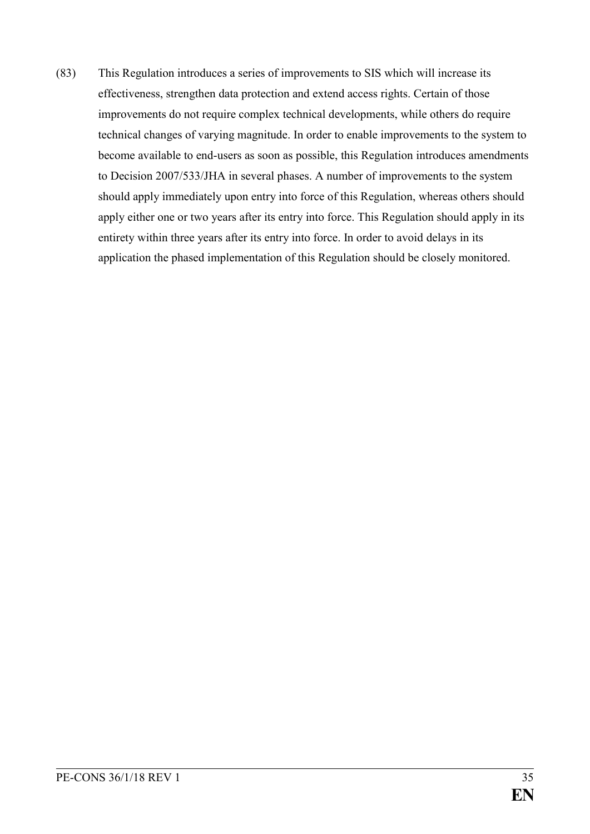(83) This Regulation introduces a series of improvements to SIS which will increase its effectiveness, strengthen data protection and extend access rights. Certain of those improvements do not require complex technical developments, while others do require technical changes of varying magnitude. In order to enable improvements to the system to become available to end-users as soon as possible, this Regulation introduces amendments to Decision 2007/533/JHA in several phases. A number of improvements to the system should apply immediately upon entry into force of this Regulation, whereas others should apply either one or two years after its entry into force. This Regulation should apply in its entirety within three years after its entry into force. In order to avoid delays in its application the phased implementation of this Regulation should be closely monitored.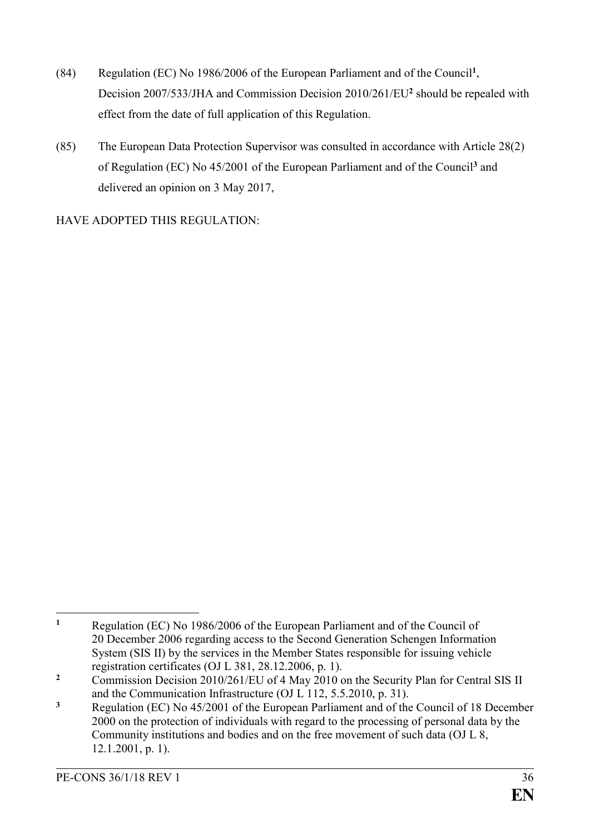- (84) Regulation (EC) No 1986/2006 of the European Parliament and of the Council**<sup>1</sup>** , Decision 2007/533/JHA and Commission Decision 2010/261/EU**<sup>2</sup>** should be repealed with effect from the date of full application of this Regulation.
- (85) The European Data Protection Supervisor was consulted in accordance with Article 28(2) of Regulation (EC) No 45/2001 of the European Parliament and of the Council**<sup>3</sup>** and delivered an opinion on 3 May 2017,

HAVE ADOPTED THIS REGULATION:

 $\mathbf{1}$ **<sup>1</sup>** Regulation (EC) No 1986/2006 of the European Parliament and of the Council of 20 December 2006 regarding access to the Second Generation Schengen Information System (SIS II) by the services in the Member States responsible for issuing vehicle registration certificates (OJ L 381, 28.12.2006, p. 1).

<sup>&</sup>lt;sup>2</sup> Commission Decision 2010/261/EU of 4 May 2010 on the Security Plan for Central SIS II and the Communication Infrastructure (OJ L 112, 5.5.2010, p. 31).

**<sup>3</sup>** Regulation (EC) No 45/2001 of the European Parliament and of the Council of 18 December 2000 on the protection of individuals with regard to the processing of personal data by the Community institutions and bodies and on the free movement of such data (OJ L 8, 12.1.2001, p. 1).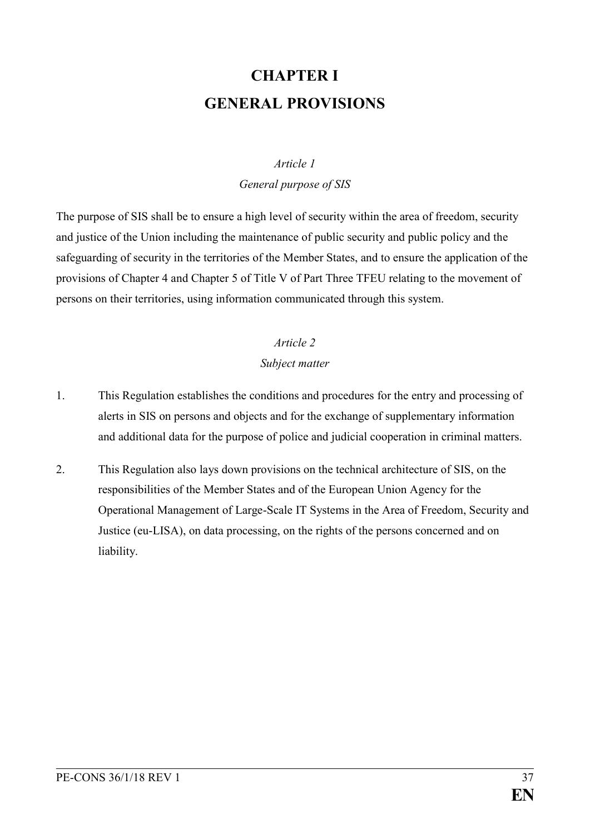# **CHAPTER I GENERAL PROVISIONS**

### *Article 1*

*General purpose of SIS*

The purpose of SIS shall be to ensure a high level of security within the area of freedom, security and justice of the Union including the maintenance of public security and public policy and the safeguarding of security in the territories of the Member States, and to ensure the application of the provisions of Chapter 4 and Chapter 5 of Title V of Part Three TFEU relating to the movement of persons on their territories, using information communicated through this system.

### *Article 2*

### *Subject matter*

- 1. This Regulation establishes the conditions and procedures for the entry and processing of alerts in SIS on persons and objects and for the exchange of supplementary information and additional data for the purpose of police and judicial cooperation in criminal matters.
- 2. This Regulation also lays down provisions on the technical architecture of SIS, on the responsibilities of the Member States and of the European Union Agency for the Operational Management of Large-Scale IT Systems in the Area of Freedom, Security and Justice (eu-LISA), on data processing, on the rights of the persons concerned and on liability.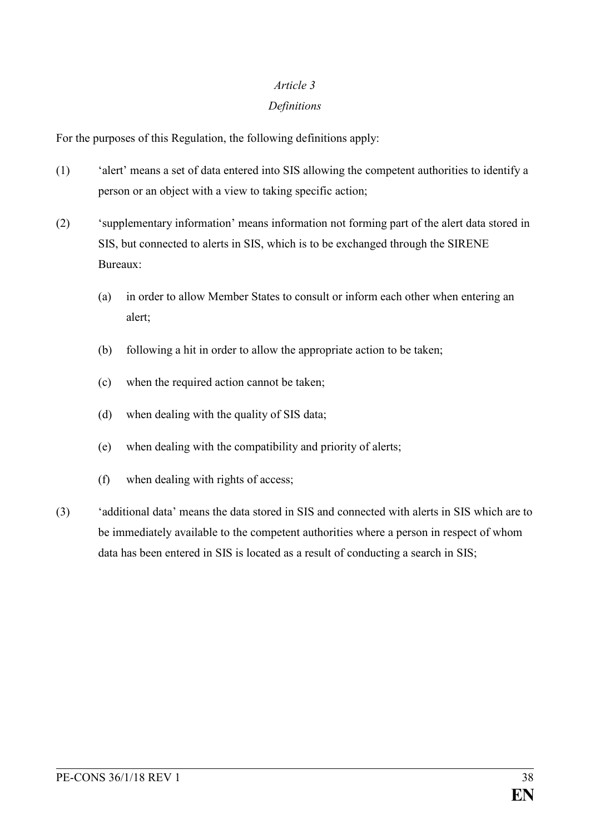### *Article 3*

### *Definitions*

For the purposes of this Regulation, the following definitions apply:

- (1) 'alert' means a set of data entered into SIS allowing the competent authorities to identify a person or an object with a view to taking specific action;
- (2) 'supplementary information' means information not forming part of the alert data stored in SIS, but connected to alerts in SIS, which is to be exchanged through the SIRENE Bureaux:
	- (a) in order to allow Member States to consult or inform each other when entering an alert;
	- (b) following a hit in order to allow the appropriate action to be taken;
	- (c) when the required action cannot be taken;
	- (d) when dealing with the quality of SIS data;
	- (e) when dealing with the compatibility and priority of alerts;
	- (f) when dealing with rights of access;
- (3) 'additional data' means the data stored in SIS and connected with alerts in SIS which are to be immediately available to the competent authorities where a person in respect of whom data has been entered in SIS is located as a result of conducting a search in SIS;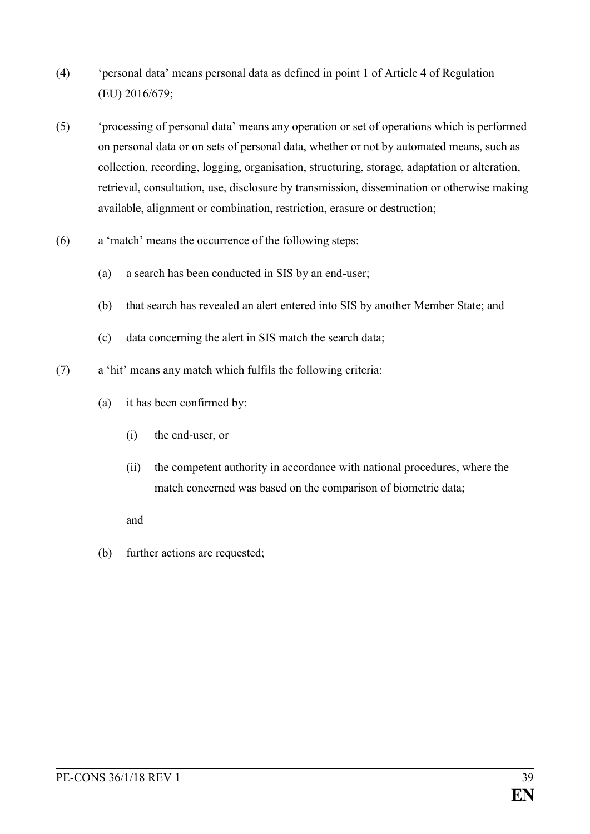- (4) 'personal data' means personal data as defined in point 1 of Article 4 of Regulation (EU) 2016/679;
- (5) 'processing of personal data' means any operation or set of operations which is performed on personal data or on sets of personal data, whether or not by automated means, such as collection, recording, logging, organisation, structuring, storage, adaptation or alteration, retrieval, consultation, use, disclosure by transmission, dissemination or otherwise making available, alignment or combination, restriction, erasure or destruction;
- (6) a 'match' means the occurrence of the following steps:
	- (a) a search has been conducted in SIS by an end-user;
	- (b) that search has revealed an alert entered into SIS by another Member State; and
	- (c) data concerning the alert in SIS match the search data;
- (7) a 'hit' means any match which fulfils the following criteria:
	- (a) it has been confirmed by:
		- (i) the end-user, or
		- (ii) the competent authority in accordance with national procedures, where the match concerned was based on the comparison of biometric data;

#### and

(b) further actions are requested;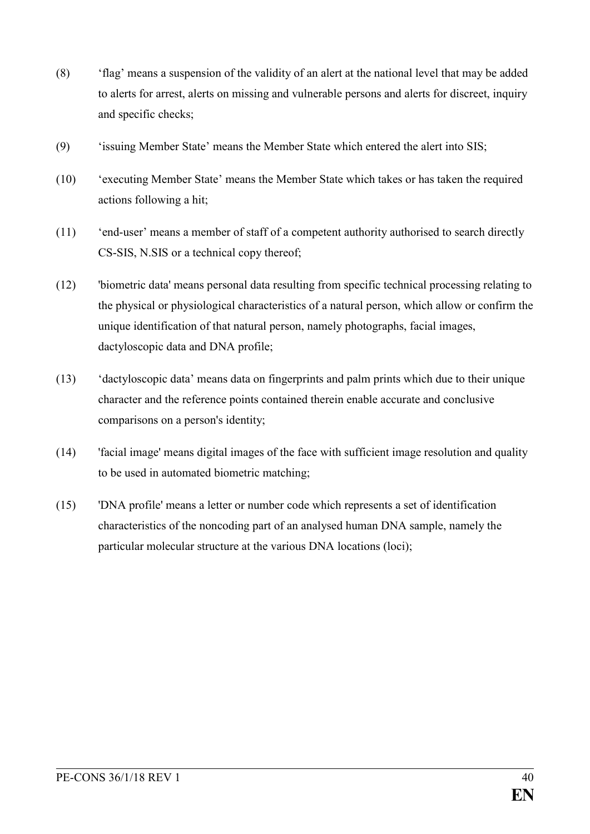- (8) 'flag' means a suspension of the validity of an alert at the national level that may be added to alerts for arrest, alerts on missing and vulnerable persons and alerts for discreet, inquiry and specific checks;
- (9) 'issuing Member State' means the Member State which entered the alert into SIS;
- (10) 'executing Member State' means the Member State which takes or has taken the required actions following a hit;
- (11) 'end-user' means a member of staff of a competent authority authorised to search directly CS-SIS, N.SIS or a technical copy thereof;
- (12) 'biometric data' means personal data resulting from specific technical processing relating to the physical or physiological characteristics of a natural person, which allow or confirm the unique identification of that natural person, namely photographs, facial images, dactyloscopic data and DNA profile;
- (13) 'dactyloscopic data' means data on fingerprints and palm prints which due to their unique character and the reference points contained therein enable accurate and conclusive comparisons on a person's identity;
- (14) 'facial image' means digital images of the face with sufficient image resolution and quality to be used in automated biometric matching;
- (15) 'DNA profile' means a letter or number code which represents a set of identification characteristics of the noncoding part of an analysed human DNA sample, namely the particular molecular structure at the various DNA locations (loci);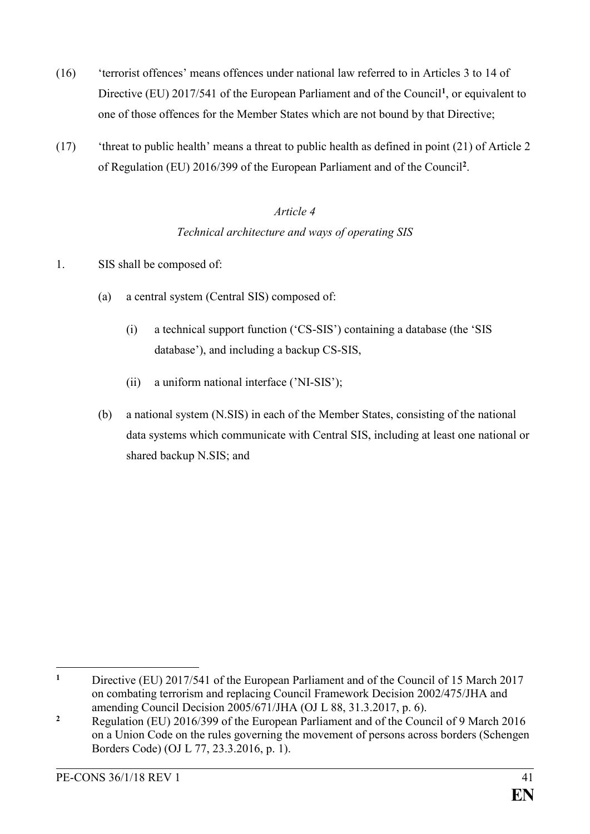- (16) 'terrorist offences' means offences under national law referred to in Articles 3 to 14 of Directive (EU) 2017/541 of the European Parliament and of the Council**<sup>1</sup>** , or equivalent to one of those offences for the Member States which are not bound by that Directive;
- (17) 'threat to public health' means a threat to public health as defined in point (21) of Article 2 of Regulation (EU) 2016/399 of the European Parliament and of the Council**<sup>2</sup>** .

## *Article 4 Technical architecture and ways of operating SIS*

- 1. SIS shall be composed of:
	- (a) a central system (Central SIS) composed of:
		- (i) a technical support function ('CS-SIS') containing a database (the 'SIS database'), and including a backup CS-SIS,
		- (ii) a uniform national interface ('NI-SIS');
	- (b) a national system (N.SIS) in each of the Member States, consisting of the national data systems which communicate with Central SIS, including at least one national or shared backup N.SIS; and

 $\mathbf{1}$ **<sup>1</sup>** Directive (EU) 2017/541 of the European Parliament and of the Council of 15 March 2017 on combating terrorism and replacing Council Framework Decision 2002/475/JHA and amending Council Decision 2005/671/JHA (OJ L 88, 31.3.2017, p. 6).

**<sup>2</sup>** Regulation (EU) 2016/399 of the European Parliament and of the Council of 9 March 2016 on a Union Code on the rules governing the movement of persons across borders (Schengen Borders Code) (OJ L 77, 23.3.2016, p. 1).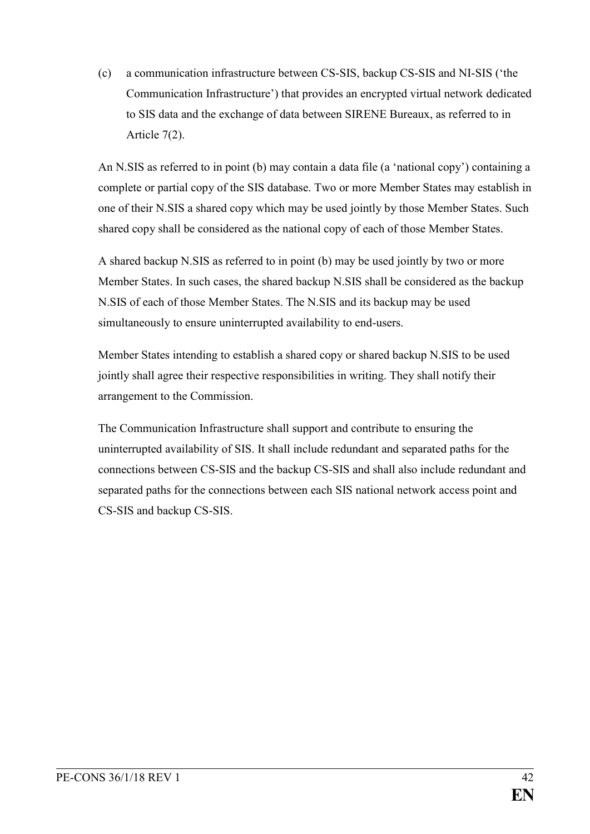(c) a communication infrastructure between CS-SIS, backup CS-SIS and NI-SIS ('the Communication Infrastructure') that provides an encrypted virtual network dedicated to SIS data and the exchange of data between SIRENE Bureaux, as referred to in Article 7(2).

An N.SIS as referred to in point (b) may contain a data file (a 'national copy') containing a complete or partial copy of the SIS database. Two or more Member States may establish in one of their N.SIS a shared copy which may be used jointly by those Member States. Such shared copy shall be considered as the national copy of each of those Member States.

A shared backup N.SIS as referred to in point (b) may be used jointly by two or more Member States. In such cases, the shared backup N.SIS shall be considered as the backup N.SIS of each of those Member States. The N.SIS and its backup may be used simultaneously to ensure uninterrupted availability to end-users.

Member States intending to establish a shared copy or shared backup N.SIS to be used jointly shall agree their respective responsibilities in writing. They shall notify their arrangement to the Commission.

The Communication Infrastructure shall support and contribute to ensuring the uninterrupted availability of SIS. It shall include redundant and separated paths for the connections between CS-SIS and the backup CS-SIS and shall also include redundant and separated paths for the connections between each SIS national network access point and CS-SIS and backup CS-SIS.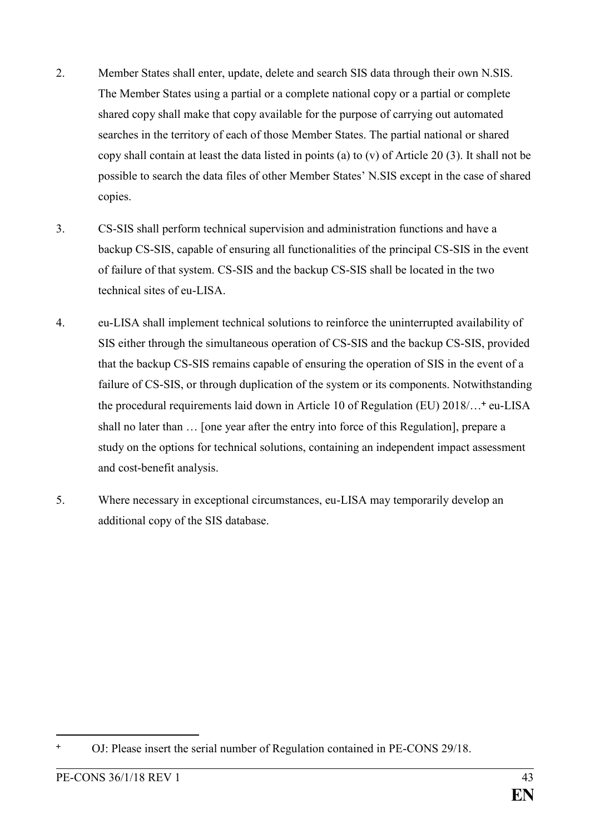- 2. Member States shall enter, update, delete and search SIS data through their own N.SIS. The Member States using a partial or a complete national copy or a partial or complete shared copy shall make that copy available for the purpose of carrying out automated searches in the territory of each of those Member States. The partial national or shared copy shall contain at least the data listed in points (a) to (v) of Article 20 (3). It shall not be possible to search the data files of other Member States' N.SIS except in the case of shared copies.
- 3. CS-SIS shall perform technical supervision and administration functions and have a backup CS-SIS, capable of ensuring all functionalities of the principal CS-SIS in the event of failure of that system. CS-SIS and the backup CS-SIS shall be located in the two technical sites of eu-LISA.
- 4. eu-LISA shall implement technical solutions to reinforce the uninterrupted availability of SIS either through the simultaneous operation of CS-SIS and the backup CS-SIS, provided that the backup CS-SIS remains capable of ensuring the operation of SIS in the event of a failure of CS-SIS, or through duplication of the system or its components. Notwithstanding the procedural requirements laid down in Article 10 of Regulation (EU) 2018/...<sup>+</sup> eu-LISA shall no later than … [one year after the entry into force of this Regulation], prepare a study on the options for technical solutions, containing an independent impact assessment and cost-benefit analysis.
- 5. Where necessary in exceptional circumstances, eu-LISA may temporarily develop an additional copy of the SIS database.

<sup>&</sup>lt;u>.</u> OJ: Please insert the serial number of Regulation contained in PE-CONS 29/18.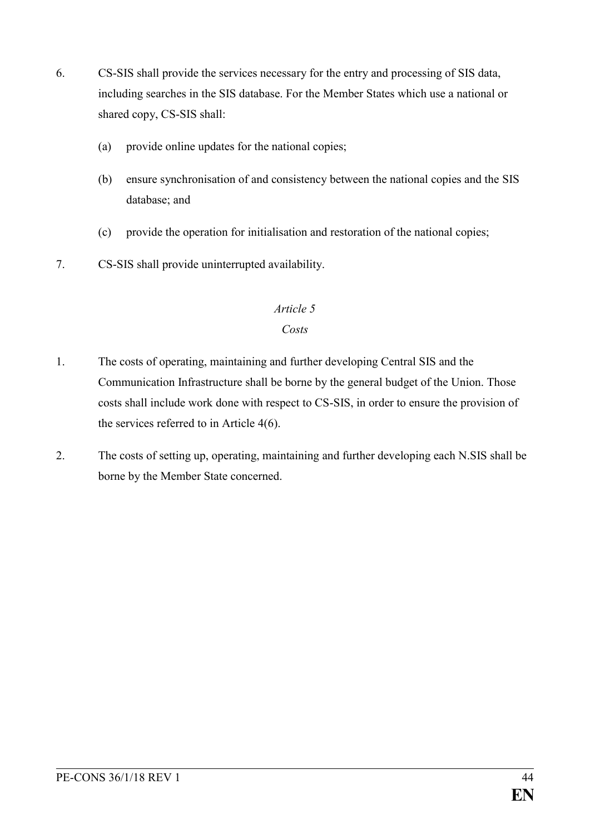- 6. CS-SIS shall provide the services necessary for the entry and processing of SIS data, including searches in the SIS database. For the Member States which use a national or shared copy, CS-SIS shall:
	- (a) provide online updates for the national copies;
	- (b) ensure synchronisation of and consistency between the national copies and the SIS database; and
	- (c) provide the operation for initialisation and restoration of the national copies;
- 7. CS-SIS shall provide uninterrupted availability.

### *Article 5*

### *Costs*

- 1. The costs of operating, maintaining and further developing Central SIS and the Communication Infrastructure shall be borne by the general budget of the Union. Those costs shall include work done with respect to CS-SIS, in order to ensure the provision of the services referred to in Article 4(6).
- 2. The costs of setting up, operating, maintaining and further developing each N.SIS shall be borne by the Member State concerned.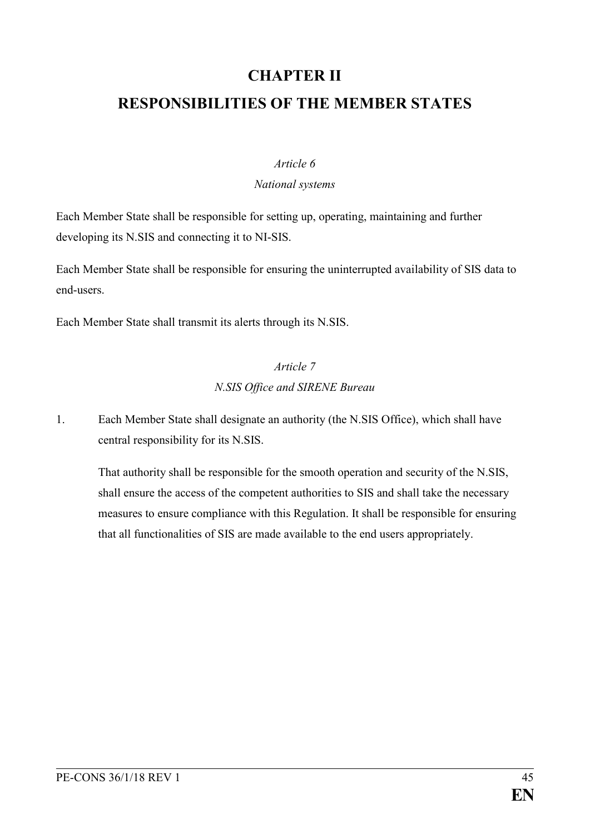# **CHAPTER II RESPONSIBILITIES OF THE MEMBER STATES**

#### *Article 6*

#### *National systems*

Each Member State shall be responsible for setting up, operating, maintaining and further developing its N.SIS and connecting it to NI-SIS.

Each Member State shall be responsible for ensuring the uninterrupted availability of SIS data to end-users.

Each Member State shall transmit its alerts through its N.SIS.

## *Article 7 N.SIS Office and SIRENE Bureau*

1. Each Member State shall designate an authority (the N.SIS Office), which shall have central responsibility for its N.SIS.

That authority shall be responsible for the smooth operation and security of the N.SIS, shall ensure the access of the competent authorities to SIS and shall take the necessary measures to ensure compliance with this Regulation. It shall be responsible for ensuring that all functionalities of SIS are made available to the end users appropriately.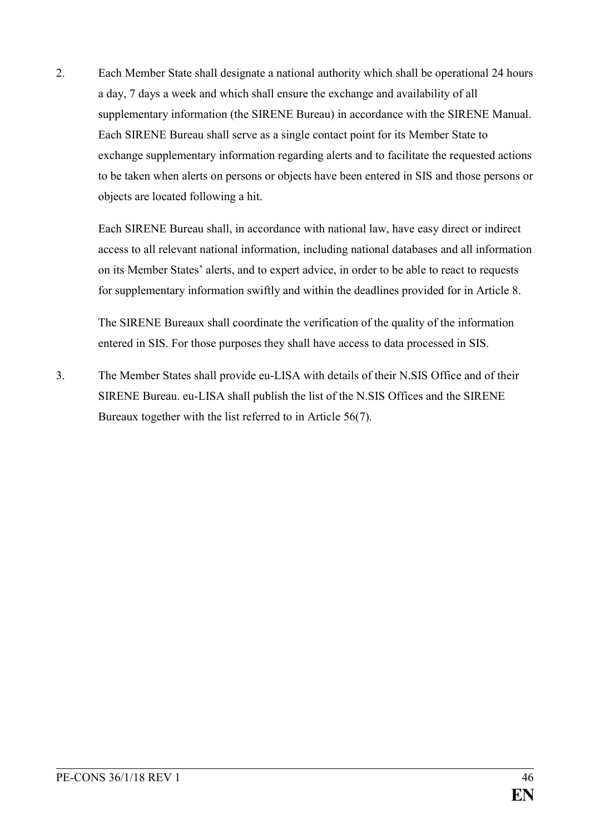2. Each Member State shall designate a national authority which shall be operational 24 hours a day, 7 days a week and which shall ensure the exchange and availability of all supplementary information (the SIRENE Bureau) in accordance with the SIRENE Manual. Each SIRENE Bureau shall serve as a single contact point for its Member State to exchange supplementary information regarding alerts and to facilitate the requested actions to be taken when alerts on persons or objects have been entered in SIS and those persons or objects are located following a hit.

Each SIRENE Bureau shall, in accordance with national law, have easy direct or indirect access to all relevant national information, including national databases and all information on its Member States' alerts, and to expert advice, in order to be able to react to requests for supplementary information swiftly and within the deadlines provided for in Article 8.

The SIRENE Bureaux shall coordinate the verification of the quality of the information entered in SIS. For those purposes they shall have access to data processed in SIS.

3. The Member States shall provide eu-LISA with details of their N.SIS Office and of their SIRENE Bureau. eu-LISA shall publish the list of the N.SIS Offices and the SIRENE Bureaux together with the list referred to in Article 56(7).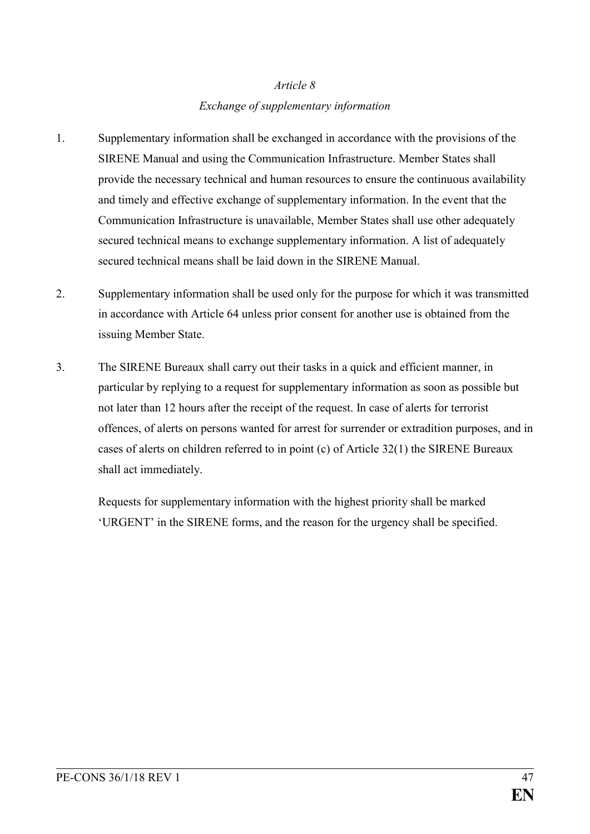## *Article 8 Exchange of supplementary information*

- 1. Supplementary information shall be exchanged in accordance with the provisions of the SIRENE Manual and using the Communication Infrastructure. Member States shall provide the necessary technical and human resources to ensure the continuous availability and timely and effective exchange of supplementary information. In the event that the Communication Infrastructure is unavailable, Member States shall use other adequately secured technical means to exchange supplementary information. A list of adequately secured technical means shall be laid down in the SIRENE Manual.
- 2. Supplementary information shall be used only for the purpose for which it was transmitted in accordance with Article 64 unless prior consent for another use is obtained from the issuing Member State.
- 3. The SIRENE Bureaux shall carry out their tasks in a quick and efficient manner, in particular by replying to a request for supplementary information as soon as possible but not later than 12 hours after the receipt of the request. In case of alerts for terrorist offences, of alerts on persons wanted for arrest for surrender or extradition purposes, and in cases of alerts on children referred to in point (c) of Article 32(1) the SIRENE Bureaux shall act immediately.

Requests for supplementary information with the highest priority shall be marked 'URGENT' in the SIRENE forms, and the reason for the urgency shall be specified.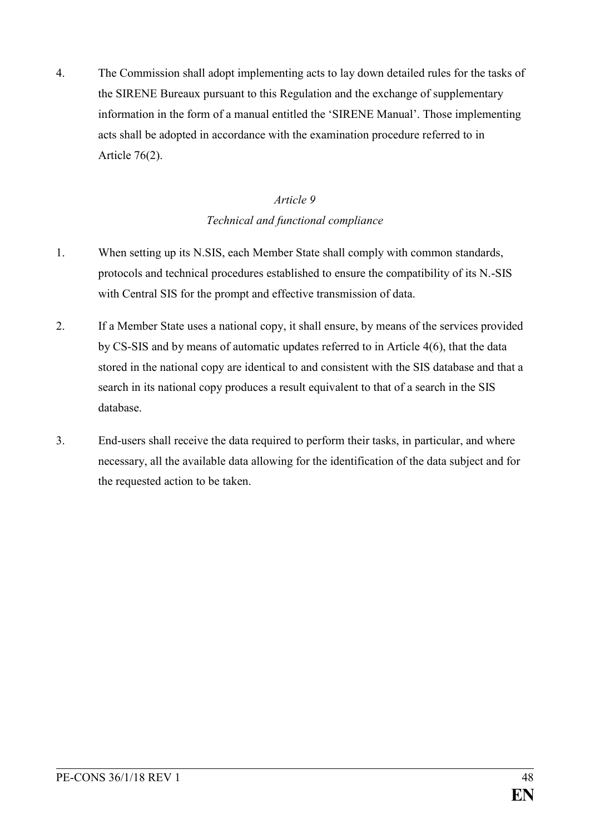4. The Commission shall adopt implementing acts to lay down detailed rules for the tasks of the SIRENE Bureaux pursuant to this Regulation and the exchange of supplementary information in the form of a manual entitled the 'SIRENE Manual'. Those implementing acts shall be adopted in accordance with the examination procedure referred to in Article 76(2).

### *Article 9 Technical and functional compliance*

- 1. When setting up its N.SIS, each Member State shall comply with common standards, protocols and technical procedures established to ensure the compatibility of its N.-SIS with Central SIS for the prompt and effective transmission of data.
- 2. If a Member State uses a national copy, it shall ensure, by means of the services provided by CS-SIS and by means of automatic updates referred to in Article 4(6), that the data stored in the national copy are identical to and consistent with the SIS database and that a search in its national copy produces a result equivalent to that of a search in the SIS database.
- 3. End-users shall receive the data required to perform their tasks, in particular, and where necessary, all the available data allowing for the identification of the data subject and for the requested action to be taken.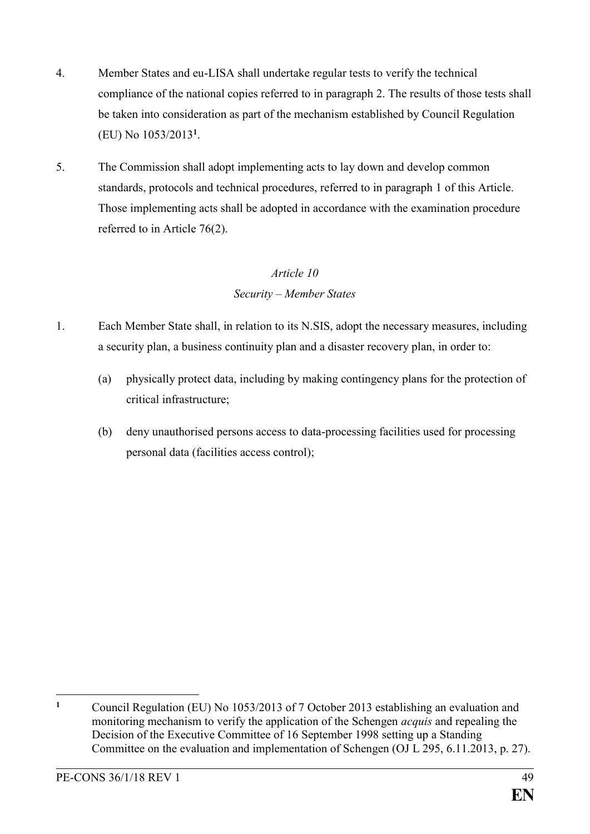- 4. Member States and eu-LISA shall undertake regular tests to verify the technical compliance of the national copies referred to in paragraph 2. The results of those tests shall be taken into consideration as part of the mechanism established by Council Regulation (EU) No 1053/2013**<sup>1</sup>** .
- 5. The Commission shall adopt implementing acts to lay down and develop common standards, protocols and technical procedures, referred to in paragraph 1 of this Article. Those implementing acts shall be adopted in accordance with the examination procedure referred to in Article 76(2).

### *Article 10*

### *Security – Member States*

- 1. Each Member State shall, in relation to its N.SIS, adopt the necessary measures, including a security plan, a business continuity plan and a disaster recovery plan, in order to:
	- (a) physically protect data, including by making contingency plans for the protection of critical infrastructure;
	- (b) deny unauthorised persons access to data-processing facilities used for processing personal data (facilities access control);

 $\mathbf{1}$ **<sup>1</sup>** Council Regulation (EU) No 1053/2013 of 7 October 2013 establishing an evaluation and monitoring mechanism to verify the application of the Schengen *acquis* and repealing the Decision of the Executive Committee of 16 September 1998 setting up a Standing Committee on the evaluation and implementation of Schengen (OJ L 295, 6.11.2013, p. 27).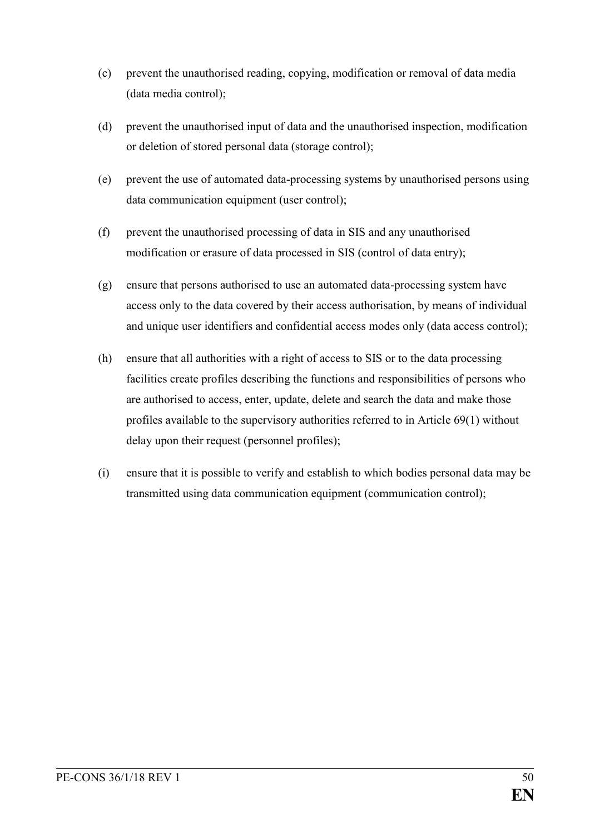- (c) prevent the unauthorised reading, copying, modification or removal of data media (data media control);
- (d) prevent the unauthorised input of data and the unauthorised inspection, modification or deletion of stored personal data (storage control);
- (e) prevent the use of automated data-processing systems by unauthorised persons using data communication equipment (user control);
- (f) prevent the unauthorised processing of data in SIS and any unauthorised modification or erasure of data processed in SIS (control of data entry);
- (g) ensure that persons authorised to use an automated data-processing system have access only to the data covered by their access authorisation, by means of individual and unique user identifiers and confidential access modes only (data access control);
- (h) ensure that all authorities with a right of access to SIS or to the data processing facilities create profiles describing the functions and responsibilities of persons who are authorised to access, enter, update, delete and search the data and make those profiles available to the supervisory authorities referred to in Article 69(1) without delay upon their request (personnel profiles);
- (i) ensure that it is possible to verify and establish to which bodies personal data may be transmitted using data communication equipment (communication control);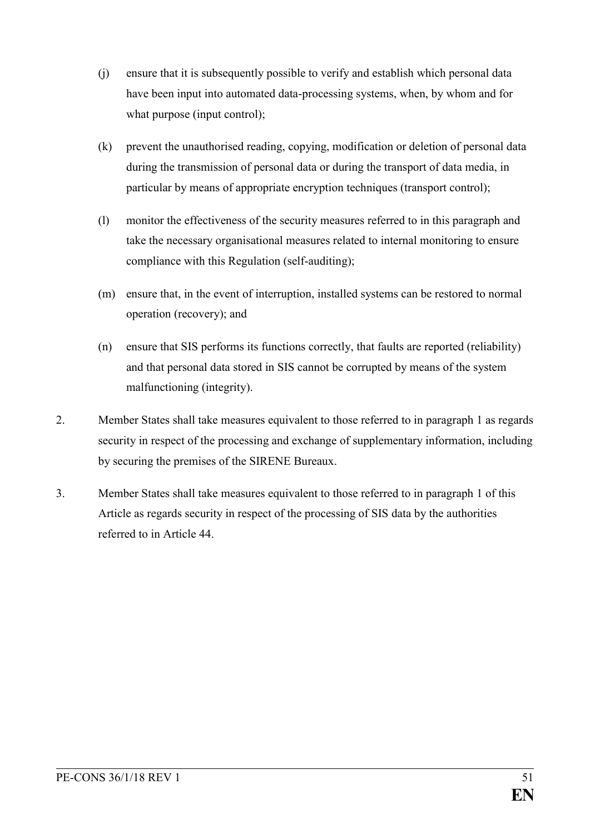- (j) ensure that it is subsequently possible to verify and establish which personal data have been input into automated data-processing systems, when, by whom and for what purpose (input control);
- (k) prevent the unauthorised reading, copying, modification or deletion of personal data during the transmission of personal data or during the transport of data media, in particular by means of appropriate encryption techniques (transport control);
- (l) monitor the effectiveness of the security measures referred to in this paragraph and take the necessary organisational measures related to internal monitoring to ensure compliance with this Regulation (self-auditing);
- (m) ensure that, in the event of interruption, installed systems can be restored to normal operation (recovery); and
- (n) ensure that SIS performs its functions correctly, that faults are reported (reliability) and that personal data stored in SIS cannot be corrupted by means of the system malfunctioning (integrity).
- 2. Member States shall take measures equivalent to those referred to in paragraph 1 as regards security in respect of the processing and exchange of supplementary information, including by securing the premises of the SIRENE Bureaux.
- 3. Member States shall take measures equivalent to those referred to in paragraph 1 of this Article as regards security in respect of the processing of SIS data by the authorities referred to in Article 44.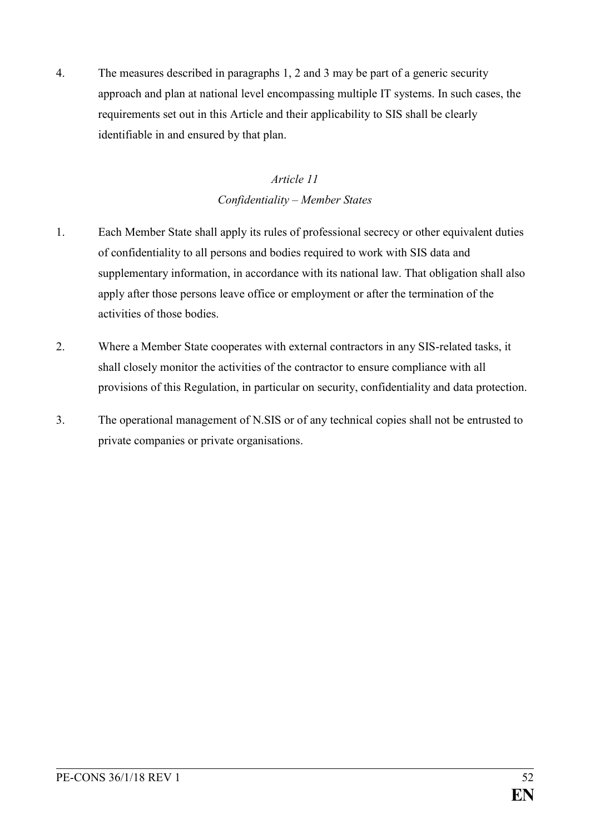4. The measures described in paragraphs 1, 2 and 3 may be part of a generic security approach and plan at national level encompassing multiple IT systems. In such cases, the requirements set out in this Article and their applicability to SIS shall be clearly identifiable in and ensured by that plan.

## *Article 11 Confidentiality – Member States*

- 1. Each Member State shall apply its rules of professional secrecy or other equivalent duties of confidentiality to all persons and bodies required to work with SIS data and supplementary information, in accordance with its national law. That obligation shall also apply after those persons leave office or employment or after the termination of the activities of those bodies.
- 2. Where a Member State cooperates with external contractors in any SIS-related tasks, it shall closely monitor the activities of the contractor to ensure compliance with all provisions of this Regulation, in particular on security, confidentiality and data protection.
- 3. The operational management of N.SIS or of any technical copies shall not be entrusted to private companies or private organisations.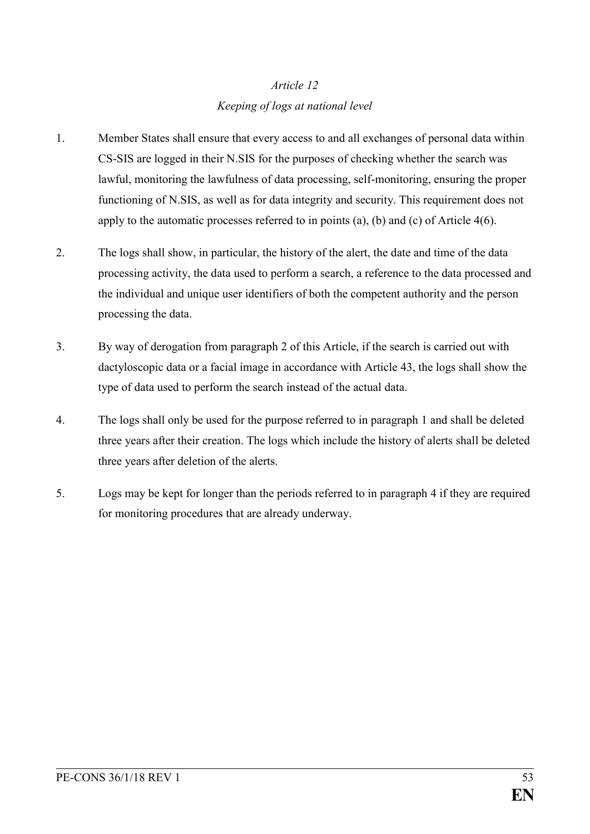## *Article 12 Keeping of logs at national level*

- 1. Member States shall ensure that every access to and all exchanges of personal data within CS-SIS are logged in their N.SIS for the purposes of checking whether the search was lawful, monitoring the lawfulness of data processing, self-monitoring, ensuring the proper functioning of N.SIS, as well as for data integrity and security. This requirement does not apply to the automatic processes referred to in points (a), (b) and (c) of Article 4(6).
- 2. The logs shall show, in particular, the history of the alert, the date and time of the data processing activity, the data used to perform a search, a reference to the data processed and the individual and unique user identifiers of both the competent authority and the person processing the data.
- 3. By way of derogation from paragraph 2 of this Article, if the search is carried out with dactyloscopic data or a facial image in accordance with Article 43, the logs shall show the type of data used to perform the search instead of the actual data.
- 4. The logs shall only be used for the purpose referred to in paragraph 1 and shall be deleted three years after their creation. The logs which include the history of alerts shall be deleted three years after deletion of the alerts.
- 5. Logs may be kept for longer than the periods referred to in paragraph 4 if they are required for monitoring procedures that are already underway.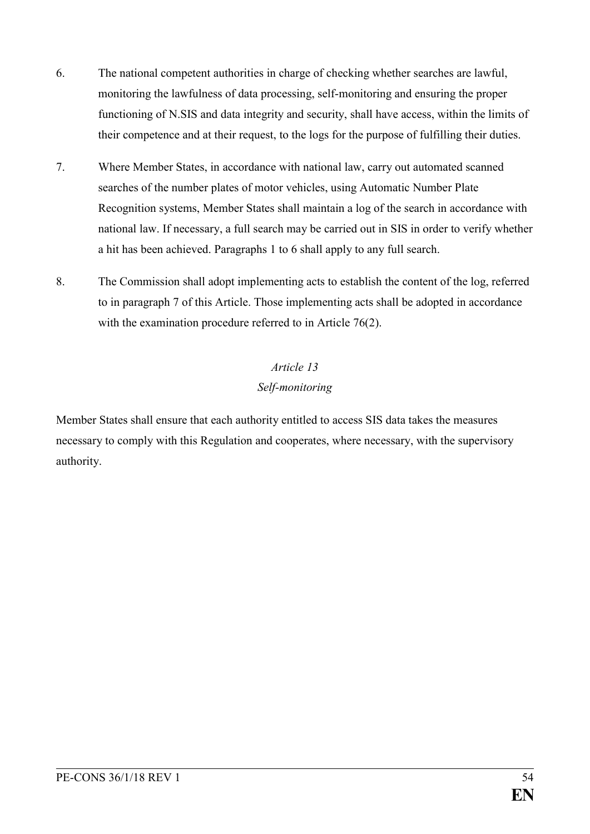- 6. The national competent authorities in charge of checking whether searches are lawful, monitoring the lawfulness of data processing, self-monitoring and ensuring the proper functioning of N.SIS and data integrity and security, shall have access, within the limits of their competence and at their request, to the logs for the purpose of fulfilling their duties.
- 7. Where Member States, in accordance with national law, carry out automated scanned searches of the number plates of motor vehicles, using Automatic Number Plate Recognition systems, Member States shall maintain a log of the search in accordance with national law. If necessary, a full search may be carried out in SIS in order to verify whether a hit has been achieved. Paragraphs 1 to 6 shall apply to any full search.
- 8. The Commission shall adopt implementing acts to establish the content of the log, referred to in paragraph 7 of this Article. Those implementing acts shall be adopted in accordance with the examination procedure referred to in Article 76(2).

# *Article 13 Self-monitoring*

Member States shall ensure that each authority entitled to access SIS data takes the measures necessary to comply with this Regulation and cooperates, where necessary, with the supervisory authority.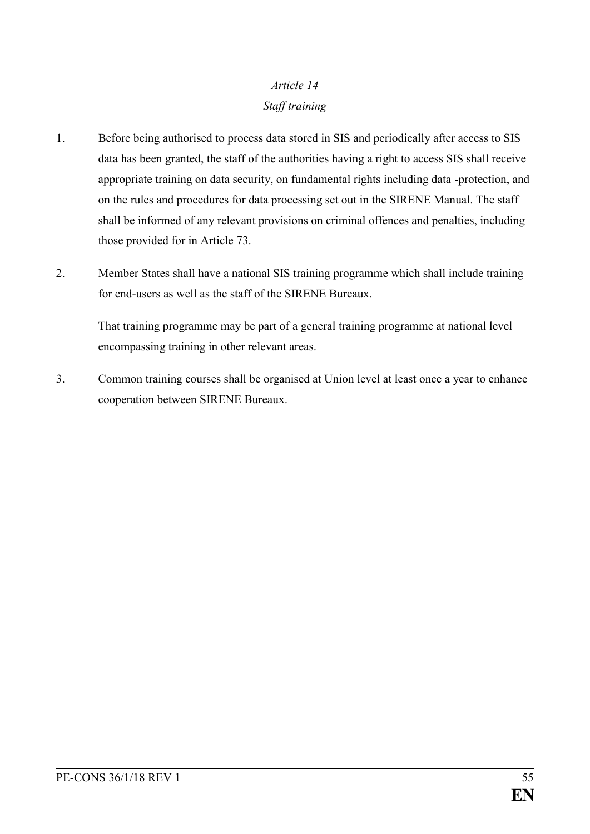# *Article 14 Staff training*

- 1. Before being authorised to process data stored in SIS and periodically after access to SIS data has been granted, the staff of the authorities having a right to access SIS shall receive appropriate training on data security, on fundamental rights including data -protection, and on the rules and procedures for data processing set out in the SIRENE Manual. The staff shall be informed of any relevant provisions on criminal offences and penalties, including those provided for in Article 73.
- 2. Member States shall have a national SIS training programme which shall include training for end-users as well as the staff of the SIRENE Bureaux.

That training programme may be part of a general training programme at national level encompassing training in other relevant areas.

3. Common training courses shall be organised at Union level at least once a year to enhance cooperation between SIRENE Bureaux.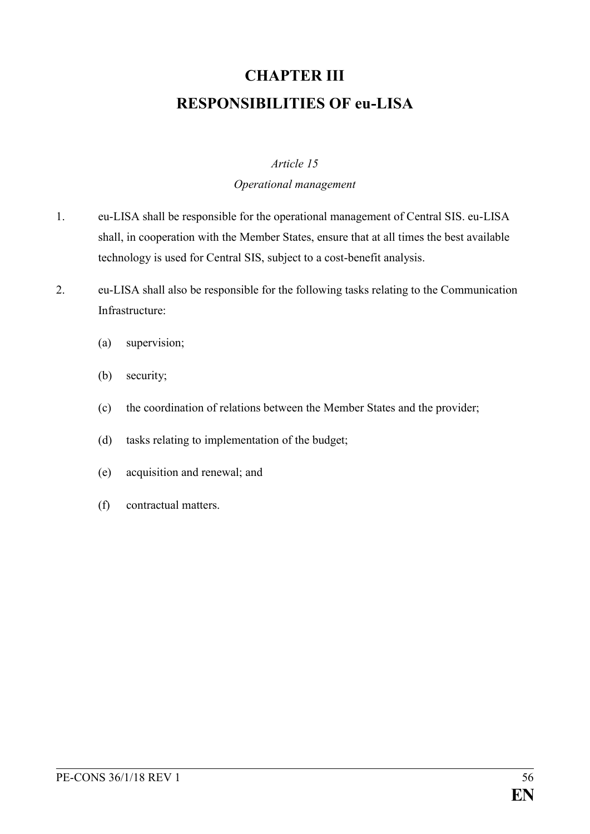# **CHAPTER III RESPONSIBILITIES OF eu-LISA**

### *Article 15*

### *Operational management*

- 1. eu-LISA shall be responsible for the operational management of Central SIS. eu-LISA shall, in cooperation with the Member States, ensure that at all times the best available technology is used for Central SIS, subject to a cost-benefit analysis.
- 2. eu-LISA shall also be responsible for the following tasks relating to the Communication Infrastructure:
	- (a) supervision;
	- (b) security;
	- (c) the coordination of relations between the Member States and the provider;
	- (d) tasks relating to implementation of the budget;
	- (e) acquisition and renewal; and
	- (f) contractual matters.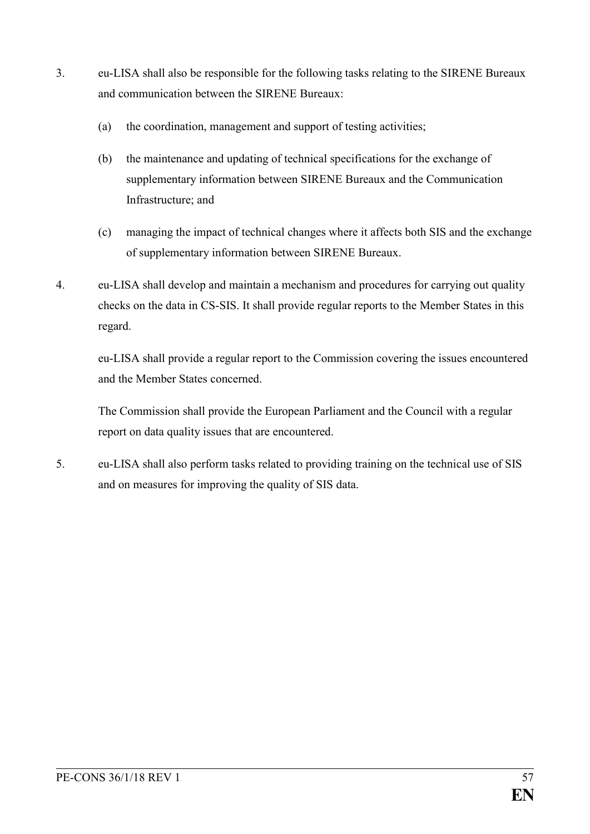- 3. eu-LISA shall also be responsible for the following tasks relating to the SIRENE Bureaux and communication between the SIRENE Bureaux:
	- (a) the coordination, management and support of testing activities;
	- (b) the maintenance and updating of technical specifications for the exchange of supplementary information between SIRENE Bureaux and the Communication Infrastructure; and
	- (c) managing the impact of technical changes where it affects both SIS and the exchange of supplementary information between SIRENE Bureaux.
- 4. eu-LISA shall develop and maintain a mechanism and procedures for carrying out quality checks on the data in CS-SIS. It shall provide regular reports to the Member States in this regard.

eu-LISA shall provide a regular report to the Commission covering the issues encountered and the Member States concerned.

The Commission shall provide the European Parliament and the Council with a regular report on data quality issues that are encountered.

5. eu-LISA shall also perform tasks related to providing training on the technical use of SIS and on measures for improving the quality of SIS data.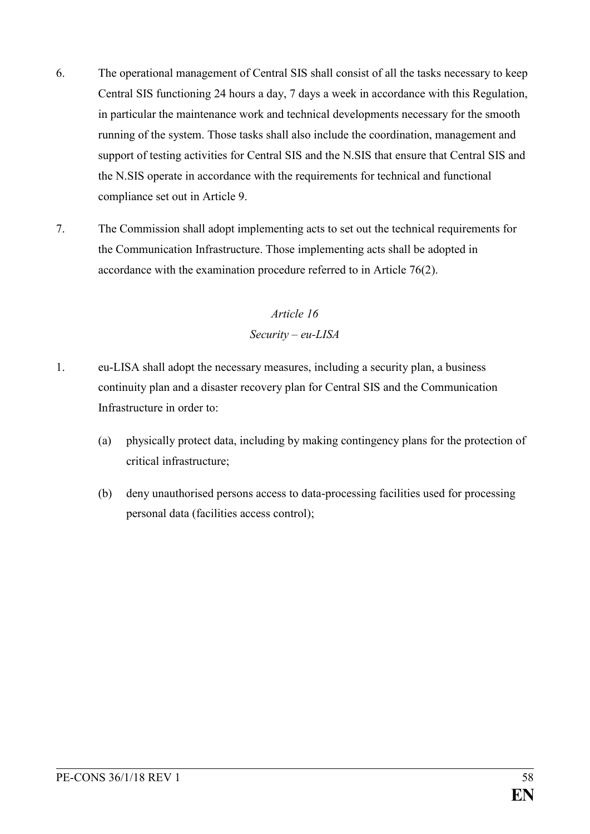- 6. The operational management of Central SIS shall consist of all the tasks necessary to keep Central SIS functioning 24 hours a day, 7 days a week in accordance with this Regulation, in particular the maintenance work and technical developments necessary for the smooth running of the system. Those tasks shall also include the coordination, management and support of testing activities for Central SIS and the N.SIS that ensure that Central SIS and the N.SIS operate in accordance with the requirements for technical and functional compliance set out in Article 9.
- 7. The Commission shall adopt implementing acts to set out the technical requirements for the Communication Infrastructure. Those implementing acts shall be adopted in accordance with the examination procedure referred to in Article 76(2).

## *Article 16 Security – eu-LISA*

- 1. eu-LISA shall adopt the necessary measures, including a security plan, a business continuity plan and a disaster recovery plan for Central SIS and the Communication Infrastructure in order to:
	- (a) physically protect data, including by making contingency plans for the protection of critical infrastructure;
	- (b) deny unauthorised persons access to data-processing facilities used for processing personal data (facilities access control);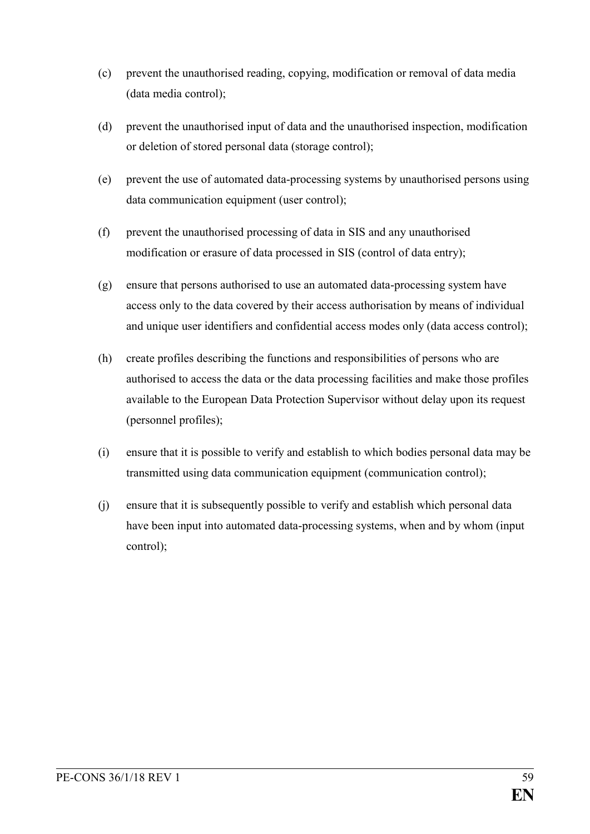- (c) prevent the unauthorised reading, copying, modification or removal of data media (data media control);
- (d) prevent the unauthorised input of data and the unauthorised inspection, modification or deletion of stored personal data (storage control);
- (e) prevent the use of automated data-processing systems by unauthorised persons using data communication equipment (user control);
- (f) prevent the unauthorised processing of data in SIS and any unauthorised modification or erasure of data processed in SIS (control of data entry);
- (g) ensure that persons authorised to use an automated data-processing system have access only to the data covered by their access authorisation by means of individual and unique user identifiers and confidential access modes only (data access control);
- (h) create profiles describing the functions and responsibilities of persons who are authorised to access the data or the data processing facilities and make those profiles available to the European Data Protection Supervisor without delay upon its request (personnel profiles);
- (i) ensure that it is possible to verify and establish to which bodies personal data may be transmitted using data communication equipment (communication control);
- (j) ensure that it is subsequently possible to verify and establish which personal data have been input into automated data-processing systems, when and by whom (input control);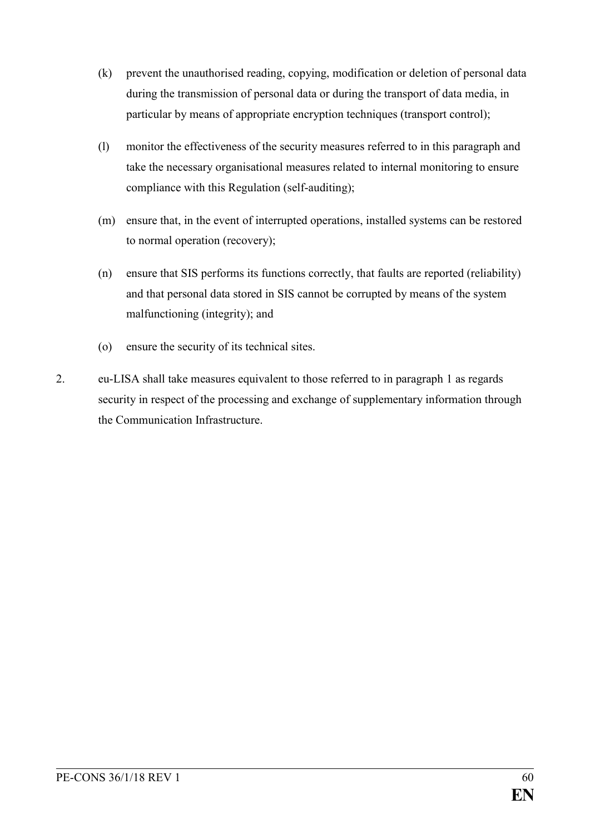- (k) prevent the unauthorised reading, copying, modification or deletion of personal data during the transmission of personal data or during the transport of data media, in particular by means of appropriate encryption techniques (transport control);
- (l) monitor the effectiveness of the security measures referred to in this paragraph and take the necessary organisational measures related to internal monitoring to ensure compliance with this Regulation (self-auditing);
- (m) ensure that, in the event of interrupted operations, installed systems can be restored to normal operation (recovery);
- (n) ensure that SIS performs its functions correctly, that faults are reported (reliability) and that personal data stored in SIS cannot be corrupted by means of the system malfunctioning (integrity); and
- (o) ensure the security of its technical sites.
- 2. eu-LISA shall take measures equivalent to those referred to in paragraph 1 as regards security in respect of the processing and exchange of supplementary information through the Communication Infrastructure.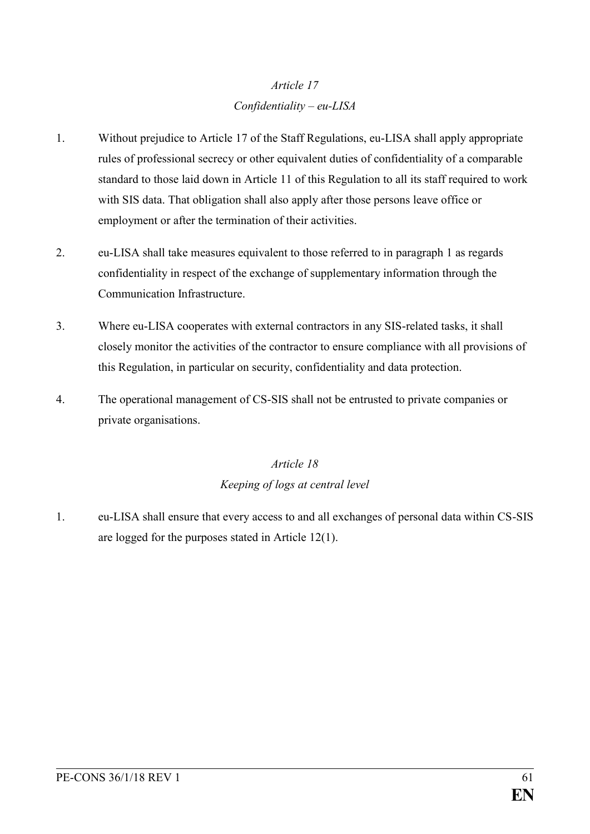## *Article 17 Confidentiality – eu-LISA*

- 1. Without prejudice to Article 17 of the Staff Regulations, eu-LISA shall apply appropriate rules of professional secrecy or other equivalent duties of confidentiality of a comparable standard to those laid down in Article 11 of this Regulation to all its staff required to work with SIS data. That obligation shall also apply after those persons leave office or employment or after the termination of their activities.
- 2. eu-LISA shall take measures equivalent to those referred to in paragraph 1 as regards confidentiality in respect of the exchange of supplementary information through the Communication Infrastructure.
- 3. Where eu-LISA cooperates with external contractors in any SIS-related tasks, it shall closely monitor the activities of the contractor to ensure compliance with all provisions of this Regulation, in particular on security, confidentiality and data protection.
- 4. The operational management of CS-SIS shall not be entrusted to private companies or private organisations.

## *Article 18 Keeping of logs at central level*

1. eu-LISA shall ensure that every access to and all exchanges of personal data within CS-SIS are logged for the purposes stated in Article 12(1).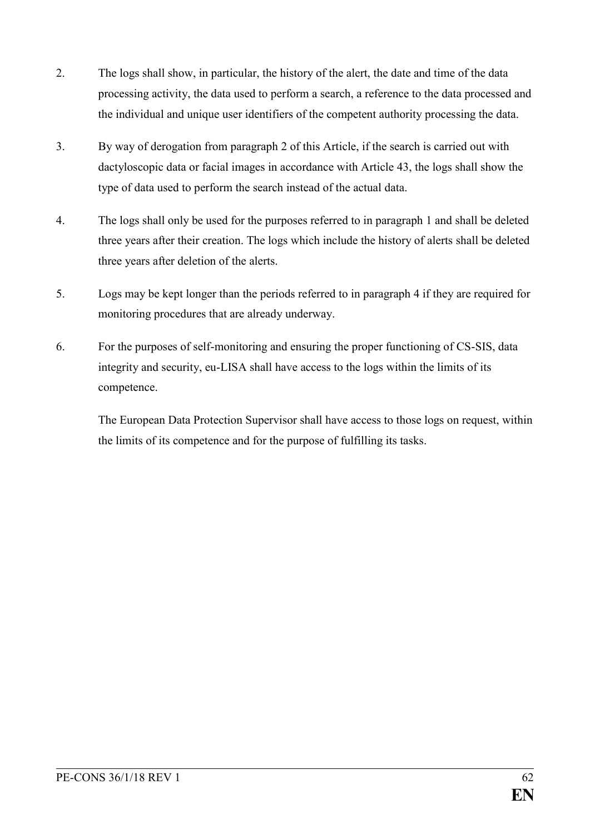- 2. The logs shall show, in particular, the history of the alert, the date and time of the data processing activity, the data used to perform a search, a reference to the data processed and the individual and unique user identifiers of the competent authority processing the data.
- 3. By way of derogation from paragraph 2 of this Article, if the search is carried out with dactyloscopic data or facial images in accordance with Article 43, the logs shall show the type of data used to perform the search instead of the actual data.
- 4. The logs shall only be used for the purposes referred to in paragraph 1 and shall be deleted three years after their creation. The logs which include the history of alerts shall be deleted three years after deletion of the alerts.
- 5. Logs may be kept longer than the periods referred to in paragraph 4 if they are required for monitoring procedures that are already underway.
- 6. For the purposes of self-monitoring and ensuring the proper functioning of CS-SIS, data integrity and security, eu-LISA shall have access to the logs within the limits of its competence.

The European Data Protection Supervisor shall have access to those logs on request, within the limits of its competence and for the purpose of fulfilling its tasks.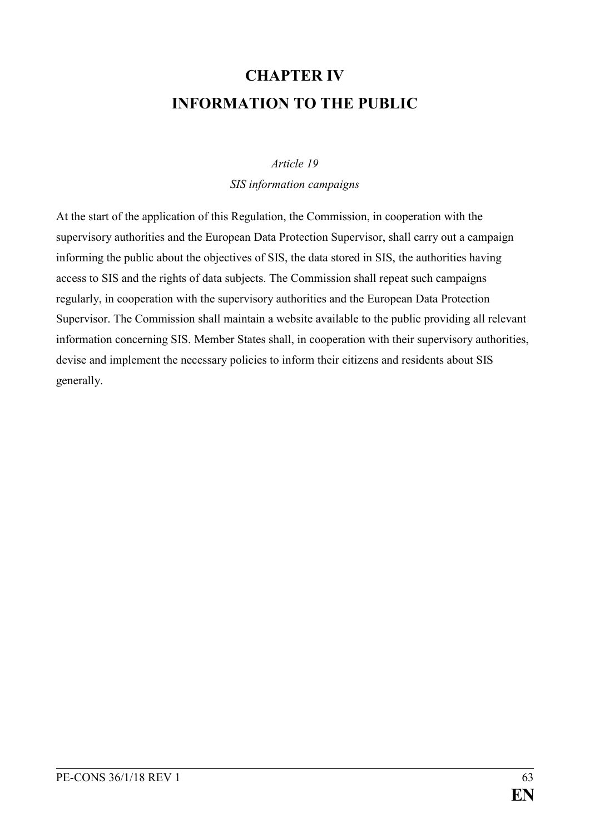# **CHAPTER IV INFORMATION TO THE PUBLIC**

#### *Article 19*

*SIS information campaigns*

At the start of the application of this Regulation, the Commission, in cooperation with the supervisory authorities and the European Data Protection Supervisor, shall carry out a campaign informing the public about the objectives of SIS, the data stored in SIS, the authorities having access to SIS and the rights of data subjects. The Commission shall repeat such campaigns regularly, in cooperation with the supervisory authorities and the European Data Protection Supervisor. The Commission shall maintain a website available to the public providing all relevant information concerning SIS. Member States shall, in cooperation with their supervisory authorities, devise and implement the necessary policies to inform their citizens and residents about SIS generally.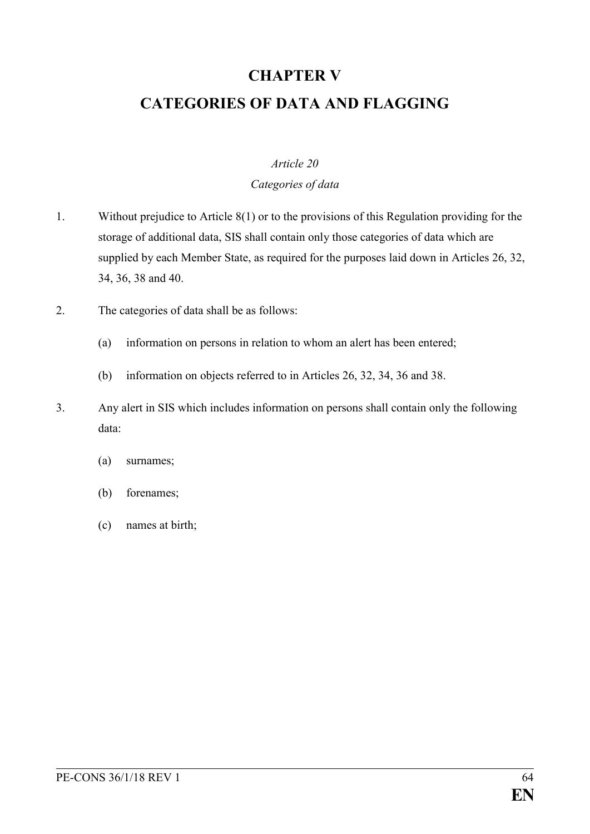# **CHAPTER V CATEGORIES OF DATA AND FLAGGING**

### *Article 20*

#### *Categories of data*

- 1. Without prejudice to Article 8(1) or to the provisions of this Regulation providing for the storage of additional data, SIS shall contain only those categories of data which are supplied by each Member State, as required for the purposes laid down in Articles 26, 32, 34, 36, 38 and 40.
- 2. The categories of data shall be as follows:
	- (a) information on persons in relation to whom an alert has been entered;
	- (b) information on objects referred to in Articles 26, 32, 34, 36 and 38.
- 3. Any alert in SIS which includes information on persons shall contain only the following data:
	- (a) surnames;
	- (b) forenames;
	- (c) names at birth;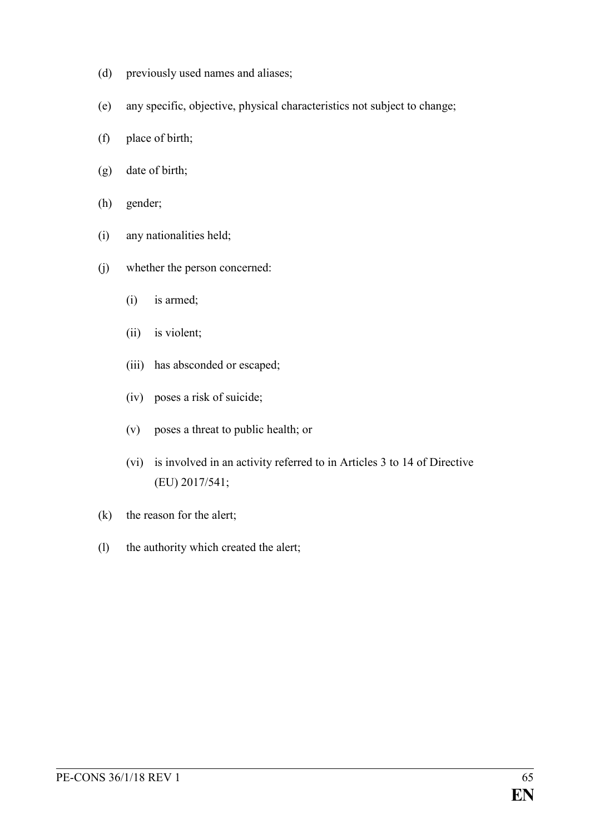- (d) previously used names and aliases;
- (e) any specific, objective, physical characteristics not subject to change;
- (f) place of birth;
- (g) date of birth;
- (h) gender;
- (i) any nationalities held;
- (j) whether the person concerned:
	- (i) is armed;
	- (ii) is violent;
	- (iii) has absconded or escaped;
	- (iv) poses a risk of suicide;
	- (v) poses a threat to public health; or
	- (vi) is involved in an activity referred to in Articles 3 to 14 of Directive (EU) 2017/541;
- (k) the reason for the alert;
- (l) the authority which created the alert;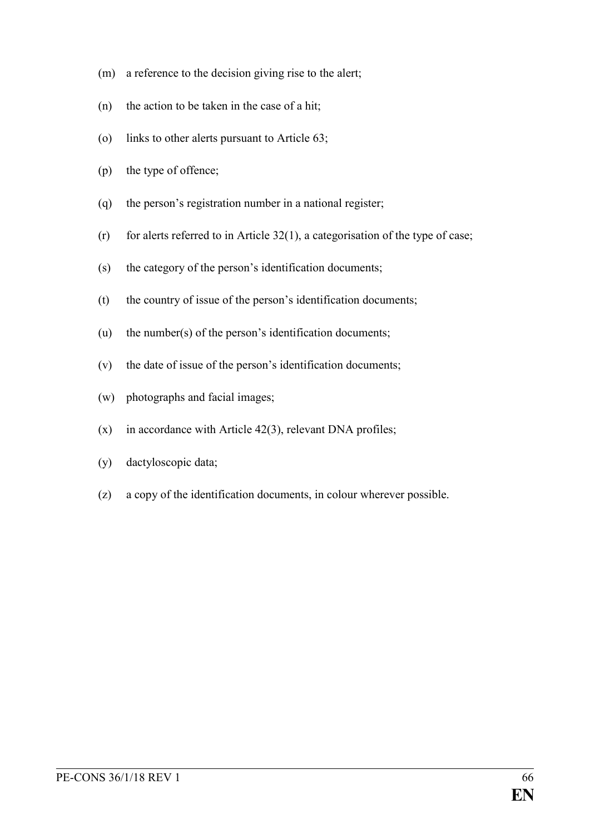- (m) a reference to the decision giving rise to the alert;
- (n) the action to be taken in the case of a hit;
- (o) links to other alerts pursuant to Article 63;
- (p) the type of offence;
- (q) the person's registration number in a national register;
- $(r)$  for alerts referred to in Article 32(1), a categorisation of the type of case;
- (s) the category of the person's identification documents;
- (t) the country of issue of the person's identification documents;
- (u) the number(s) of the person's identification documents;
- (v) the date of issue of the person's identification documents;
- (w) photographs and facial images;
- $(x)$  in accordance with Article 42(3), relevant DNA profiles;
- (y) dactyloscopic data;
- (z) a copy of the identification documents, in colour wherever possible.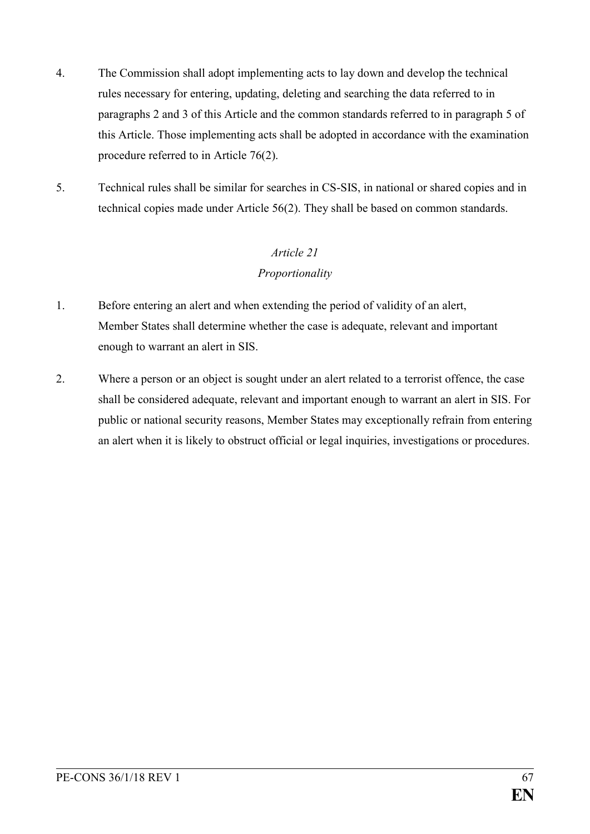- 4. The Commission shall adopt implementing acts to lay down and develop the technical rules necessary for entering, updating, deleting and searching the data referred to in paragraphs 2 and 3 of this Article and the common standards referred to in paragraph 5 of this Article. Those implementing acts shall be adopted in accordance with the examination procedure referred to in Article 76(2).
- 5. Technical rules shall be similar for searches in CS-SIS, in national or shared copies and in technical copies made under Article 56(2). They shall be based on common standards.

## *Article 21 Proportionality*

- 1. Before entering an alert and when extending the period of validity of an alert, Member States shall determine whether the case is adequate, relevant and important enough to warrant an alert in SIS.
- 2. Where a person or an object is sought under an alert related to a terrorist offence, the case shall be considered adequate, relevant and important enough to warrant an alert in SIS. For public or national security reasons, Member States may exceptionally refrain from entering an alert when it is likely to obstruct official or legal inquiries, investigations or procedures.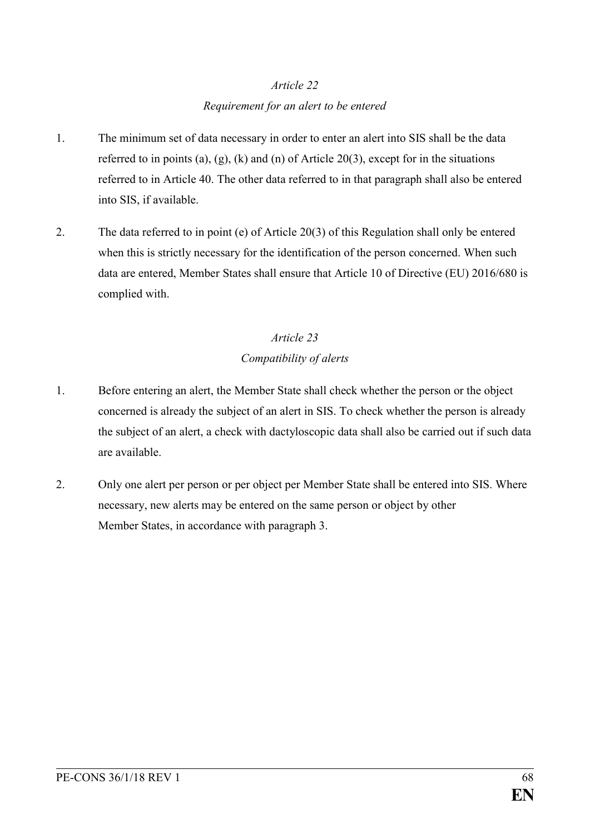## *Article 22 Requirement for an alert to be entered*

- 1. The minimum set of data necessary in order to enter an alert into SIS shall be the data referred to in points (a), (g), (k) and (n) of Article 20(3), except for in the situations referred to in Article 40. The other data referred to in that paragraph shall also be entered into SIS, if available.
- 2. The data referred to in point (e) of Article 20(3) of this Regulation shall only be entered when this is strictly necessary for the identification of the person concerned. When such data are entered, Member States shall ensure that Article 10 of Directive (EU) 2016/680 is complied with.

## *Article 23*

### *Compatibility of alerts*

- 1. Before entering an alert, the Member State shall check whether the person or the object concerned is already the subject of an alert in SIS. To check whether the person is already the subject of an alert, a check with dactyloscopic data shall also be carried out if such data are available.
- 2. Only one alert per person or per object per Member State shall be entered into SIS. Where necessary, new alerts may be entered on the same person or object by other Member States, in accordance with paragraph 3.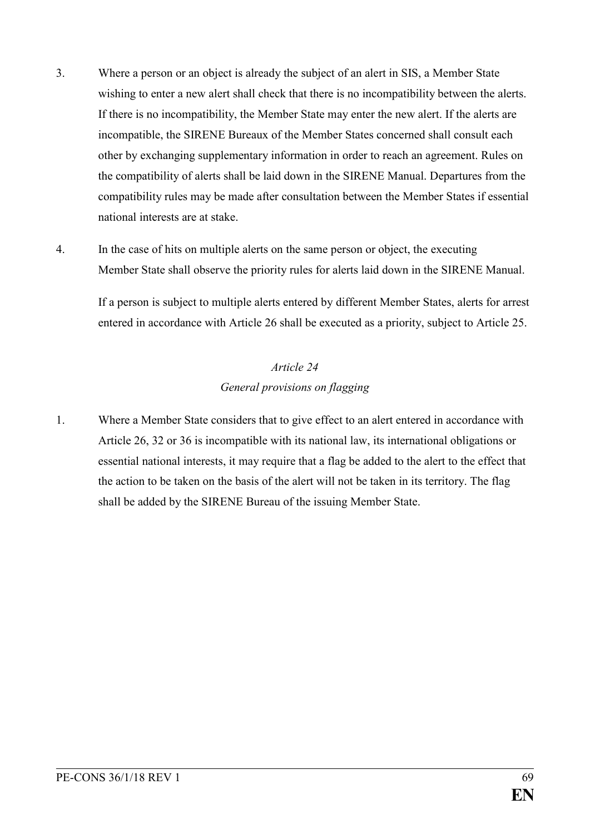- 3. Where a person or an object is already the subject of an alert in SIS, a Member State wishing to enter a new alert shall check that there is no incompatibility between the alerts. If there is no incompatibility, the Member State may enter the new alert. If the alerts are incompatible, the SIRENE Bureaux of the Member States concerned shall consult each other by exchanging supplementary information in order to reach an agreement. Rules on the compatibility of alerts shall be laid down in the SIRENE Manual. Departures from the compatibility rules may be made after consultation between the Member States if essential national interests are at stake.
- 4. In the case of hits on multiple alerts on the same person or object, the executing Member State shall observe the priority rules for alerts laid down in the SIRENE Manual.

If a person is subject to multiple alerts entered by different Member States, alerts for arrest entered in accordance with Article 26 shall be executed as a priority, subject to Article 25.

## *Article 24 General provisions on flagging*

1. Where a Member State considers that to give effect to an alert entered in accordance with Article 26, 32 or 36 is incompatible with its national law, its international obligations or essential national interests, it may require that a flag be added to the alert to the effect that the action to be taken on the basis of the alert will not be taken in its territory. The flag shall be added by the SIRENE Bureau of the issuing Member State.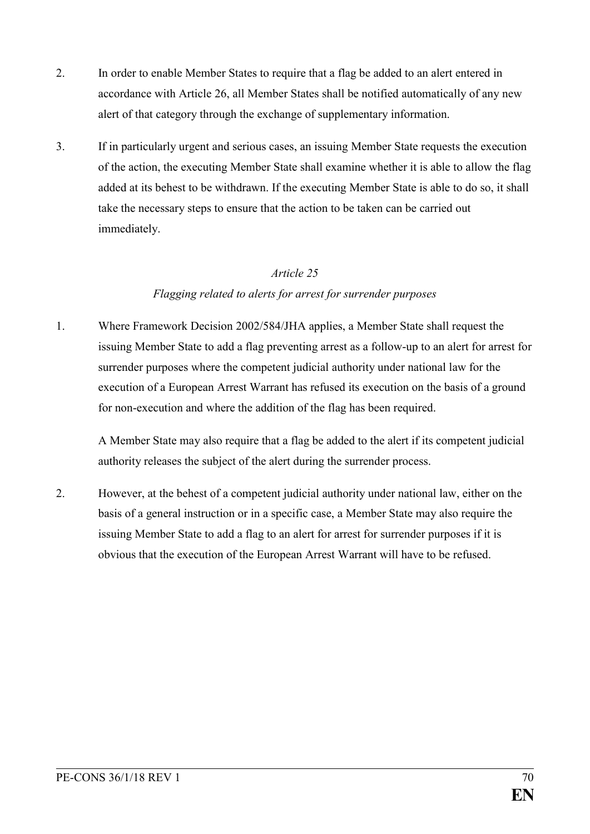- 2. In order to enable Member States to require that a flag be added to an alert entered in accordance with Article 26, all Member States shall be notified automatically of any new alert of that category through the exchange of supplementary information.
- 3. If in particularly urgent and serious cases, an issuing Member State requests the execution of the action, the executing Member State shall examine whether it is able to allow the flag added at its behest to be withdrawn. If the executing Member State is able to do so, it shall take the necessary steps to ensure that the action to be taken can be carried out immediately.

#### *Article 25*

### *Flagging related to alerts for arrest for surrender purposes*

1. Where Framework Decision 2002/584/JHA applies, a Member State shall request the issuing Member State to add a flag preventing arrest as a follow-up to an alert for arrest for surrender purposes where the competent judicial authority under national law for the execution of a European Arrest Warrant has refused its execution on the basis of a ground for non-execution and where the addition of the flag has been required.

A Member State may also require that a flag be added to the alert if its competent judicial authority releases the subject of the alert during the surrender process.

2. However, at the behest of a competent judicial authority under national law, either on the basis of a general instruction or in a specific case, a Member State may also require the issuing Member State to add a flag to an alert for arrest for surrender purposes if it is obvious that the execution of the European Arrest Warrant will have to be refused.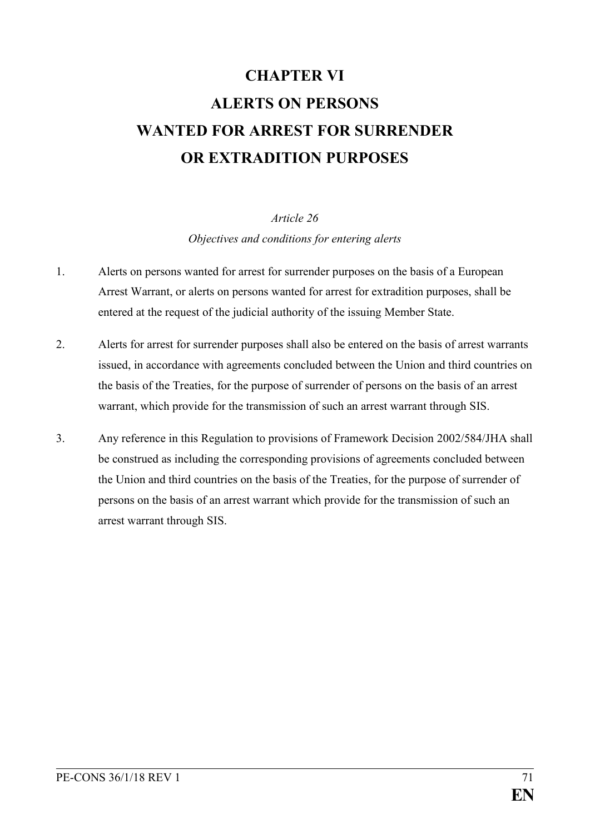# **CHAPTER VI ALERTS ON PERSONS WANTED FOR ARREST FOR SURRENDER OR EXTRADITION PURPOSES**

*Article 26 Objectives and conditions for entering alerts*

- 1. Alerts on persons wanted for arrest for surrender purposes on the basis of a European Arrest Warrant, or alerts on persons wanted for arrest for extradition purposes, shall be entered at the request of the judicial authority of the issuing Member State.
- 2. Alerts for arrest for surrender purposes shall also be entered on the basis of arrest warrants issued, in accordance with agreements concluded between the Union and third countries on the basis of the Treaties, for the purpose of surrender of persons on the basis of an arrest warrant, which provide for the transmission of such an arrest warrant through SIS.
- 3. Any reference in this Regulation to provisions of Framework Decision 2002/584/JHA shall be construed as including the corresponding provisions of agreements concluded between the Union and third countries on the basis of the Treaties, for the purpose of surrender of persons on the basis of an arrest warrant which provide for the transmission of such an arrest warrant through SIS.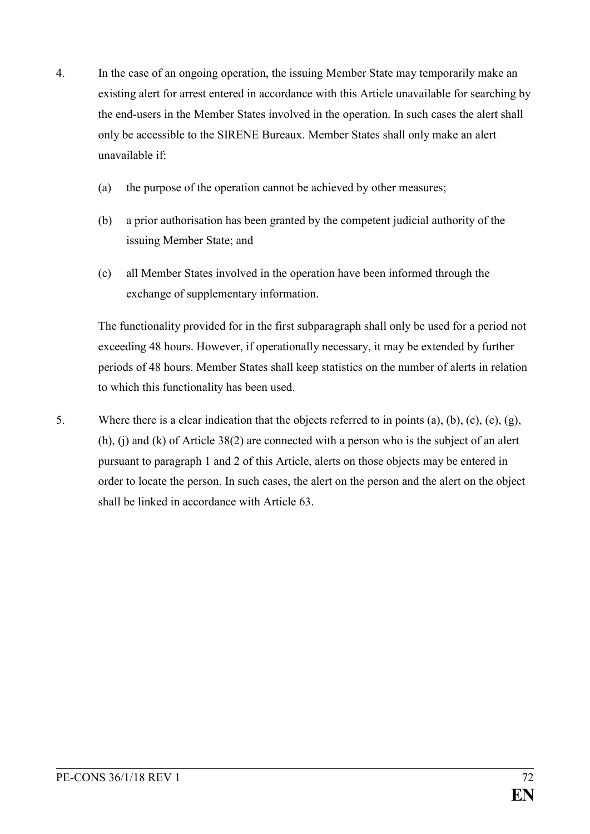- 4. In the case of an ongoing operation, the issuing Member State may temporarily make an existing alert for arrest entered in accordance with this Article unavailable for searching by the end-users in the Member States involved in the operation. In such cases the alert shall only be accessible to the SIRENE Bureaux. Member States shall only make an alert unavailable if:
	- (a) the purpose of the operation cannot be achieved by other measures;
	- (b) a prior authorisation has been granted by the competent judicial authority of the issuing Member State; and
	- (c) all Member States involved in the operation have been informed through the exchange of supplementary information.

The functionality provided for in the first subparagraph shall only be used for a period not exceeding 48 hours. However, if operationally necessary, it may be extended by further periods of 48 hours. Member States shall keep statistics on the number of alerts in relation to which this functionality has been used.

5. Where there is a clear indication that the objects referred to in points (a), (b), (c), (e), (g), (h), (j) and (k) of Article 38(2) are connected with a person who is the subject of an alert pursuant to paragraph 1 and 2 of this Article, alerts on those objects may be entered in order to locate the person. In such cases, the alert on the person and the alert on the object shall be linked in accordance with Article 63.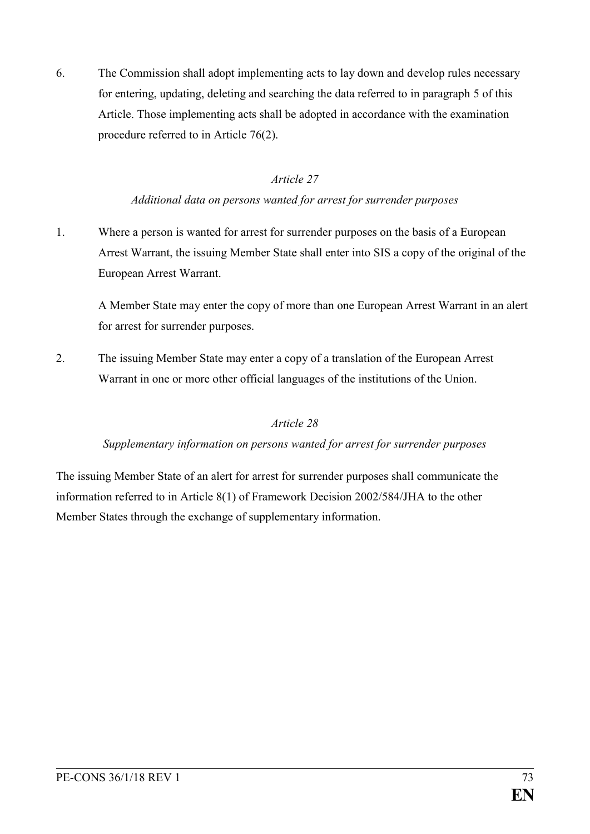6. The Commission shall adopt implementing acts to lay down and develop rules necessary for entering, updating, deleting and searching the data referred to in paragraph 5 of this Article. Those implementing acts shall be adopted in accordance with the examination procedure referred to in Article 76(2).

## *Article 27*

## *Additional data on persons wanted for arrest for surrender purposes*

1. Where a person is wanted for arrest for surrender purposes on the basis of a European Arrest Warrant, the issuing Member State shall enter into SIS a copy of the original of the European Arrest Warrant.

A Member State may enter the copy of more than one European Arrest Warrant in an alert for arrest for surrender purposes.

2. The issuing Member State may enter a copy of a translation of the European Arrest Warrant in one or more other official languages of the institutions of the Union.

## *Article 28*

## *Supplementary information on persons wanted for arrest for surrender purposes*

The issuing Member State of an alert for arrest for surrender purposes shall communicate the information referred to in Article 8(1) of Framework Decision 2002/584/JHA to the other Member States through the exchange of supplementary information.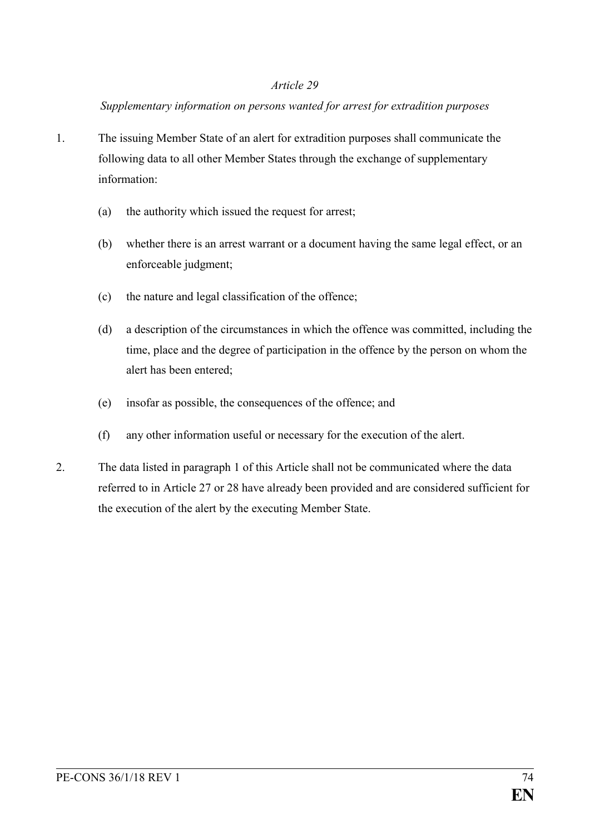### *Supplementary information on persons wanted for arrest for extradition purposes*

- 1. The issuing Member State of an alert for extradition purposes shall communicate the following data to all other Member States through the exchange of supplementary information:
	- (a) the authority which issued the request for arrest;
	- (b) whether there is an arrest warrant or a document having the same legal effect, or an enforceable judgment;
	- (c) the nature and legal classification of the offence;
	- (d) a description of the circumstances in which the offence was committed, including the time, place and the degree of participation in the offence by the person on whom the alert has been entered;
	- (e) insofar as possible, the consequences of the offence; and
	- (f) any other information useful or necessary for the execution of the alert.
- 2. The data listed in paragraph 1 of this Article shall not be communicated where the data referred to in Article 27 or 28 have already been provided and are considered sufficient for the execution of the alert by the executing Member State.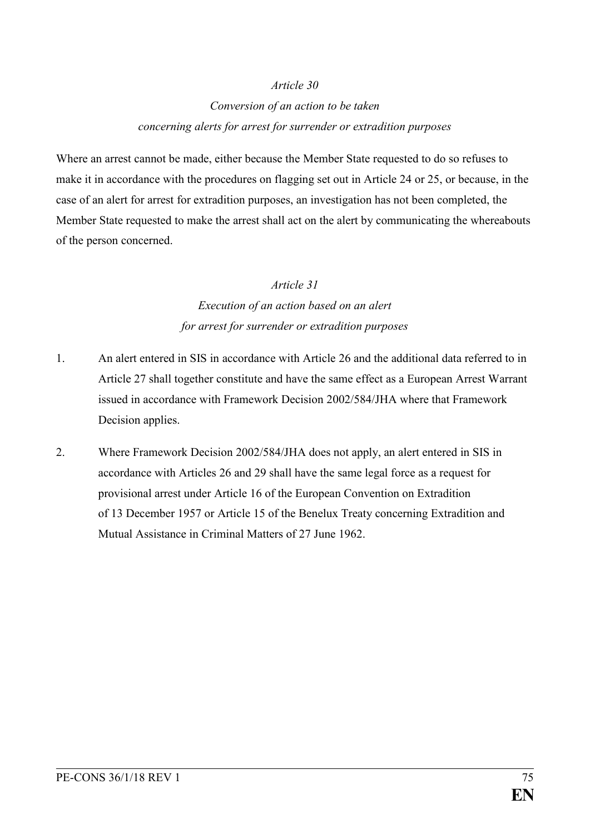## *Conversion of an action to be taken concerning alerts for arrest for surrender or extradition purposes*

Where an arrest cannot be made, either because the Member State requested to do so refuses to make it in accordance with the procedures on flagging set out in Article 24 or 25, or because, in the case of an alert for arrest for extradition purposes, an investigation has not been completed, the Member State requested to make the arrest shall act on the alert by communicating the whereabouts of the person concerned.

### *Article 31*

# *Execution of an action based on an alert for arrest for surrender or extradition purposes*

- 1. An alert entered in SIS in accordance with Article 26 and the additional data referred to in Article 27 shall together constitute and have the same effect as a European Arrest Warrant issued in accordance with Framework Decision 2002/584/JHA where that Framework Decision applies.
- 2. Where Framework Decision 2002/584/JHA does not apply, an alert entered in SIS in accordance with Articles 26 and 29 shall have the same legal force as a request for provisional arrest under Article 16 of the European Convention on Extradition of 13 December 1957 or Article 15 of the Benelux Treaty concerning Extradition and Mutual Assistance in Criminal Matters of 27 June 1962.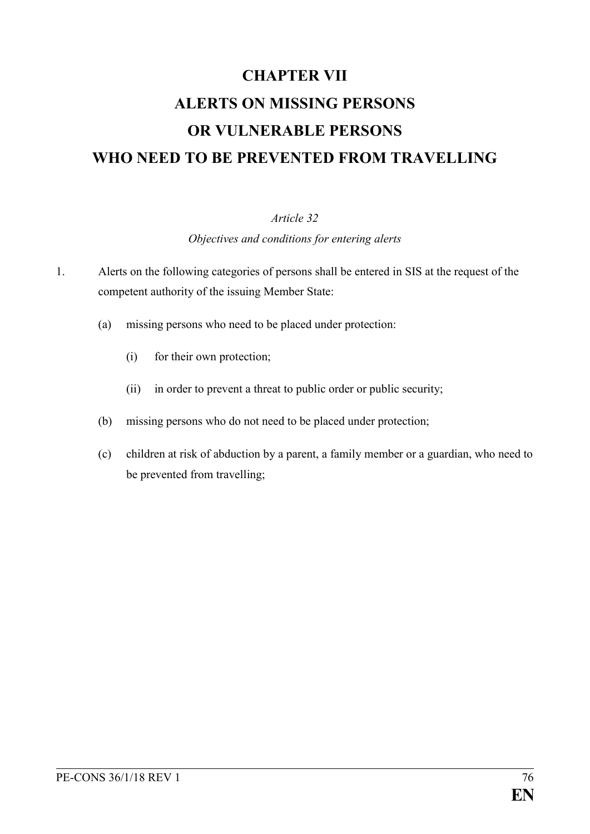# **CHAPTER VII ALERTS ON MISSING PERSONS OR VULNERABLE PERSONS WHO NEED TO BE PREVENTED FROM TRAVELLING**

## *Article 32*

*Objectives and conditions for entering alerts*

- 1. Alerts on the following categories of persons shall be entered in SIS at the request of the competent authority of the issuing Member State:
	- (a) missing persons who need to be placed under protection:
		- (i) for their own protection;
		- (ii) in order to prevent a threat to public order or public security;
	- (b) missing persons who do not need to be placed under protection;
	- (c) children at risk of abduction by a parent, a family member or a guardian, who need to be prevented from travelling;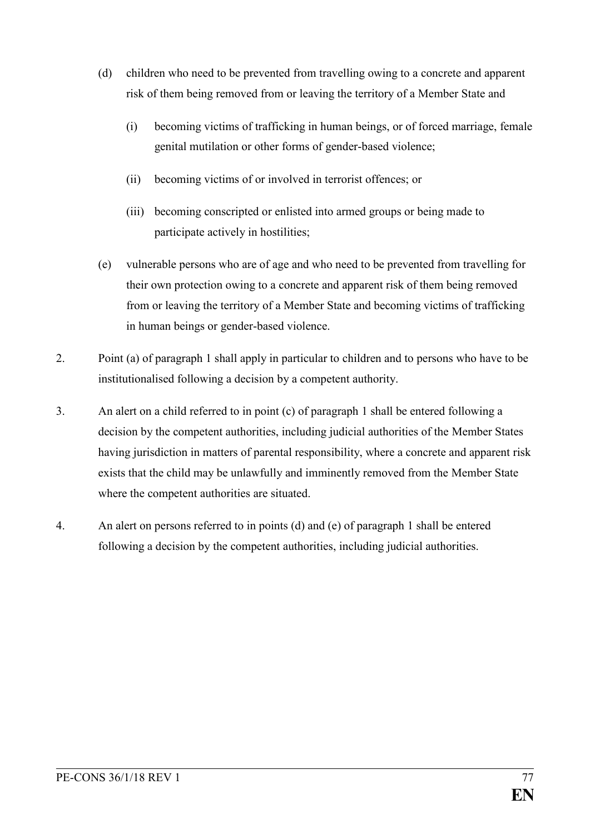- (d) children who need to be prevented from travelling owing to a concrete and apparent risk of them being removed from or leaving the territory of a Member State and
	- (i) becoming victims of trafficking in human beings, or of forced marriage, female genital mutilation or other forms of gender-based violence;
	- (ii) becoming victims of or involved in terrorist offences; or
	- (iii) becoming conscripted or enlisted into armed groups or being made to participate actively in hostilities;
- (e) vulnerable persons who are of age and who need to be prevented from travelling for their own protection owing to a concrete and apparent risk of them being removed from or leaving the territory of a Member State and becoming victims of trafficking in human beings or gender-based violence.
- 2. Point (a) of paragraph 1 shall apply in particular to children and to persons who have to be institutionalised following a decision by a competent authority.
- 3. An alert on a child referred to in point (c) of paragraph 1 shall be entered following a decision by the competent authorities, including judicial authorities of the Member States having jurisdiction in matters of parental responsibility, where a concrete and apparent risk exists that the child may be unlawfully and imminently removed from the Member State where the competent authorities are situated.
- 4. An alert on persons referred to in points (d) and (e) of paragraph 1 shall be entered following a decision by the competent authorities, including judicial authorities.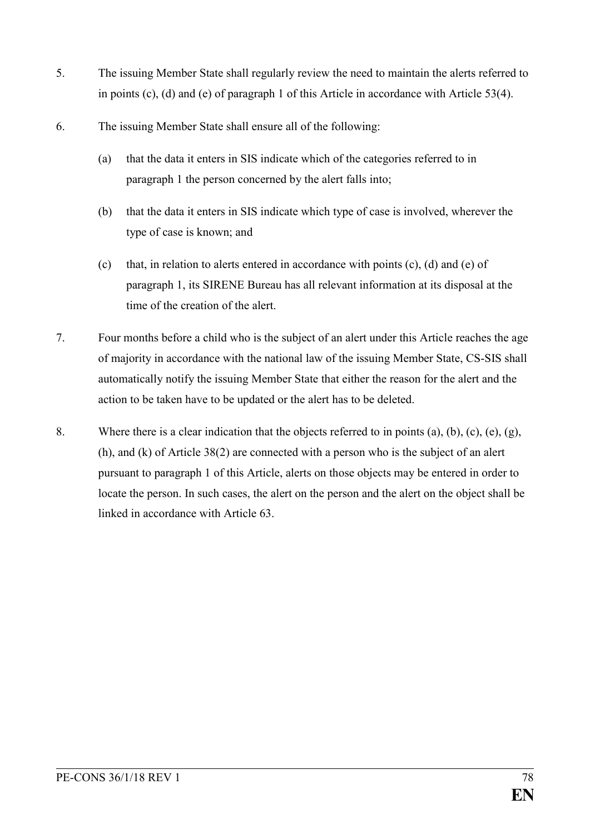- 5. The issuing Member State shall regularly review the need to maintain the alerts referred to in points (c), (d) and (e) of paragraph 1 of this Article in accordance with Article 53(4).
- 6. The issuing Member State shall ensure all of the following:
	- (a) that the data it enters in SIS indicate which of the categories referred to in paragraph 1 the person concerned by the alert falls into;
	- (b) that the data it enters in SIS indicate which type of case is involved, wherever the type of case is known; and
	- (c) that, in relation to alerts entered in accordance with points (c), (d) and (e) of paragraph 1, its SIRENE Bureau has all relevant information at its disposal at the time of the creation of the alert.
- 7. Four months before a child who is the subject of an alert under this Article reaches the age of majority in accordance with the national law of the issuing Member State, CS-SIS shall automatically notify the issuing Member State that either the reason for the alert and the action to be taken have to be updated or the alert has to be deleted.
- 8. Where there is a clear indication that the objects referred to in points (a), (b), (c), (e), (g), (h), and (k) of Article 38(2) are connected with a person who is the subject of an alert pursuant to paragraph 1 of this Article, alerts on those objects may be entered in order to locate the person. In such cases, the alert on the person and the alert on the object shall be linked in accordance with Article 63.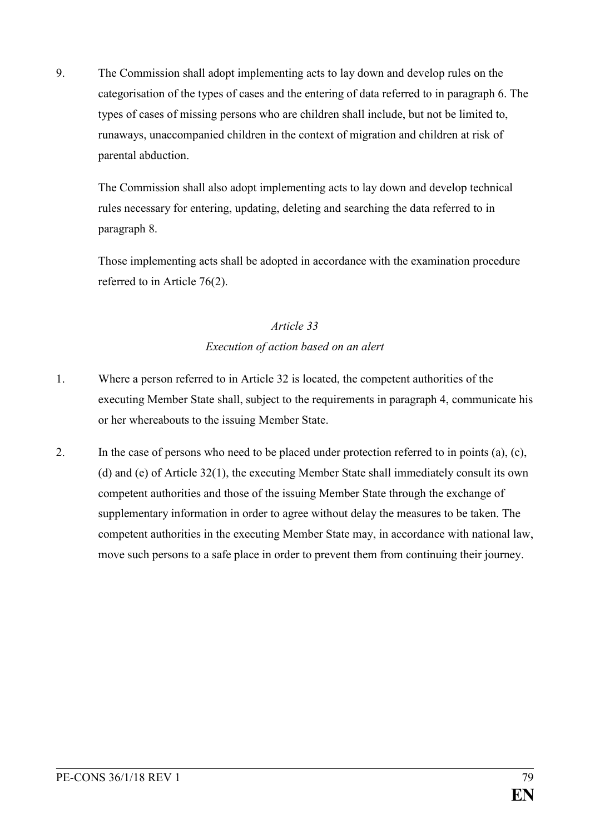9. The Commission shall adopt implementing acts to lay down and develop rules on the categorisation of the types of cases and the entering of data referred to in paragraph 6. The types of cases of missing persons who are children shall include, but not be limited to, runaways, unaccompanied children in the context of migration and children at risk of parental abduction.

The Commission shall also adopt implementing acts to lay down and develop technical rules necessary for entering, updating, deleting and searching the data referred to in paragraph 8.

Those implementing acts shall be adopted in accordance with the examination procedure referred to in Article 76(2).

## *Article 33 Execution of action based on an alert*

- 1. Where a person referred to in Article 32 is located, the competent authorities of the executing Member State shall, subject to the requirements in paragraph 4, communicate his or her whereabouts to the issuing Member State.
- 2. In the case of persons who need to be placed under protection referred to in points (a), (c), (d) and (e) of Article 32(1), the executing Member State shall immediately consult its own competent authorities and those of the issuing Member State through the exchange of supplementary information in order to agree without delay the measures to be taken. The competent authorities in the executing Member State may, in accordance with national law, move such persons to a safe place in order to prevent them from continuing their journey.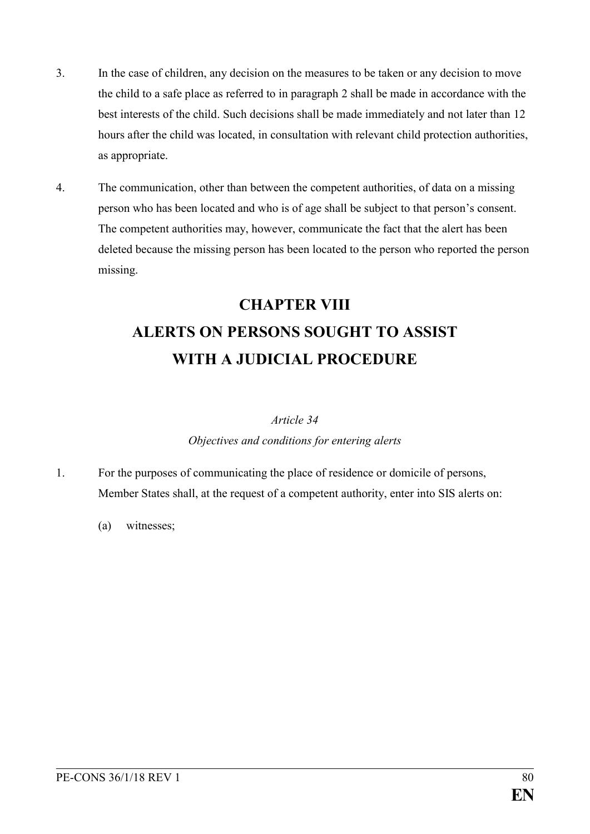- 3. In the case of children, any decision on the measures to be taken or any decision to move the child to a safe place as referred to in paragraph 2 shall be made in accordance with the best interests of the child. Such decisions shall be made immediately and not later than 12 hours after the child was located, in consultation with relevant child protection authorities, as appropriate.
- 4. The communication, other than between the competent authorities, of data on a missing person who has been located and who is of age shall be subject to that person's consent. The competent authorities may, however, communicate the fact that the alert has been deleted because the missing person has been located to the person who reported the person missing.

# **CHAPTER VIII ALERTS ON PERSONS SOUGHT TO ASSIST WITH A JUDICIAL PROCEDURE**

## *Article 34*

## *Objectives and conditions for entering alerts*

- 1. For the purposes of communicating the place of residence or domicile of persons, Member States shall, at the request of a competent authority, enter into SIS alerts on:
	- (a) witnesses;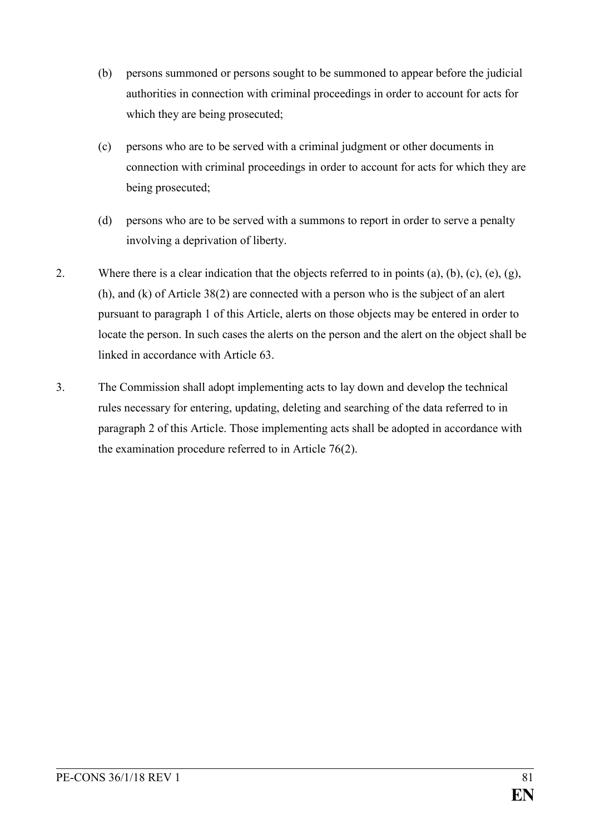- (b) persons summoned or persons sought to be summoned to appear before the judicial authorities in connection with criminal proceedings in order to account for acts for which they are being prosecuted;
- (c) persons who are to be served with a criminal judgment or other documents in connection with criminal proceedings in order to account for acts for which they are being prosecuted;
- (d) persons who are to be served with a summons to report in order to serve a penalty involving a deprivation of liberty.
- 2. Where there is a clear indication that the objects referred to in points (a), (b), (c), (e), (g), (h), and (k) of Article 38(2) are connected with a person who is the subject of an alert pursuant to paragraph 1 of this Article, alerts on those objects may be entered in order to locate the person. In such cases the alerts on the person and the alert on the object shall be linked in accordance with Article 63.
- 3. The Commission shall adopt implementing acts to lay down and develop the technical rules necessary for entering, updating, deleting and searching of the data referred to in paragraph 2 of this Article. Those implementing acts shall be adopted in accordance with the examination procedure referred to in Article 76(2).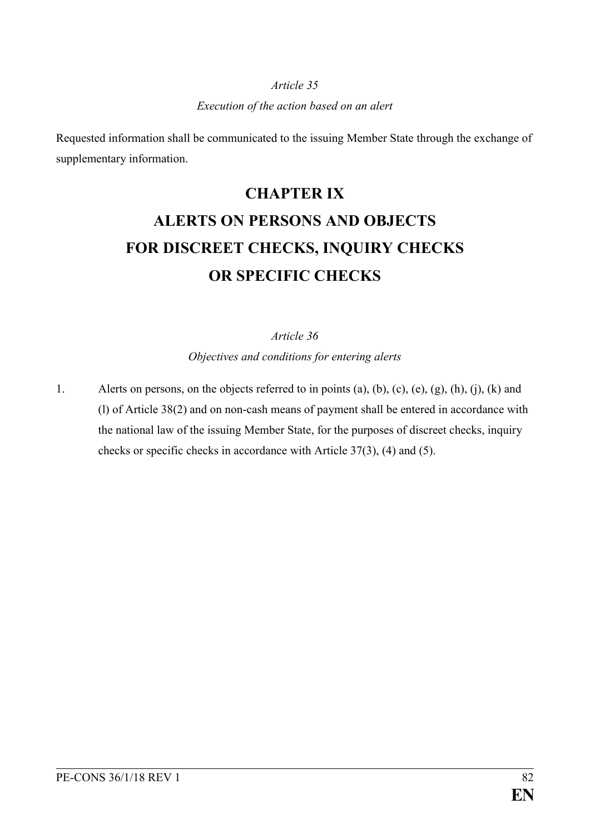## *Execution of the action based on an alert*

Requested information shall be communicated to the issuing Member State through the exchange of supplementary information.

# **CHAPTER IX ALERTS ON PERSONS AND OBJECTS FOR DISCREET CHECKS, INQUIRY CHECKS OR SPECIFIC CHECKS**

*Article 36*

*Objectives and conditions for entering alerts*

1. Alerts on persons, on the objects referred to in points (a), (b), (c), (e), (g), (h), (j), (k) and (l) of Article 38(2) and on non-cash means of payment shall be entered in accordance with the national law of the issuing Member State, for the purposes of discreet checks, inquiry checks or specific checks in accordance with Article 37(3), (4) and (5).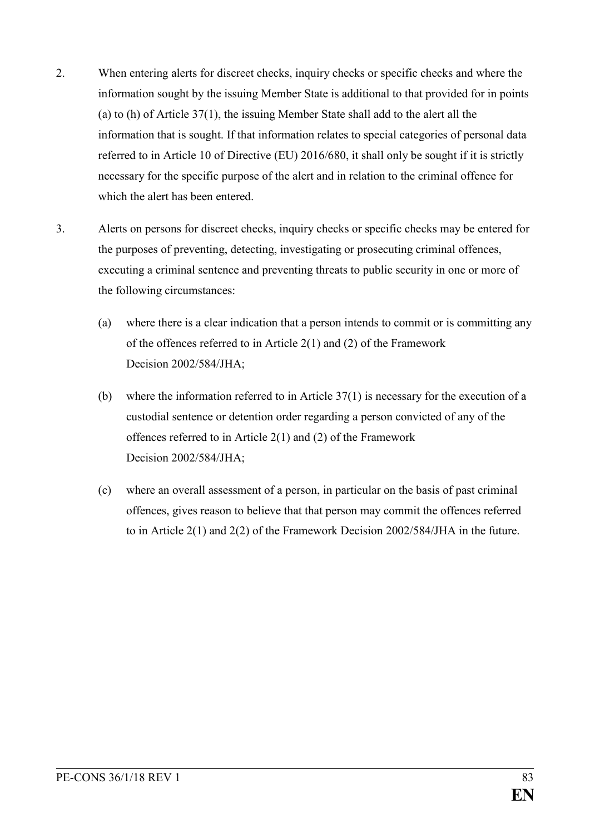- 2. When entering alerts for discreet checks, inquiry checks or specific checks and where the information sought by the issuing Member State is additional to that provided for in points (a) to (h) of Article 37(1), the issuing Member State shall add to the alert all the information that is sought. If that information relates to special categories of personal data referred to in Article 10 of Directive (EU) 2016/680, it shall only be sought if it is strictly necessary for the specific purpose of the alert and in relation to the criminal offence for which the alert has been entered.
- 3. Alerts on persons for discreet checks, inquiry checks or specific checks may be entered for the purposes of preventing, detecting, investigating or prosecuting criminal offences, executing a criminal sentence and preventing threats to public security in one or more of the following circumstances:
	- (a) where there is a clear indication that a person intends to commit or is committing any of the offences referred to in Article 2(1) and (2) of the Framework Decision 2002/584/JHA;
	- (b) where the information referred to in Article 37(1) is necessary for the execution of a custodial sentence or detention order regarding a person convicted of any of the offences referred to in Article 2(1) and (2) of the Framework Decision 2002/584/JHA;
	- (c) where an overall assessment of a person, in particular on the basis of past criminal offences, gives reason to believe that that person may commit the offences referred to in Article 2(1) and 2(2) of the Framework Decision 2002/584/JHA in the future.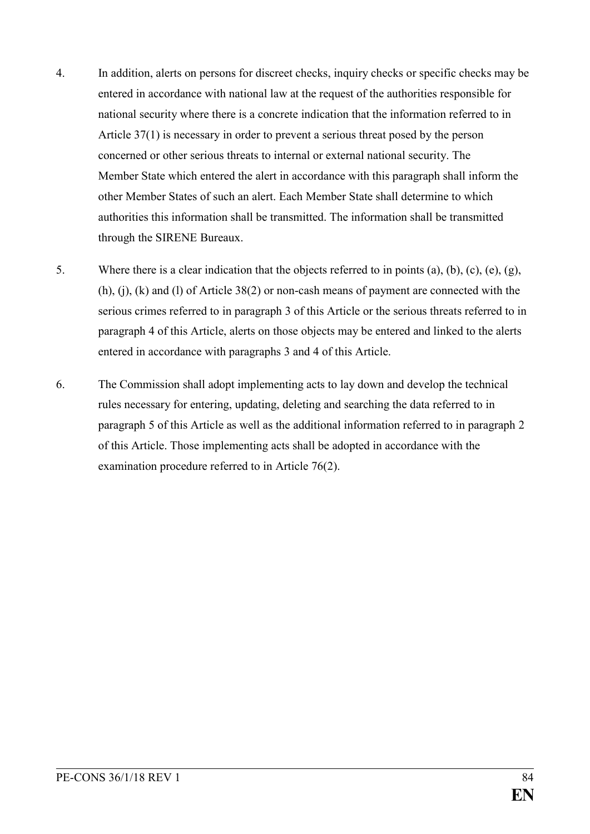- 4. In addition, alerts on persons for discreet checks, inquiry checks or specific checks may be entered in accordance with national law at the request of the authorities responsible for national security where there is a concrete indication that the information referred to in Article 37(1) is necessary in order to prevent a serious threat posed by the person concerned or other serious threats to internal or external national security. The Member State which entered the alert in accordance with this paragraph shall inform the other Member States of such an alert. Each Member State shall determine to which authorities this information shall be transmitted. The information shall be transmitted through the SIRENE Bureaux.
- 5. Where there is a clear indication that the objects referred to in points (a), (b), (c), (e), (g), (h), (j), (k) and (l) of Article 38(2) or non-cash means of payment are connected with the serious crimes referred to in paragraph 3 of this Article or the serious threats referred to in paragraph 4 of this Article, alerts on those objects may be entered and linked to the alerts entered in accordance with paragraphs 3 and 4 of this Article.
- 6. The Commission shall adopt implementing acts to lay down and develop the technical rules necessary for entering, updating, deleting and searching the data referred to in paragraph 5 of this Article as well as the additional information referred to in paragraph 2 of this Article. Those implementing acts shall be adopted in accordance with the examination procedure referred to in Article 76(2).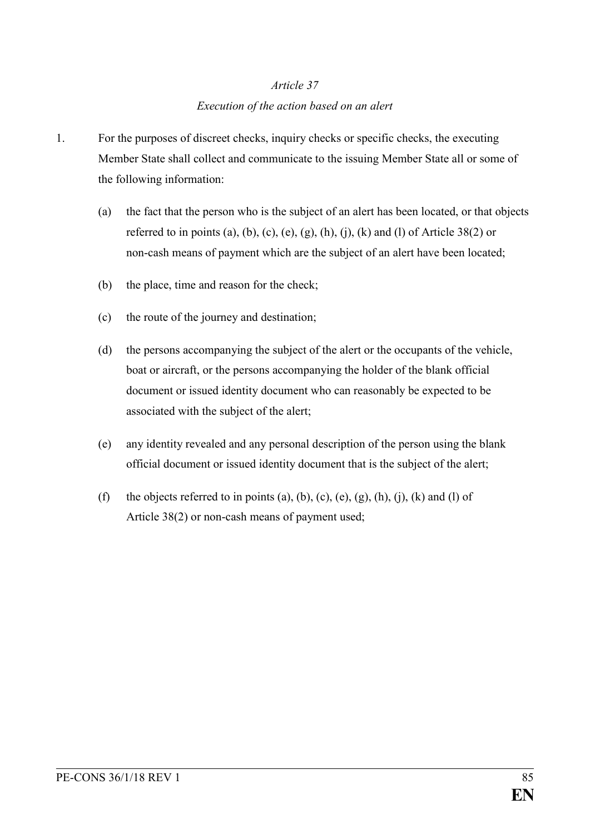# *Article 37 Execution of the action based on an alert*

- 1. For the purposes of discreet checks, inquiry checks or specific checks, the executing Member State shall collect and communicate to the issuing Member State all or some of the following information:
	- (a) the fact that the person who is the subject of an alert has been located, or that objects referred to in points (a), (b), (c), (e), (g), (h), (j), (k) and (l) of Article 38(2) or non-cash means of payment which are the subject of an alert have been located;
	- (b) the place, time and reason for the check;
	- (c) the route of the journey and destination;
	- (d) the persons accompanying the subject of the alert or the occupants of the vehicle, boat or aircraft, or the persons accompanying the holder of the blank official document or issued identity document who can reasonably be expected to be associated with the subject of the alert;
	- (e) any identity revealed and any personal description of the person using the blank official document or issued identity document that is the subject of the alert;
	- (f) the objects referred to in points (a), (b), (c), (e), (g), (h), (j), (k) and (l) of Article 38(2) or non-cash means of payment used;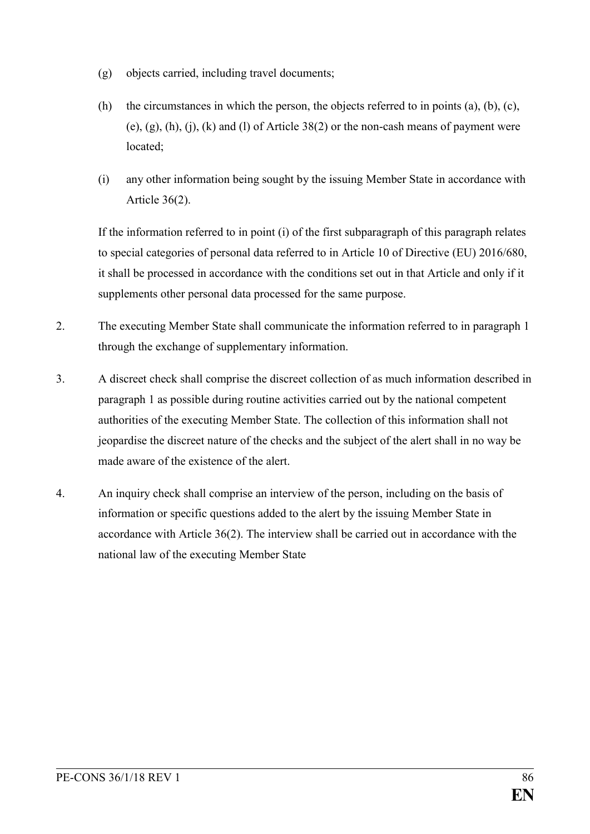- (g) objects carried, including travel documents;
- (h) the circumstances in which the person, the objects referred to in points (a), (b), (c), (e), (g), (h), (i), (k) and (l) of Article  $38(2)$  or the non-cash means of payment were located;
- (i) any other information being sought by the issuing Member State in accordance with Article 36(2).

If the information referred to in point (i) of the first subparagraph of this paragraph relates to special categories of personal data referred to in Article 10 of Directive (EU) 2016/680, it shall be processed in accordance with the conditions set out in that Article and only if it supplements other personal data processed for the same purpose.

- 2. The executing Member State shall communicate the information referred to in paragraph 1 through the exchange of supplementary information.
- 3. A discreet check shall comprise the discreet collection of as much information described in paragraph 1 as possible during routine activities carried out by the national competent authorities of the executing Member State. The collection of this information shall not jeopardise the discreet nature of the checks and the subject of the alert shall in no way be made aware of the existence of the alert.
- 4. An inquiry check shall comprise an interview of the person, including on the basis of information or specific questions added to the alert by the issuing Member State in accordance with Article 36(2). The interview shall be carried out in accordance with the national law of the executing Member State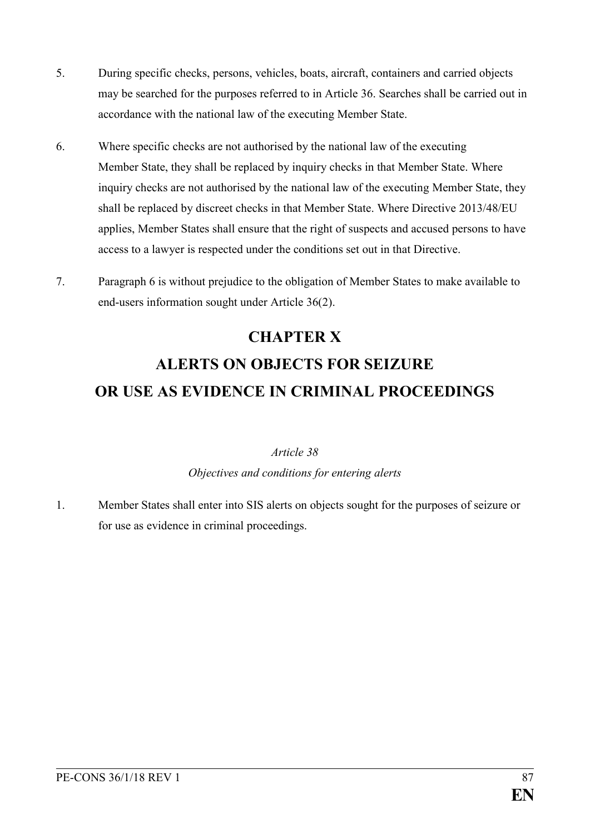- 5. During specific checks, persons, vehicles, boats, aircraft, containers and carried objects may be searched for the purposes referred to in Article 36. Searches shall be carried out in accordance with the national law of the executing Member State.
- 6. Where specific checks are not authorised by the national law of the executing Member State, they shall be replaced by inquiry checks in that Member State. Where inquiry checks are not authorised by the national law of the executing Member State, they shall be replaced by discreet checks in that Member State. Where Directive 2013/48/EU applies, Member States shall ensure that the right of suspects and accused persons to have access to a lawyer is respected under the conditions set out in that Directive.
- 7. Paragraph 6 is without prejudice to the obligation of Member States to make available to end-users information sought under Article 36(2).

# **CHAPTER X ALERTS ON OBJECTS FOR SEIZURE OR USE AS EVIDENCE IN CRIMINAL PROCEEDINGS**

## *Article 38 Objectives and conditions for entering alerts*

1. Member States shall enter into SIS alerts on objects sought for the purposes of seizure or for use as evidence in criminal proceedings.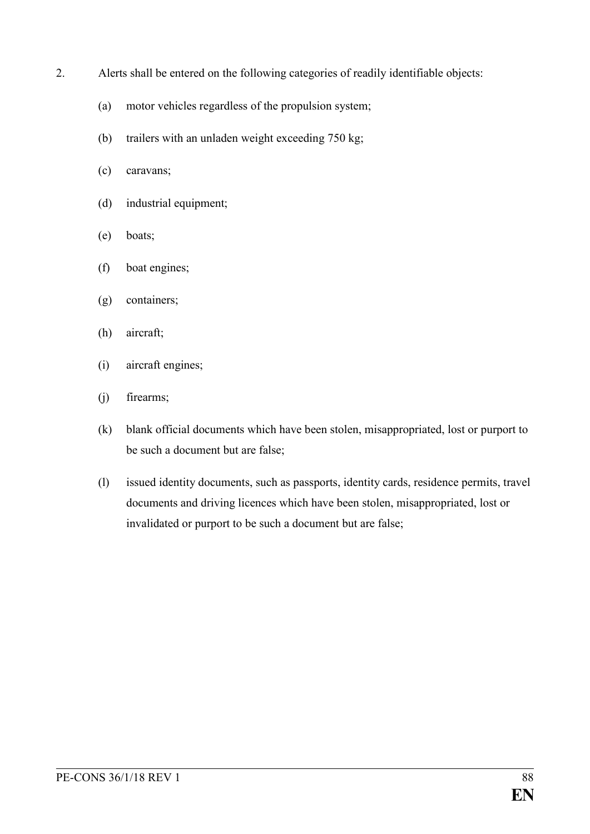- 2. Alerts shall be entered on the following categories of readily identifiable objects:
	- (a) motor vehicles regardless of the propulsion system;
	- (b) trailers with an unladen weight exceeding 750 kg;
	- (c) caravans;
	- (d) industrial equipment;
	- (e) boats;
	- (f) boat engines;
	- (g) containers;
	- (h) aircraft;
	- (i) aircraft engines;
	- (j) firearms;
	- (k) blank official documents which have been stolen, misappropriated, lost or purport to be such a document but are false;
	- (l) issued identity documents, such as passports, identity cards, residence permits, travel documents and driving licences which have been stolen, misappropriated, lost or invalidated or purport to be such a document but are false;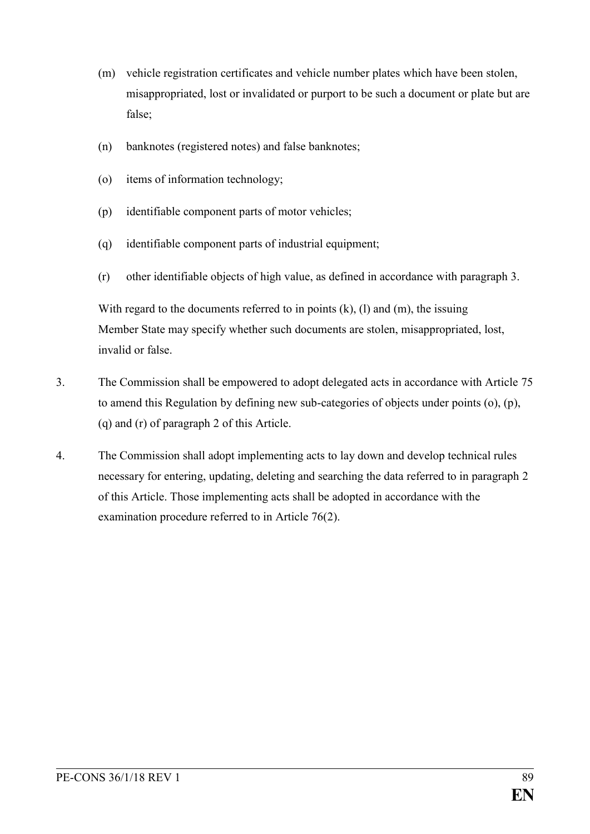- (m) vehicle registration certificates and vehicle number plates which have been stolen, misappropriated, lost or invalidated or purport to be such a document or plate but are false;
- (n) banknotes (registered notes) and false banknotes;
- (o) items of information technology;
- (p) identifiable component parts of motor vehicles;
- (q) identifiable component parts of industrial equipment;
- (r) other identifiable objects of high value, as defined in accordance with paragraph 3.

With regard to the documents referred to in points  $(k)$ ,  $(l)$  and  $(m)$ , the issuing Member State may specify whether such documents are stolen, misappropriated, lost, invalid or false.

- 3. The Commission shall be empowered to adopt delegated acts in accordance with Article 75 to amend this Regulation by defining new sub-categories of objects under points (o), (p), (q) and (r) of paragraph 2 of this Article.
- 4. The Commission shall adopt implementing acts to lay down and develop technical rules necessary for entering, updating, deleting and searching the data referred to in paragraph 2 of this Article. Those implementing acts shall be adopted in accordance with the examination procedure referred to in Article 76(2).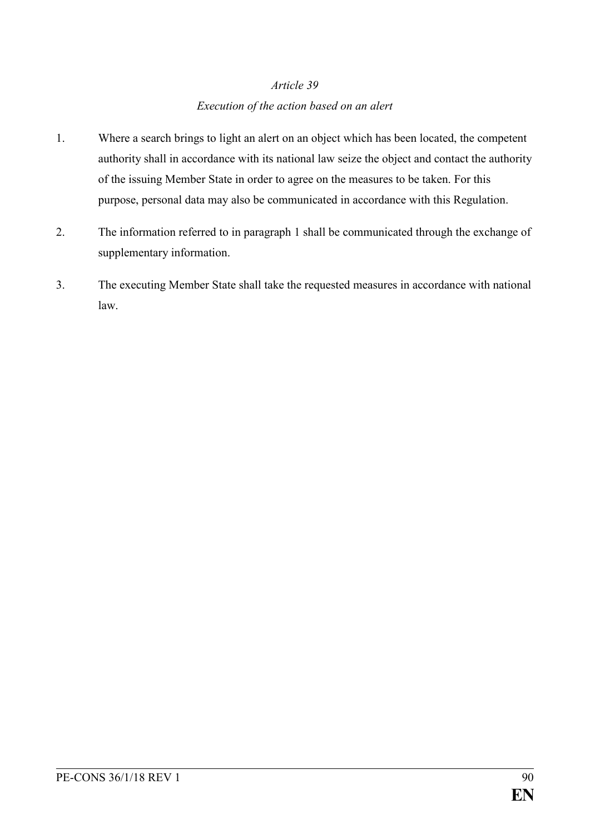## *Execution of the action based on an alert*

- 1. Where a search brings to light an alert on an object which has been located, the competent authority shall in accordance with its national law seize the object and contact the authority of the issuing Member State in order to agree on the measures to be taken. For this purpose, personal data may also be communicated in accordance with this Regulation.
- 2. The information referred to in paragraph 1 shall be communicated through the exchange of supplementary information.
- 3. The executing Member State shall take the requested measures in accordance with national law.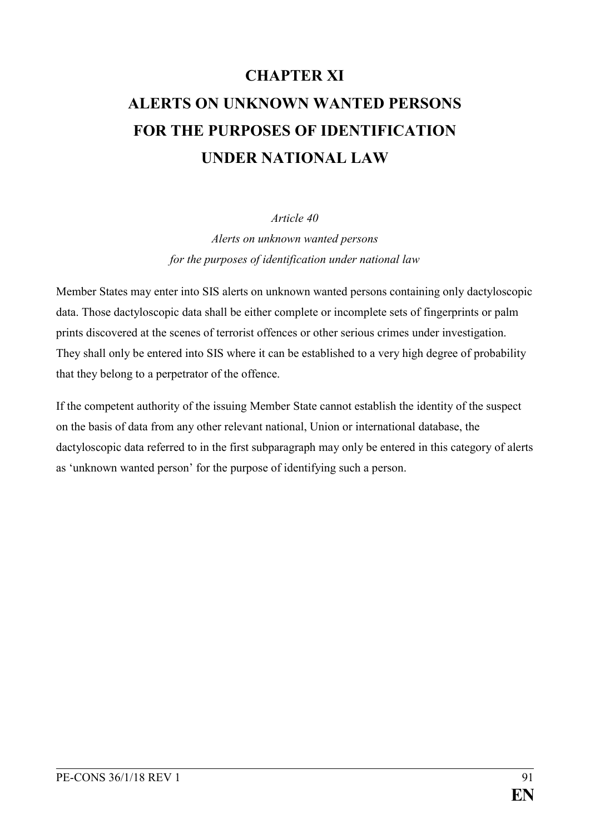# **CHAPTER XI ALERTS ON UNKNOWN WANTED PERSONS FOR THE PURPOSES OF IDENTIFICATION UNDER NATIONAL LAW**

## *Article 40*

*Alerts on unknown wanted persons for the purposes of identification under national law*

Member States may enter into SIS alerts on unknown wanted persons containing only dactyloscopic data. Those dactyloscopic data shall be either complete or incomplete sets of fingerprints or palm prints discovered at the scenes of terrorist offences or other serious crimes under investigation. They shall only be entered into SIS where it can be established to a very high degree of probability that they belong to a perpetrator of the offence.

If the competent authority of the issuing Member State cannot establish the identity of the suspect on the basis of data from any other relevant national, Union or international database, the dactyloscopic data referred to in the first subparagraph may only be entered in this category of alerts as 'unknown wanted person' for the purpose of identifying such a person.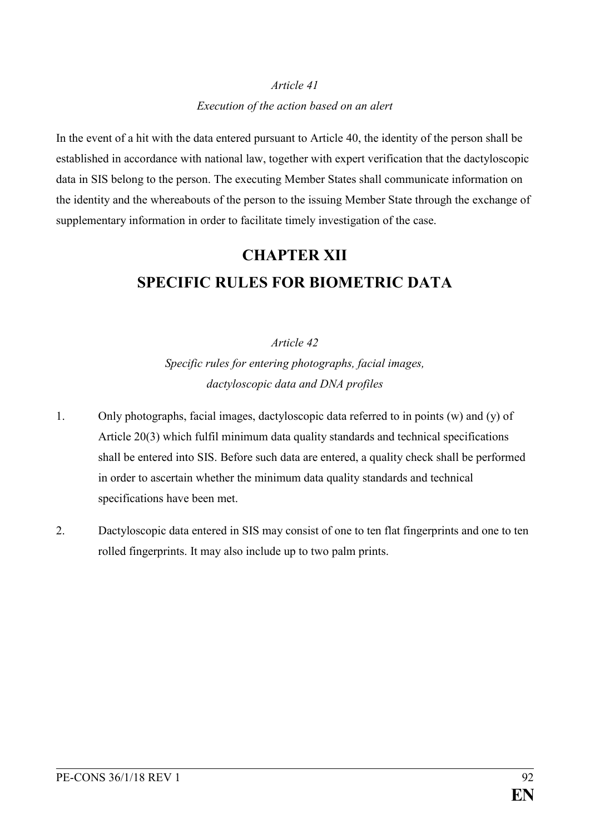# *Article 41 Execution of the action based on an alert*

In the event of a hit with the data entered pursuant to Article 40, the identity of the person shall be established in accordance with national law, together with expert verification that the dactyloscopic data in SIS belong to the person. The executing Member States shall communicate information on the identity and the whereabouts of the person to the issuing Member State through the exchange of supplementary information in order to facilitate timely investigation of the case.

# **CHAPTER XII SPECIFIC RULES FOR BIOMETRIC DATA**

## *Article 42*

*Specific rules for entering photographs, facial images, dactyloscopic data and DNA profiles*

- 1. Only photographs, facial images, dactyloscopic data referred to in points (w) and (y) of Article 20(3) which fulfil minimum data quality standards and technical specifications shall be entered into SIS. Before such data are entered, a quality check shall be performed in order to ascertain whether the minimum data quality standards and technical specifications have been met.
- 2. Dactyloscopic data entered in SIS may consist of one to ten flat fingerprints and one to ten rolled fingerprints. It may also include up to two palm prints.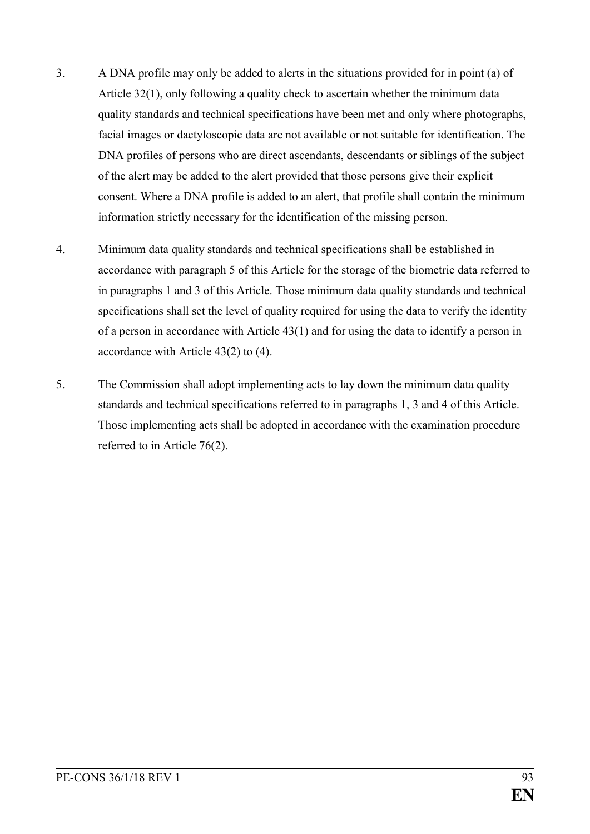- 3. A DNA profile may only be added to alerts in the situations provided for in point (a) of Article 32(1), only following a quality check to ascertain whether the minimum data quality standards and technical specifications have been met and only where photographs, facial images or dactyloscopic data are not available or not suitable for identification. The DNA profiles of persons who are direct ascendants, descendants or siblings of the subject of the alert may be added to the alert provided that those persons give their explicit consent. Where a DNA profile is added to an alert, that profile shall contain the minimum information strictly necessary for the identification of the missing person.
- 4. Minimum data quality standards and technical specifications shall be established in accordance with paragraph 5 of this Article for the storage of the biometric data referred to in paragraphs 1 and 3 of this Article. Those minimum data quality standards and technical specifications shall set the level of quality required for using the data to verify the identity of a person in accordance with Article 43(1) and for using the data to identify a person in accordance with Article 43(2) to (4).
- 5. The Commission shall adopt implementing acts to lay down the minimum data quality standards and technical specifications referred to in paragraphs 1, 3 and 4 of this Article. Those implementing acts shall be adopted in accordance with the examination procedure referred to in Article 76(2).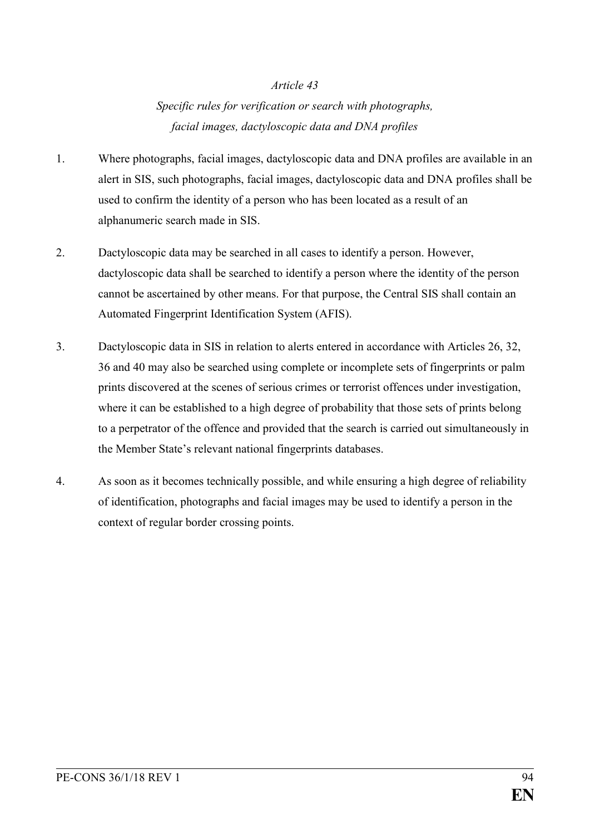*Specific rules for verification or search with photographs, facial images, dactyloscopic data and DNA profiles*

- 1. Where photographs, facial images, dactyloscopic data and DNA profiles are available in an alert in SIS, such photographs, facial images, dactyloscopic data and DNA profiles shall be used to confirm the identity of a person who has been located as a result of an alphanumeric search made in SIS.
- 2. Dactyloscopic data may be searched in all cases to identify a person. However, dactyloscopic data shall be searched to identify a person where the identity of the person cannot be ascertained by other means. For that purpose, the Central SIS shall contain an Automated Fingerprint Identification System (AFIS).
- 3. Dactyloscopic data in SIS in relation to alerts entered in accordance with Articles 26, 32, 36 and 40 may also be searched using complete or incomplete sets of fingerprints or palm prints discovered at the scenes of serious crimes or terrorist offences under investigation, where it can be established to a high degree of probability that those sets of prints belong to a perpetrator of the offence and provided that the search is carried out simultaneously in the Member State's relevant national fingerprints databases.
- 4. As soon as it becomes technically possible, and while ensuring a high degree of reliability of identification, photographs and facial images may be used to identify a person in the context of regular border crossing points.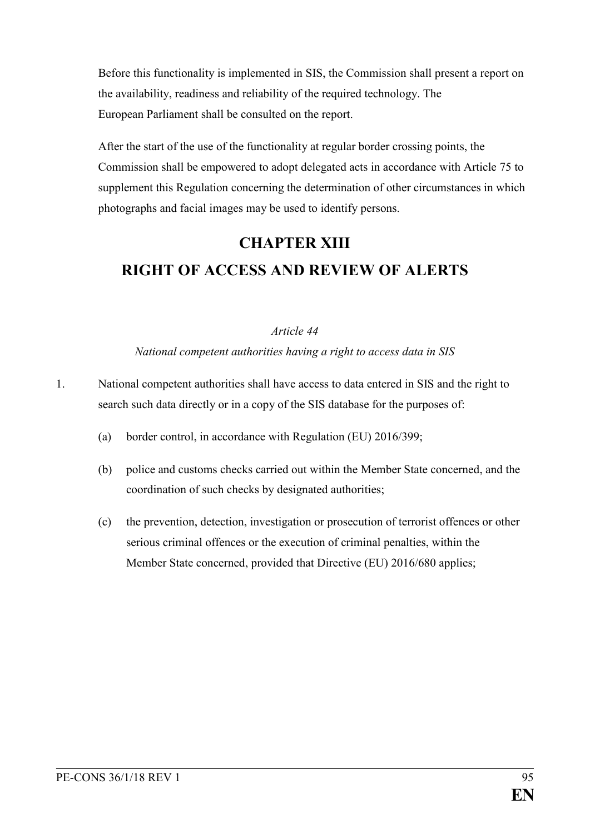Before this functionality is implemented in SIS, the Commission shall present a report on the availability, readiness and reliability of the required technology. The European Parliament shall be consulted on the report.

After the start of the use of the functionality at regular border crossing points, the Commission shall be empowered to adopt delegated acts in accordance with Article 75 to supplement this Regulation concerning the determination of other circumstances in which photographs and facial images may be used to identify persons.

# **CHAPTER XIII RIGHT OF ACCESS AND REVIEW OF ALERTS**

## *Article 44*

## *National competent authorities having a right to access data in SIS*

- 1. National competent authorities shall have access to data entered in SIS and the right to search such data directly or in a copy of the SIS database for the purposes of:
	- (a) border control, in accordance with Regulation (EU) 2016/399;
	- (b) police and customs checks carried out within the Member State concerned, and the coordination of such checks by designated authorities;
	- (c) the prevention, detection, investigation or prosecution of terrorist offences or other serious criminal offences or the execution of criminal penalties, within the Member State concerned, provided that Directive (EU) 2016/680 applies;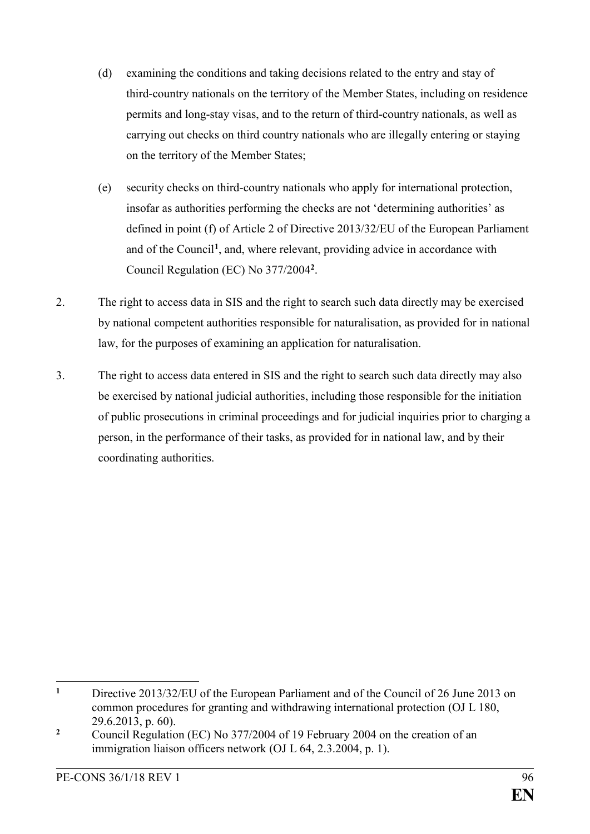- (d) examining the conditions and taking decisions related to the entry and stay of third-country nationals on the territory of the Member States, including on residence permits and long-stay visas, and to the return of third-country nationals, as well as carrying out checks on third country nationals who are illegally entering or staying on the territory of the Member States;
- (e) security checks on third-country nationals who apply for international protection, insofar as authorities performing the checks are not 'determining authorities' as defined in point (f) of Article 2 of Directive 2013/32/EU of the European Parliament and of the Council**<sup>1</sup>** , and, where relevant, providing advice in accordance with Council Regulation (EC) No 377/2004**<sup>2</sup>** .
- 2. The right to access data in SIS and the right to search such data directly may be exercised by national competent authorities responsible for naturalisation, as provided for in national law, for the purposes of examining an application for naturalisation.
- 3. The right to access data entered in SIS and the right to search such data directly may also be exercised by national judicial authorities, including those responsible for the initiation of public prosecutions in criminal proceedings and for judicial inquiries prior to charging a person, in the performance of their tasks, as provided for in national law, and by their coordinating authorities.

 $\mathbf{1}$ **<sup>1</sup>** Directive 2013/32/EU of the European Parliament and of the Council of 26 June 2013 on common procedures for granting and withdrawing international protection (OJ L 180, 29.6.2013, p. 60).

<sup>&</sup>lt;sup>2</sup> Council Regulation (EC) No 377/2004 of 19 February 2004 on the creation of an immigration liaison officers network (OJ L 64, 2.3.2004, p. 1).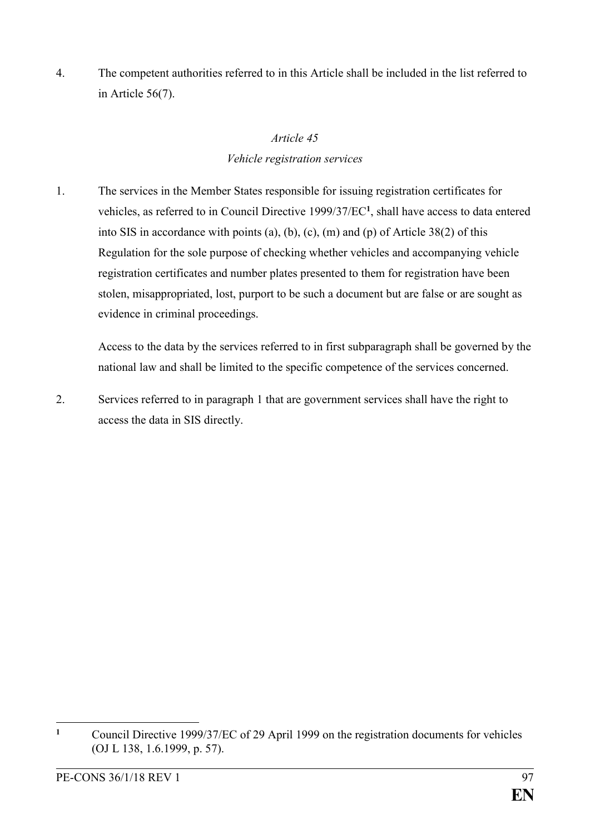4. The competent authorities referred to in this Article shall be included in the list referred to in Article 56(7).

## *Article 45*

## *Vehicle registration services*

1. The services in the Member States responsible for issuing registration certificates for vehicles, as referred to in Council Directive 1999/37/EC**<sup>1</sup>** , shall have access to data entered into SIS in accordance with points (a), (b), (c), (m) and (p) of Article 38(2) of this Regulation for the sole purpose of checking whether vehicles and accompanying vehicle registration certificates and number plates presented to them for registration have been stolen, misappropriated, lost, purport to be such a document but are false or are sought as evidence in criminal proceedings.

Access to the data by the services referred to in first subparagraph shall be governed by the national law and shall be limited to the specific competence of the services concerned.

2. Services referred to in paragraph 1 that are government services shall have the right to access the data in SIS directly.

 $\mathbf{1}$ **<sup>1</sup>** Council Directive 1999/37/EC of 29 April 1999 on the registration documents for vehicles (OJ L 138, 1.6.1999, p. 57).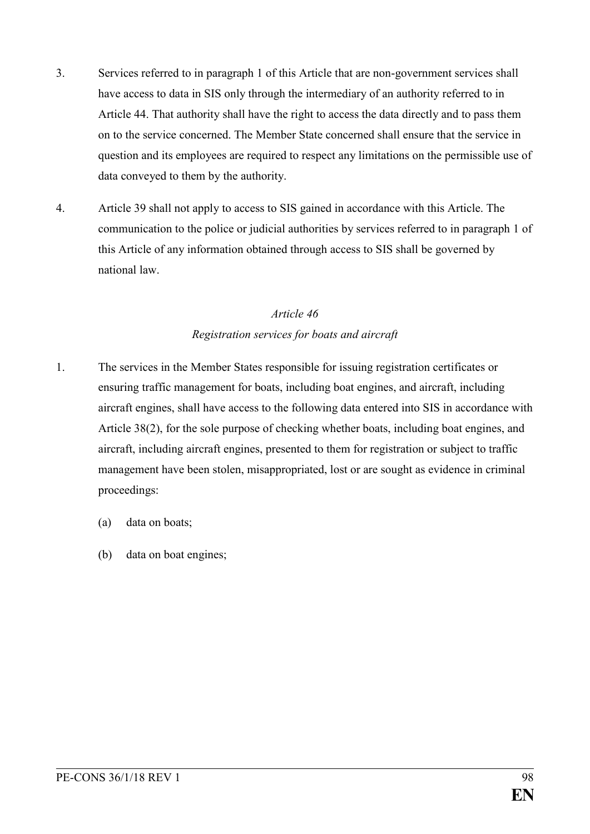- 3. Services referred to in paragraph 1 of this Article that are non-government services shall have access to data in SIS only through the intermediary of an authority referred to in Article 44. That authority shall have the right to access the data directly and to pass them on to the service concerned. The Member State concerned shall ensure that the service in question and its employees are required to respect any limitations on the permissible use of data conveyed to them by the authority.
- 4. Article 39 shall not apply to access to SIS gained in accordance with this Article. The communication to the police or judicial authorities by services referred to in paragraph 1 of this Article of any information obtained through access to SIS shall be governed by national law.

## *Article 46 Registration services for boats and aircraft*

- 1. The services in the Member States responsible for issuing registration certificates or ensuring traffic management for boats, including boat engines, and aircraft, including aircraft engines, shall have access to the following data entered into SIS in accordance with Article 38(2), for the sole purpose of checking whether boats, including boat engines, and aircraft, including aircraft engines, presented to them for registration or subject to traffic management have been stolen, misappropriated, lost or are sought as evidence in criminal proceedings:
	- (a) data on boats;
	- (b) data on boat engines;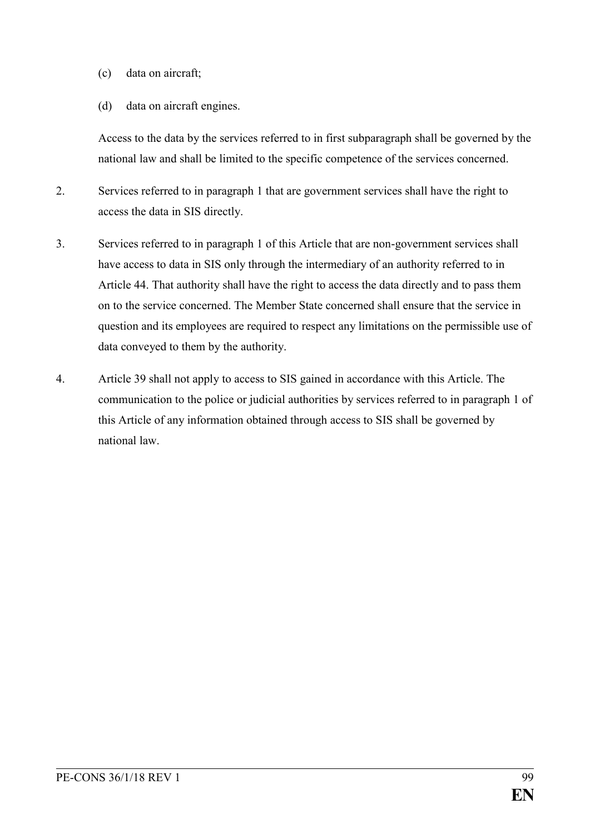- (c) data on aircraft;
- (d) data on aircraft engines.

Access to the data by the services referred to in first subparagraph shall be governed by the national law and shall be limited to the specific competence of the services concerned.

- 2. Services referred to in paragraph 1 that are government services shall have the right to access the data in SIS directly.
- 3. Services referred to in paragraph 1 of this Article that are non-government services shall have access to data in SIS only through the intermediary of an authority referred to in Article 44. That authority shall have the right to access the data directly and to pass them on to the service concerned. The Member State concerned shall ensure that the service in question and its employees are required to respect any limitations on the permissible use of data conveyed to them by the authority.
- 4. Article 39 shall not apply to access to SIS gained in accordance with this Article. The communication to the police or judicial authorities by services referred to in paragraph 1 of this Article of any information obtained through access to SIS shall be governed by national law.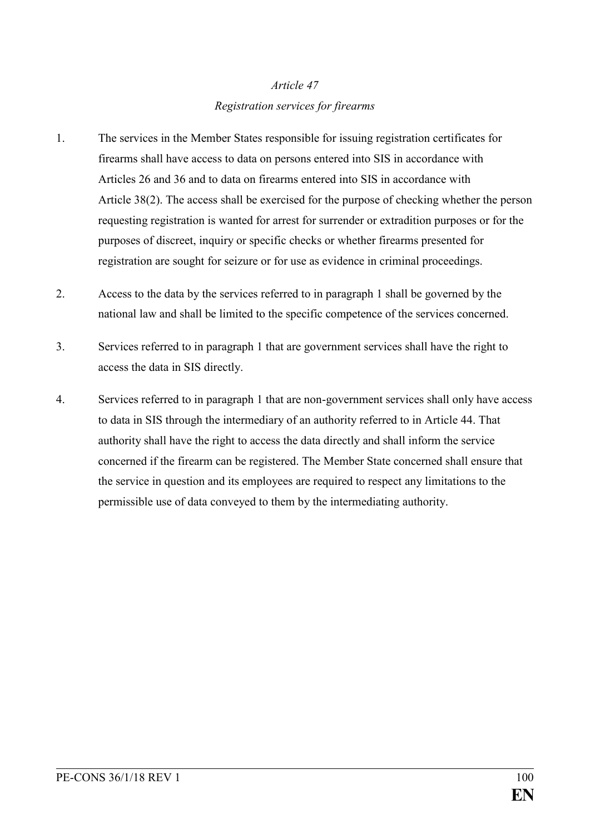## *Article 47 Registration services for firearms*

- 1. The services in the Member States responsible for issuing registration certificates for firearms shall have access to data on persons entered into SIS in accordance with Articles 26 and 36 and to data on firearms entered into SIS in accordance with Article 38(2). The access shall be exercised for the purpose of checking whether the person requesting registration is wanted for arrest for surrender or extradition purposes or for the purposes of discreet, inquiry or specific checks or whether firearms presented for registration are sought for seizure or for use as evidence in criminal proceedings.
- 2. Access to the data by the services referred to in paragraph 1 shall be governed by the national law and shall be limited to the specific competence of the services concerned.
- 3. Services referred to in paragraph 1 that are government services shall have the right to access the data in SIS directly.
- 4. Services referred to in paragraph 1 that are non-government services shall only have access to data in SIS through the intermediary of an authority referred to in Article 44. That authority shall have the right to access the data directly and shall inform the service concerned if the firearm can be registered. The Member State concerned shall ensure that the service in question and its employees are required to respect any limitations to the permissible use of data conveyed to them by the intermediating authority.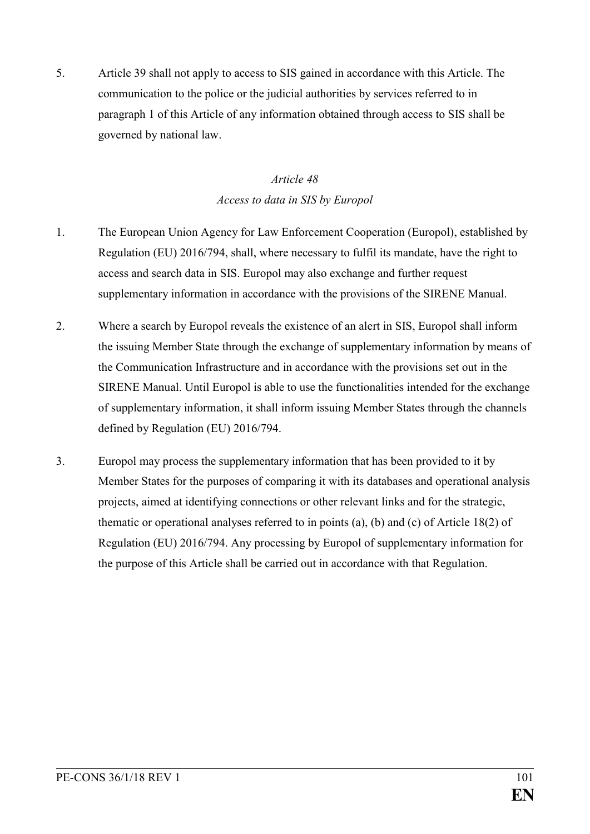5. Article 39 shall not apply to access to SIS gained in accordance with this Article. The communication to the police or the judicial authorities by services referred to in paragraph 1 of this Article of any information obtained through access to SIS shall be governed by national law.

## *Article 48 Access to data in SIS by Europol*

- 1. The European Union Agency for Law Enforcement Cooperation (Europol), established by Regulation (EU) 2016/794, shall, where necessary to fulfil its mandate, have the right to access and search data in SIS. Europol may also exchange and further request supplementary information in accordance with the provisions of the SIRENE Manual.
- 2. Where a search by Europol reveals the existence of an alert in SIS, Europol shall inform the issuing Member State through the exchange of supplementary information by means of the Communication Infrastructure and in accordance with the provisions set out in the SIRENE Manual. Until Europol is able to use the functionalities intended for the exchange of supplementary information, it shall inform issuing Member States through the channels defined by Regulation (EU) 2016/794.
- 3. Europol may process the supplementary information that has been provided to it by Member States for the purposes of comparing it with its databases and operational analysis projects, aimed at identifying connections or other relevant links and for the strategic, thematic or operational analyses referred to in points (a), (b) and (c) of Article 18(2) of Regulation (EU) 2016/794. Any processing by Europol of supplementary information for the purpose of this Article shall be carried out in accordance with that Regulation.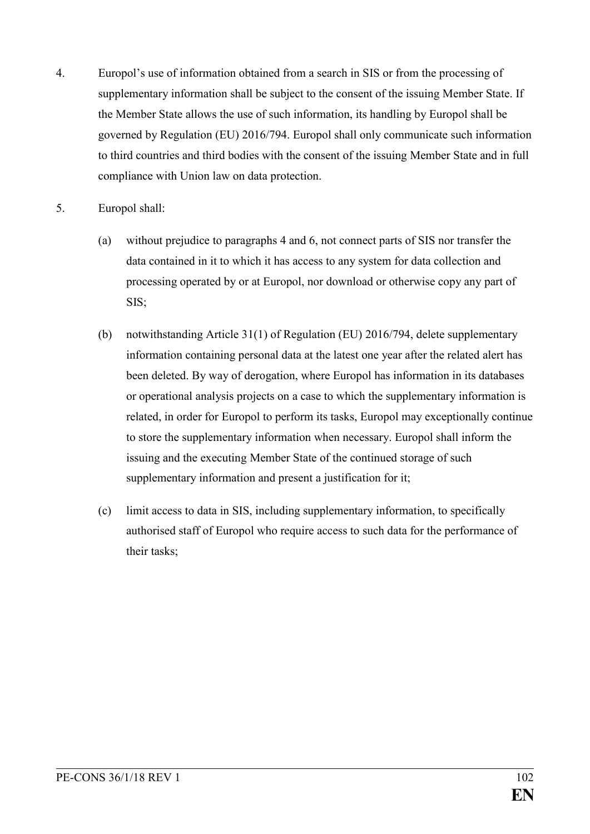- 4. Europol's use of information obtained from a search in SIS or from the processing of supplementary information shall be subject to the consent of the issuing Member State. If the Member State allows the use of such information, its handling by Europol shall be governed by Regulation (EU) 2016/794. Europol shall only communicate such information to third countries and third bodies with the consent of the issuing Member State and in full compliance with Union law on data protection.
- 5. Europol shall:
	- (a) without prejudice to paragraphs 4 and 6, not connect parts of SIS nor transfer the data contained in it to which it has access to any system for data collection and processing operated by or at Europol, nor download or otherwise copy any part of SIS;
	- (b) notwithstanding Article 31(1) of Regulation (EU) 2016/794, delete supplementary information containing personal data at the latest one year after the related alert has been deleted. By way of derogation, where Europol has information in its databases or operational analysis projects on a case to which the supplementary information is related, in order for Europol to perform its tasks, Europol may exceptionally continue to store the supplementary information when necessary. Europol shall inform the issuing and the executing Member State of the continued storage of such supplementary information and present a justification for it;
	- (c) limit access to data in SIS, including supplementary information, to specifically authorised staff of Europol who require access to such data for the performance of their tasks;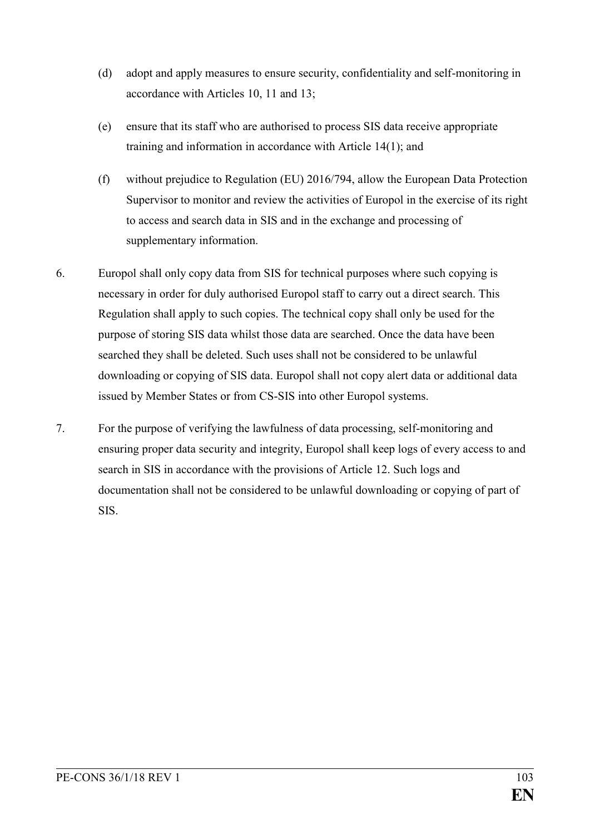- (d) adopt and apply measures to ensure security, confidentiality and self-monitoring in accordance with Articles 10, 11 and 13;
- (e) ensure that its staff who are authorised to process SIS data receive appropriate training and information in accordance with Article 14(1); and
- (f) without prejudice to Regulation (EU) 2016/794, allow the European Data Protection Supervisor to monitor and review the activities of Europol in the exercise of its right to access and search data in SIS and in the exchange and processing of supplementary information.
- 6. Europol shall only copy data from SIS for technical purposes where such copying is necessary in order for duly authorised Europol staff to carry out a direct search. This Regulation shall apply to such copies. The technical copy shall only be used for the purpose of storing SIS data whilst those data are searched. Once the data have been searched they shall be deleted. Such uses shall not be considered to be unlawful downloading or copying of SIS data. Europol shall not copy alert data or additional data issued by Member States or from CS-SIS into other Europol systems.
- 7. For the purpose of verifying the lawfulness of data processing, self-monitoring and ensuring proper data security and integrity, Europol shall keep logs of every access to and search in SIS in accordance with the provisions of Article 12. Such logs and documentation shall not be considered to be unlawful downloading or copying of part of SIS.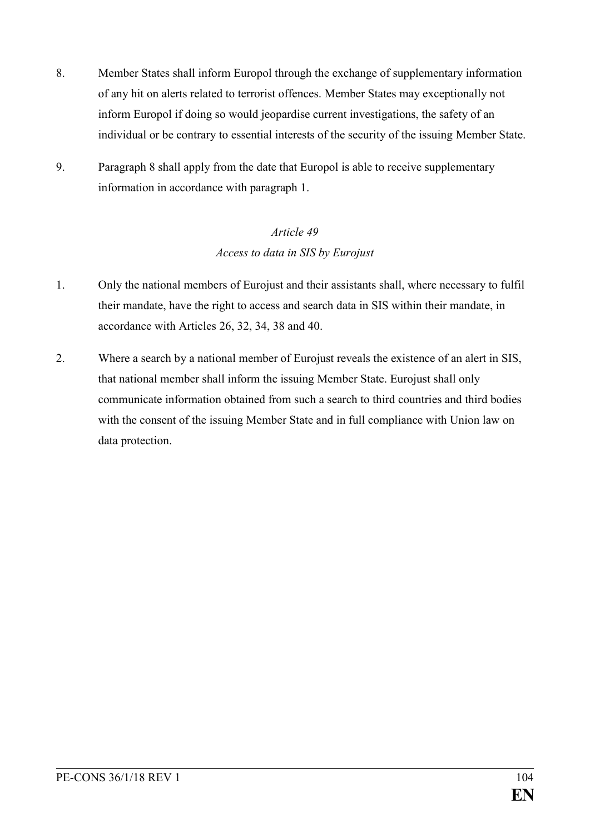- 8. Member States shall inform Europol through the exchange of supplementary information of any hit on alerts related to terrorist offences. Member States may exceptionally not inform Europol if doing so would jeopardise current investigations, the safety of an individual or be contrary to essential interests of the security of the issuing Member State.
- 9. Paragraph 8 shall apply from the date that Europol is able to receive supplementary information in accordance with paragraph 1.

## *Article 49 Access to data in SIS by Eurojust*

- 1. Only the national members of Eurojust and their assistants shall, where necessary to fulfil their mandate, have the right to access and search data in SIS within their mandate, in accordance with Articles 26, 32, 34, 38 and 40.
- 2. Where a search by a national member of Eurojust reveals the existence of an alert in SIS, that national member shall inform the issuing Member State. Eurojust shall only communicate information obtained from such a search to third countries and third bodies with the consent of the issuing Member State and in full compliance with Union law on data protection.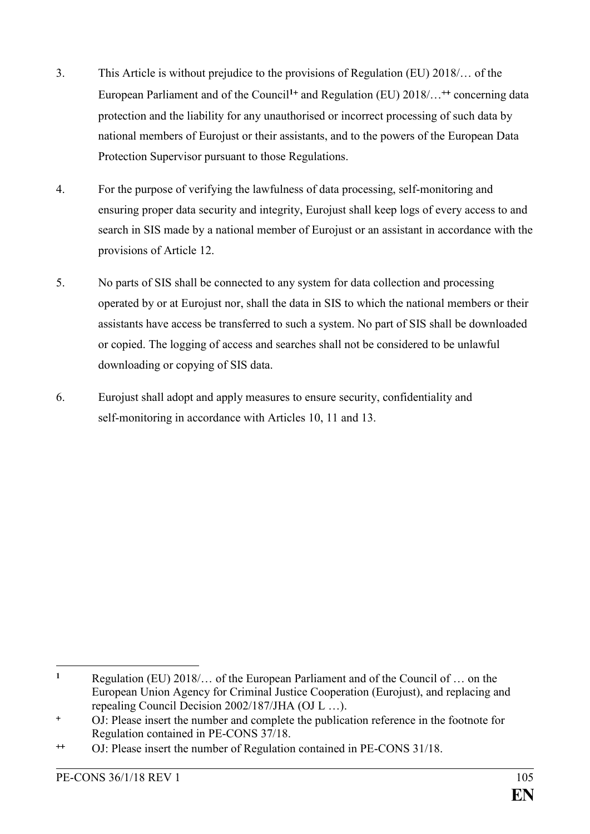- 3. This Article is without prejudice to the provisions of Regulation (EU) 2018/… of the European Parliament and of the Council<sup>1+</sup> and Regulation (EU) 2018/...<sup>++</sup> concerning data protection and the liability for any unauthorised or incorrect processing of such data by national members of Eurojust or their assistants, and to the powers of the European Data Protection Supervisor pursuant to those Regulations.
- 4. For the purpose of verifying the lawfulness of data processing, self-monitoring and ensuring proper data security and integrity, Eurojust shall keep logs of every access to and search in SIS made by a national member of Eurojust or an assistant in accordance with the provisions of Article 12.
- 5. No parts of SIS shall be connected to any system for data collection and processing operated by or at Eurojust nor, shall the data in SIS to which the national members or their assistants have access be transferred to such a system. No part of SIS shall be downloaded or copied. The logging of access and searches shall not be considered to be unlawful downloading or copying of SIS data.
- 6. Eurojust shall adopt and apply measures to ensure security, confidentiality and self-monitoring in accordance with Articles 10, 11 and 13.

<sup>1</sup> **<sup>1</sup>** Regulation (EU) 2018/… of the European Parliament and of the Council of … on the European Union Agency for Criminal Justice Cooperation (Eurojust), and replacing and repealing Council Decision 2002/187/JHA (OJ L …).

OJ: Please insert the number and complete the publication reference in the footnote for Regulation contained in PE-CONS 37/18.

OJ: Please insert the number of Regulation contained in PE-CONS 31/18.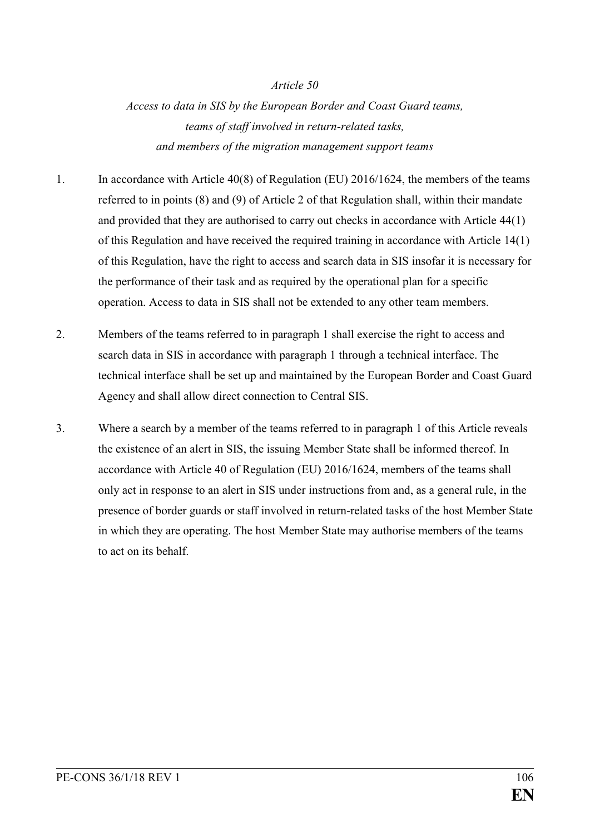*Access to data in SIS by the European Border and Coast Guard teams, teams of staff involved in return-related tasks, and members of the migration management support teams*

- 1. In accordance with Article 40(8) of Regulation (EU) 2016/1624, the members of the teams referred to in points (8) and (9) of Article 2 of that Regulation shall, within their mandate and provided that they are authorised to carry out checks in accordance with Article 44(1) of this Regulation and have received the required training in accordance with Article 14(1) of this Regulation, have the right to access and search data in SIS insofar it is necessary for the performance of their task and as required by the operational plan for a specific operation. Access to data in SIS shall not be extended to any other team members.
- 2. Members of the teams referred to in paragraph 1 shall exercise the right to access and search data in SIS in accordance with paragraph 1 through a technical interface. The technical interface shall be set up and maintained by the European Border and Coast Guard Agency and shall allow direct connection to Central SIS.
- 3. Where a search by a member of the teams referred to in paragraph 1 of this Article reveals the existence of an alert in SIS, the issuing Member State shall be informed thereof. In accordance with Article 40 of Regulation (EU) 2016/1624, members of the teams shall only act in response to an alert in SIS under instructions from and, as a general rule, in the presence of border guards or staff involved in return-related tasks of the host Member State in which they are operating. The host Member State may authorise members of the teams to act on its behalf.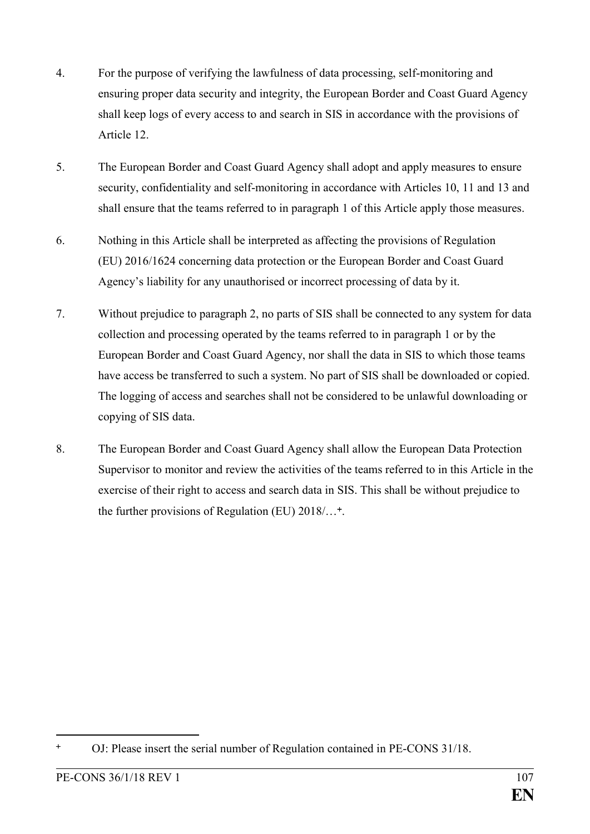- 4. For the purpose of verifying the lawfulness of data processing, self-monitoring and ensuring proper data security and integrity, the European Border and Coast Guard Agency shall keep logs of every access to and search in SIS in accordance with the provisions of Article 12.
- 5. The European Border and Coast Guard Agency shall adopt and apply measures to ensure security, confidentiality and self-monitoring in accordance with Articles 10, 11 and 13 and shall ensure that the teams referred to in paragraph 1 of this Article apply those measures.
- 6. Nothing in this Article shall be interpreted as affecting the provisions of Regulation (EU) 2016/1624 concerning data protection or the European Border and Coast Guard Agency's liability for any unauthorised or incorrect processing of data by it.
- 7. Without prejudice to paragraph 2, no parts of SIS shall be connected to any system for data collection and processing operated by the teams referred to in paragraph 1 or by the European Border and Coast Guard Agency, nor shall the data in SIS to which those teams have access be transferred to such a system. No part of SIS shall be downloaded or copied. The logging of access and searches shall not be considered to be unlawful downloading or copying of SIS data.
- 8. The European Border and Coast Guard Agency shall allow the European Data Protection Supervisor to monitor and review the activities of the teams referred to in this Article in the exercise of their right to access and search data in SIS. This shall be without prejudice to the further provisions of Regulation (EU) 2018/...<sup>+</sup>.

<u>.</u>

OJ: Please insert the serial number of Regulation contained in PE-CONS 31/18.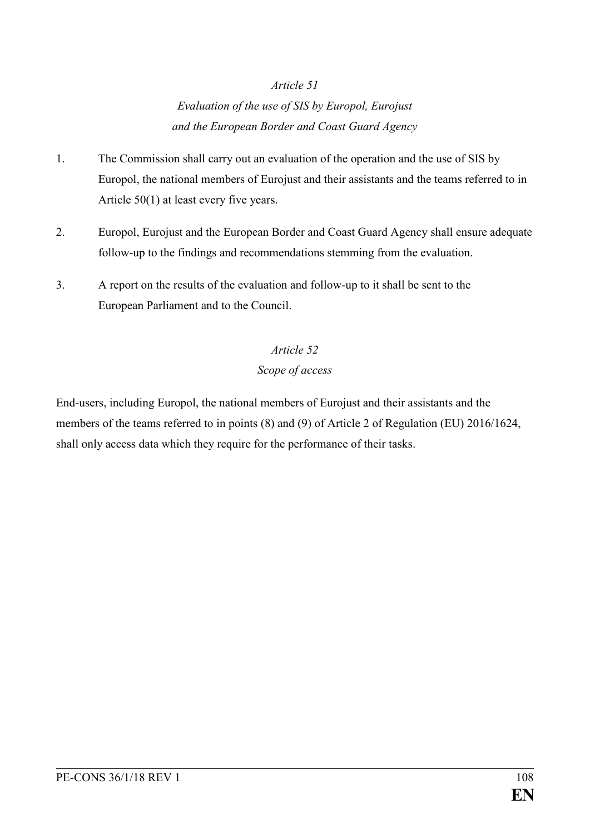## *Evaluation of the use of SIS by Europol, Eurojust and the European Border and Coast Guard Agency*

- 1. The Commission shall carry out an evaluation of the operation and the use of SIS by Europol, the national members of Eurojust and their assistants and the teams referred to in Article 50(1) at least every five years.
- 2. Europol, Eurojust and the European Border and Coast Guard Agency shall ensure adequate follow-up to the findings and recommendations stemming from the evaluation.
- 3. A report on the results of the evaluation and follow-up to it shall be sent to the European Parliament and to the Council.

## *Article 52 Scope of access*

End-users, including Europol, the national members of Eurojust and their assistants and the members of the teams referred to in points (8) and (9) of Article 2 of Regulation (EU) 2016/1624, shall only access data which they require for the performance of their tasks.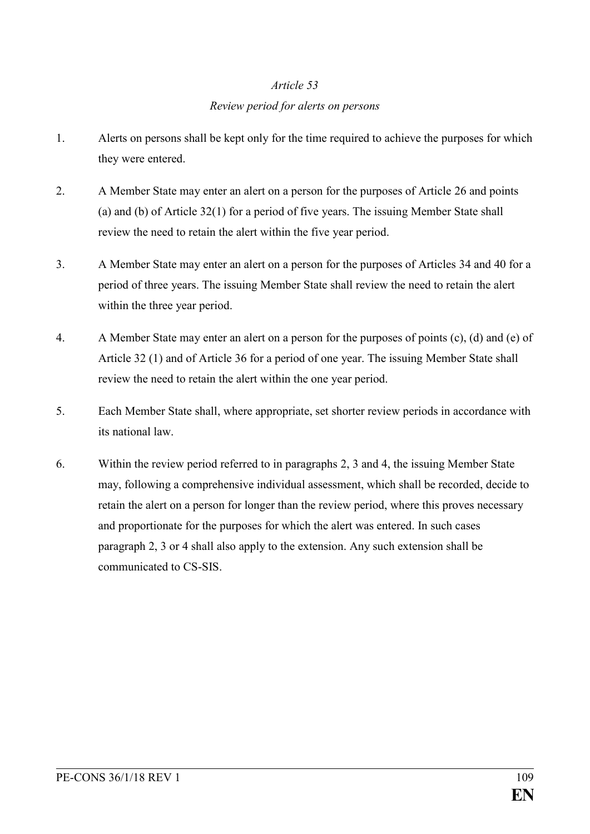### *Review period for alerts on persons*

- 1. Alerts on persons shall be kept only for the time required to achieve the purposes for which they were entered.
- 2. A Member State may enter an alert on a person for the purposes of Article 26 and points (a) and (b) of Article 32(1) for a period of five years. The issuing Member State shall review the need to retain the alert within the five year period.
- 3. A Member State may enter an alert on a person for the purposes of Articles 34 and 40 for a period of three years. The issuing Member State shall review the need to retain the alert within the three year period.
- 4. A Member State may enter an alert on a person for the purposes of points (c), (d) and (e) of Article 32 (1) and of Article 36 for a period of one year. The issuing Member State shall review the need to retain the alert within the one year period.
- 5. Each Member State shall, where appropriate, set shorter review periods in accordance with its national law.
- 6. Within the review period referred to in paragraphs 2, 3 and 4, the issuing Member State may, following a comprehensive individual assessment, which shall be recorded, decide to retain the alert on a person for longer than the review period, where this proves necessary and proportionate for the purposes for which the alert was entered. In such cases paragraph 2, 3 or 4 shall also apply to the extension. Any such extension shall be communicated to CS-SIS.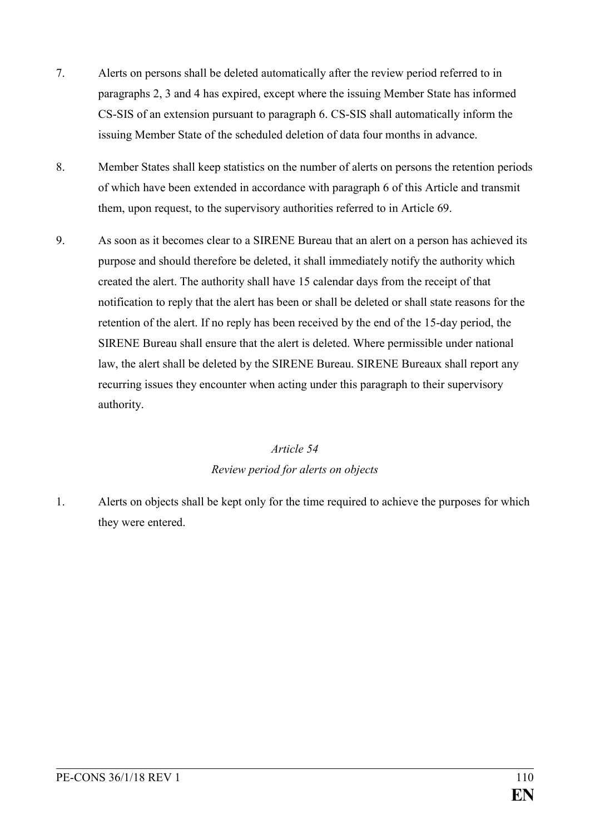- 7. Alerts on persons shall be deleted automatically after the review period referred to in paragraphs 2, 3 and 4 has expired, except where the issuing Member State has informed CS-SIS of an extension pursuant to paragraph 6. CS-SIS shall automatically inform the issuing Member State of the scheduled deletion of data four months in advance.
- 8. Member States shall keep statistics on the number of alerts on persons the retention periods of which have been extended in accordance with paragraph 6 of this Article and transmit them, upon request, to the supervisory authorities referred to in Article 69.
- 9. As soon as it becomes clear to a SIRENE Bureau that an alert on a person has achieved its purpose and should therefore be deleted, it shall immediately notify the authority which created the alert. The authority shall have 15 calendar days from the receipt of that notification to reply that the alert has been or shall be deleted or shall state reasons for the retention of the alert. If no reply has been received by the end of the 15-day period, the SIRENE Bureau shall ensure that the alert is deleted. Where permissible under national law, the alert shall be deleted by the SIRENE Bureau. SIRENE Bureaux shall report any recurring issues they encounter when acting under this paragraph to their supervisory authority.

### *Article 54 Review period for alerts on objects*

1. Alerts on objects shall be kept only for the time required to achieve the purposes for which they were entered.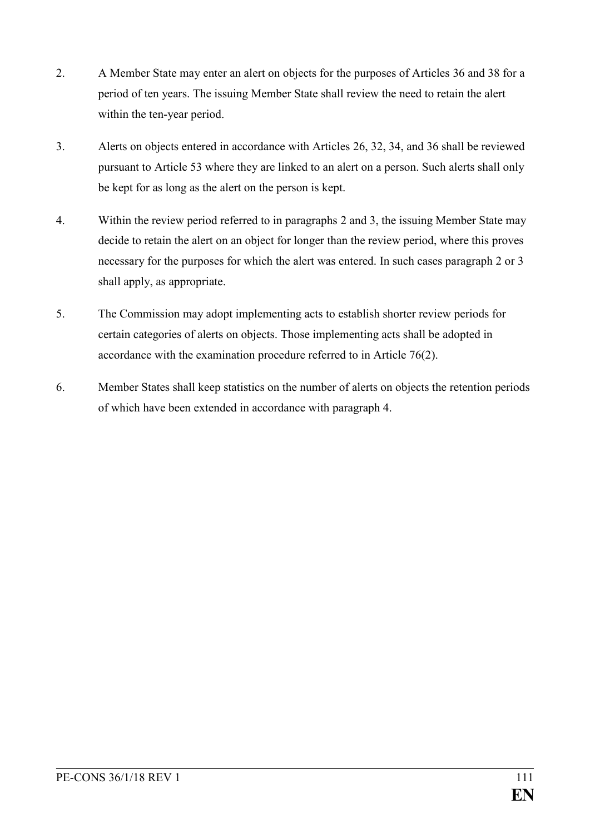- 2. A Member State may enter an alert on objects for the purposes of Articles 36 and 38 for a period of ten years. The issuing Member State shall review the need to retain the alert within the ten-year period.
- 3. Alerts on objects entered in accordance with Articles 26, 32, 34, and 36 shall be reviewed pursuant to Article 53 where they are linked to an alert on a person. Such alerts shall only be kept for as long as the alert on the person is kept.
- 4. Within the review period referred to in paragraphs 2 and 3, the issuing Member State may decide to retain the alert on an object for longer than the review period, where this proves necessary for the purposes for which the alert was entered. In such cases paragraph 2 or 3 shall apply, as appropriate.
- 5. The Commission may adopt implementing acts to establish shorter review periods for certain categories of alerts on objects. Those implementing acts shall be adopted in accordance with the examination procedure referred to in Article 76(2).
- 6. Member States shall keep statistics on the number of alerts on objects the retention periods of which have been extended in accordance with paragraph 4.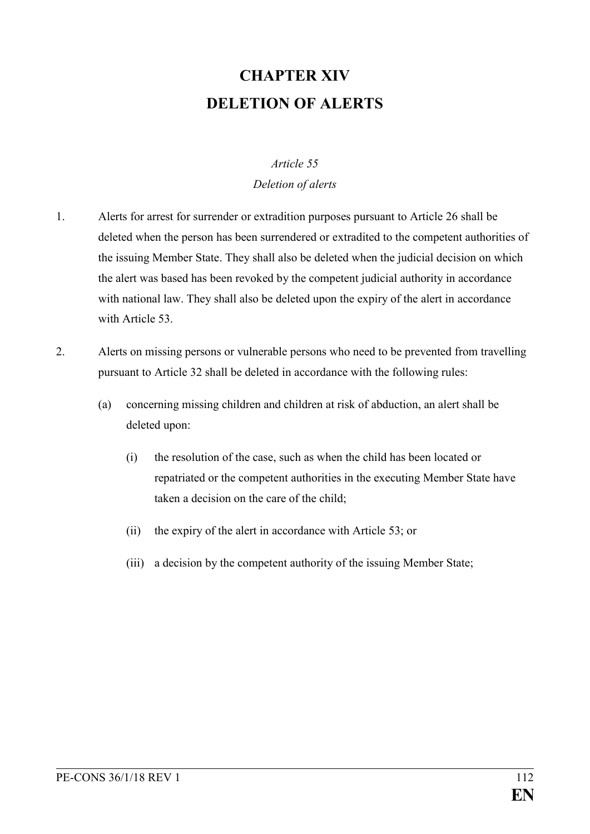# **CHAPTER XIV DELETION OF ALERTS**

### *Article 55*

### *Deletion of alerts*

- 1. Alerts for arrest for surrender or extradition purposes pursuant to Article 26 shall be deleted when the person has been surrendered or extradited to the competent authorities of the issuing Member State. They shall also be deleted when the judicial decision on which the alert was based has been revoked by the competent judicial authority in accordance with national law. They shall also be deleted upon the expiry of the alert in accordance with Article 53.
- 2. Alerts on missing persons or vulnerable persons who need to be prevented from travelling pursuant to Article 32 shall be deleted in accordance with the following rules:
	- (a) concerning missing children and children at risk of abduction, an alert shall be deleted upon:
		- (i) the resolution of the case, such as when the child has been located or repatriated or the competent authorities in the executing Member State have taken a decision on the care of the child;
		- (ii) the expiry of the alert in accordance with Article 53; or
		- (iii) a decision by the competent authority of the issuing Member State;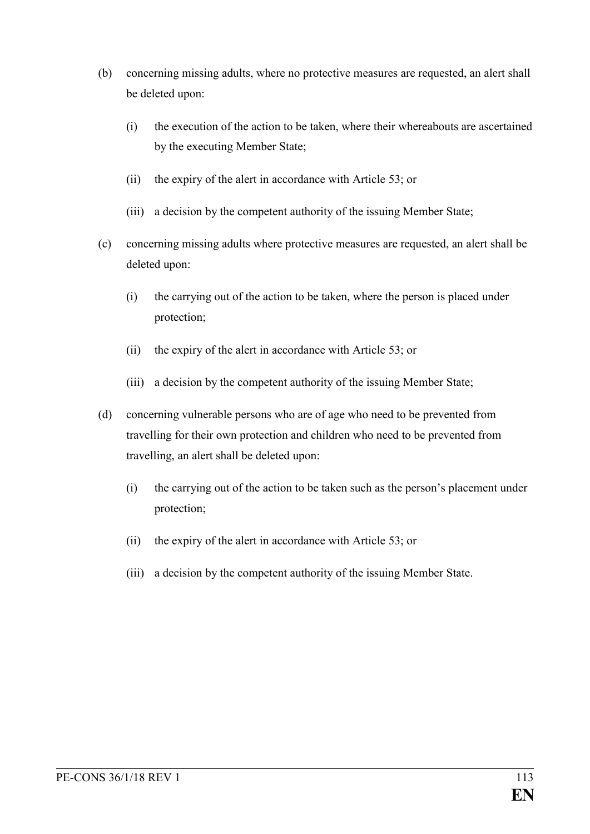- (b) concerning missing adults, where no protective measures are requested, an alert shall be deleted upon:
	- (i) the execution of the action to be taken, where their whereabouts are ascertained by the executing Member State;
	- (ii) the expiry of the alert in accordance with Article 53; or
	- (iii) a decision by the competent authority of the issuing Member State;
- (c) concerning missing adults where protective measures are requested, an alert shall be deleted upon:
	- (i) the carrying out of the action to be taken, where the person is placed under protection;
	- (ii) the expiry of the alert in accordance with Article 53; or
	- (iii) a decision by the competent authority of the issuing Member State;
- (d) concerning vulnerable persons who are of age who need to be prevented from travelling for their own protection and children who need to be prevented from travelling, an alert shall be deleted upon:
	- (i) the carrying out of the action to be taken such as the person's placement under protection;
	- (ii) the expiry of the alert in accordance with Article 53; or
	- (iii) a decision by the competent authority of the issuing Member State.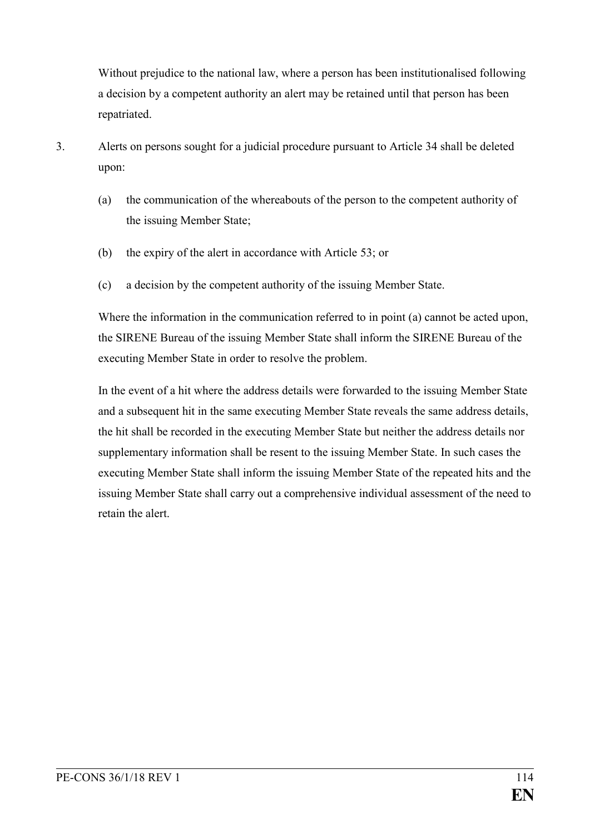Without prejudice to the national law, where a person has been institutionalised following a decision by a competent authority an alert may be retained until that person has been repatriated.

- 3. Alerts on persons sought for a judicial procedure pursuant to Article 34 shall be deleted upon:
	- (a) the communication of the whereabouts of the person to the competent authority of the issuing Member State;
	- (b) the expiry of the alert in accordance with Article 53; or
	- (c) a decision by the competent authority of the issuing Member State.

Where the information in the communication referred to in point (a) cannot be acted upon, the SIRENE Bureau of the issuing Member State shall inform the SIRENE Bureau of the executing Member State in order to resolve the problem.

In the event of a hit where the address details were forwarded to the issuing Member State and a subsequent hit in the same executing Member State reveals the same address details, the hit shall be recorded in the executing Member State but neither the address details nor supplementary information shall be resent to the issuing Member State. In such cases the executing Member State shall inform the issuing Member State of the repeated hits and the issuing Member State shall carry out a comprehensive individual assessment of the need to retain the alert.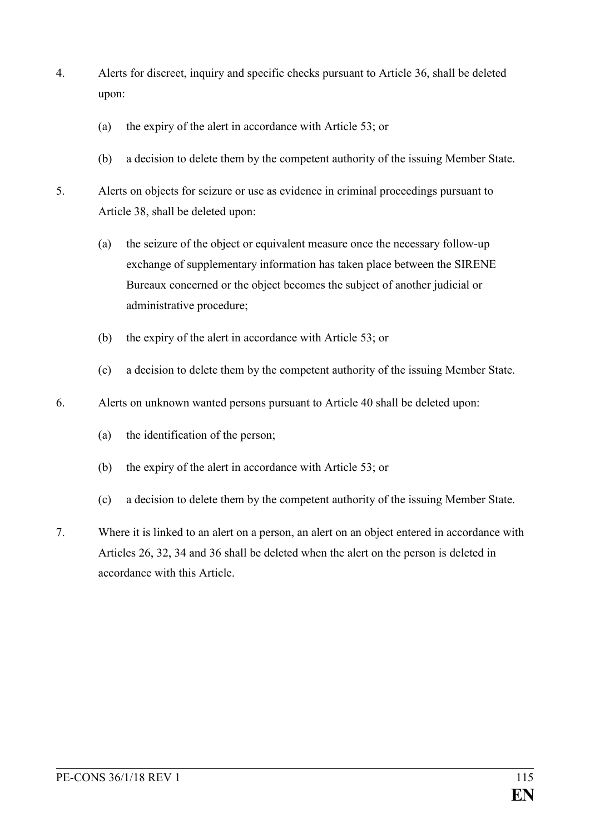- 4. Alerts for discreet, inquiry and specific checks pursuant to Article 36, shall be deleted upon:
	- (a) the expiry of the alert in accordance with Article 53; or
	- (b) a decision to delete them by the competent authority of the issuing Member State.
- 5. Alerts on objects for seizure or use as evidence in criminal proceedings pursuant to Article 38, shall be deleted upon:
	- (a) the seizure of the object or equivalent measure once the necessary follow-up exchange of supplementary information has taken place between the SIRENE Bureaux concerned or the object becomes the subject of another judicial or administrative procedure;
	- (b) the expiry of the alert in accordance with Article 53; or
	- (c) a decision to delete them by the competent authority of the issuing Member State.
- 6. Alerts on unknown wanted persons pursuant to Article 40 shall be deleted upon:
	- (a) the identification of the person;
	- (b) the expiry of the alert in accordance with Article 53; or
	- (c) a decision to delete them by the competent authority of the issuing Member State.
- 7. Where it is linked to an alert on a person, an alert on an object entered in accordance with Articles 26, 32, 34 and 36 shall be deleted when the alert on the person is deleted in accordance with this Article.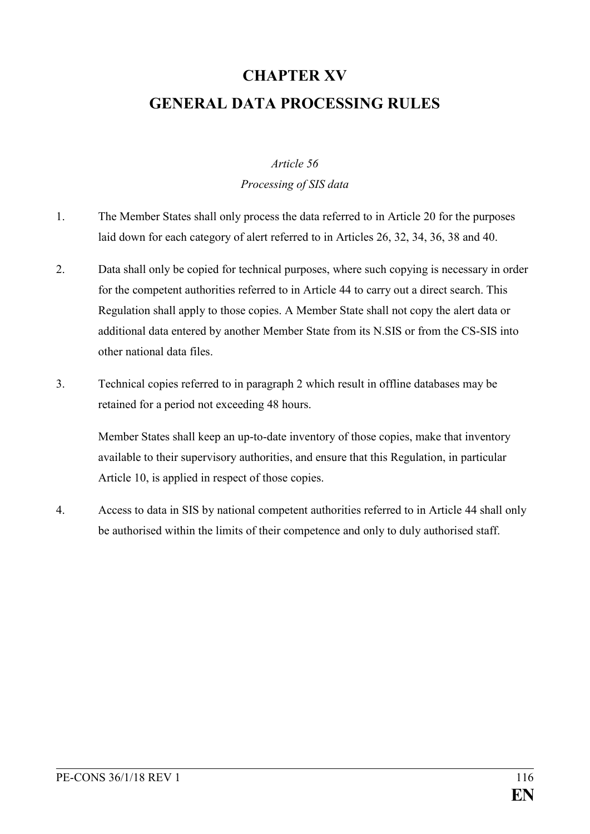# **CHAPTER XV GENERAL DATA PROCESSING RULES**

### *Article 56*

### *Processing of SIS data*

- 1. The Member States shall only process the data referred to in Article 20 for the purposes laid down for each category of alert referred to in Articles 26, 32, 34, 36, 38 and 40.
- 2. Data shall only be copied for technical purposes, where such copying is necessary in order for the competent authorities referred to in Article 44 to carry out a direct search. This Regulation shall apply to those copies. A Member State shall not copy the alert data or additional data entered by another Member State from its N.SIS or from the CS-SIS into other national data files.
- 3. Technical copies referred to in paragraph 2 which result in offline databases may be retained for a period not exceeding 48 hours.

Member States shall keep an up-to-date inventory of those copies, make that inventory available to their supervisory authorities, and ensure that this Regulation, in particular Article 10, is applied in respect of those copies.

4. Access to data in SIS by national competent authorities referred to in Article 44 shall only be authorised within the limits of their competence and only to duly authorised staff.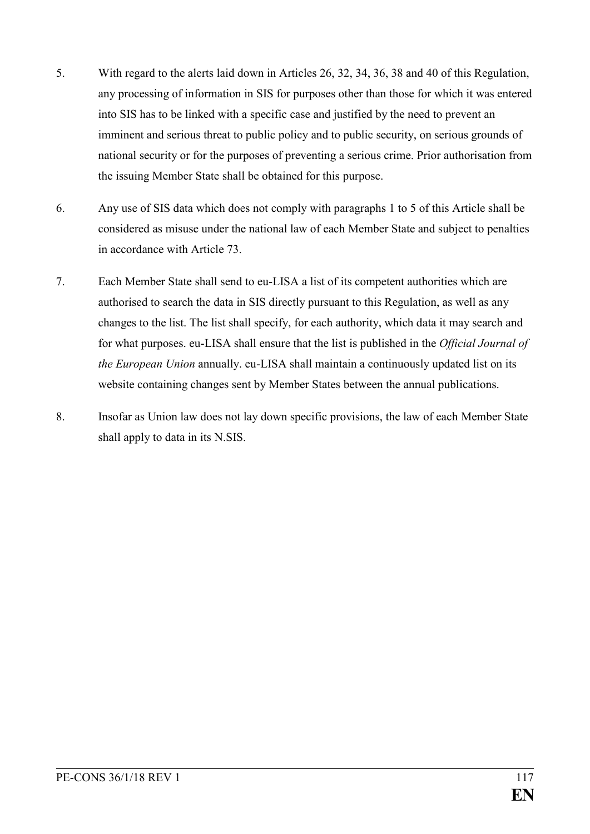- 5. With regard to the alerts laid down in Articles 26, 32, 34, 36, 38 and 40 of this Regulation, any processing of information in SIS for purposes other than those for which it was entered into SIS has to be linked with a specific case and justified by the need to prevent an imminent and serious threat to public policy and to public security, on serious grounds of national security or for the purposes of preventing a serious crime. Prior authorisation from the issuing Member State shall be obtained for this purpose.
- 6. Any use of SIS data which does not comply with paragraphs 1 to 5 of this Article shall be considered as misuse under the national law of each Member State and subject to penalties in accordance with Article 73.
- 7. Each Member State shall send to eu-LISA a list of its competent authorities which are authorised to search the data in SIS directly pursuant to this Regulation, as well as any changes to the list. The list shall specify, for each authority, which data it may search and for what purposes. eu-LISA shall ensure that the list is published in the *Official Journal of the European Union* annually. eu-LISA shall maintain a continuously updated list on its website containing changes sent by Member States between the annual publications.
- 8. Insofar as Union law does not lay down specific provisions, the law of each Member State shall apply to data in its N.SIS.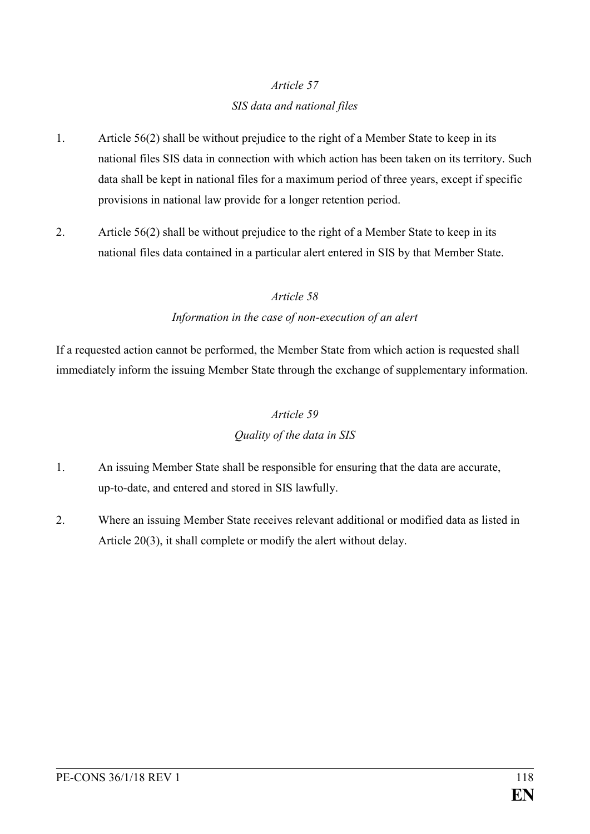### *SIS data and national files*

- 1. Article 56(2) shall be without prejudice to the right of a Member State to keep in its national files SIS data in connection with which action has been taken on its territory. Such data shall be kept in national files for a maximum period of three years, except if specific provisions in national law provide for a longer retention period.
- 2. Article 56(2) shall be without prejudice to the right of a Member State to keep in its national files data contained in a particular alert entered in SIS by that Member State.

### *Article 58*

### *Information in the case of non-execution of an alert*

If a requested action cannot be performed, the Member State from which action is requested shall immediately inform the issuing Member State through the exchange of supplementary information.

### *Article 59*

### *Quality of the data in SIS*

- 1. An issuing Member State shall be responsible for ensuring that the data are accurate, up-to-date, and entered and stored in SIS lawfully.
- 2. Where an issuing Member State receives relevant additional or modified data as listed in Article 20(3), it shall complete or modify the alert without delay.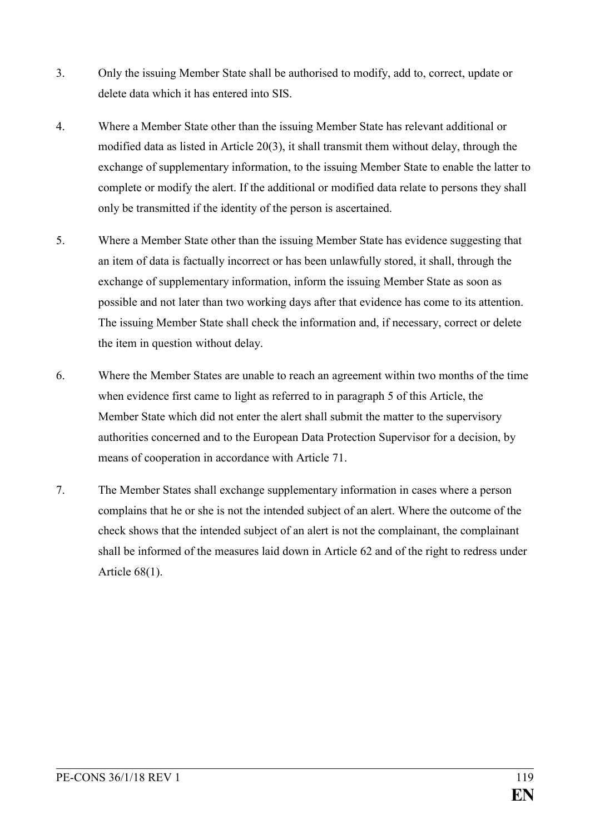- 3. Only the issuing Member State shall be authorised to modify, add to, correct, update or delete data which it has entered into SIS.
- 4. Where a Member State other than the issuing Member State has relevant additional or modified data as listed in Article 20(3), it shall transmit them without delay, through the exchange of supplementary information, to the issuing Member State to enable the latter to complete or modify the alert. If the additional or modified data relate to persons they shall only be transmitted if the identity of the person is ascertained.
- 5. Where a Member State other than the issuing Member State has evidence suggesting that an item of data is factually incorrect or has been unlawfully stored, it shall, through the exchange of supplementary information, inform the issuing Member State as soon as possible and not later than two working days after that evidence has come to its attention. The issuing Member State shall check the information and, if necessary, correct or delete the item in question without delay.
- 6. Where the Member States are unable to reach an agreement within two months of the time when evidence first came to light as referred to in paragraph 5 of this Article, the Member State which did not enter the alert shall submit the matter to the supervisory authorities concerned and to the European Data Protection Supervisor for a decision, by means of cooperation in accordance with Article 71.
- 7. The Member States shall exchange supplementary information in cases where a person complains that he or she is not the intended subject of an alert. Where the outcome of the check shows that the intended subject of an alert is not the complainant, the complainant shall be informed of the measures laid down in Article 62 and of the right to redress under Article 68(1).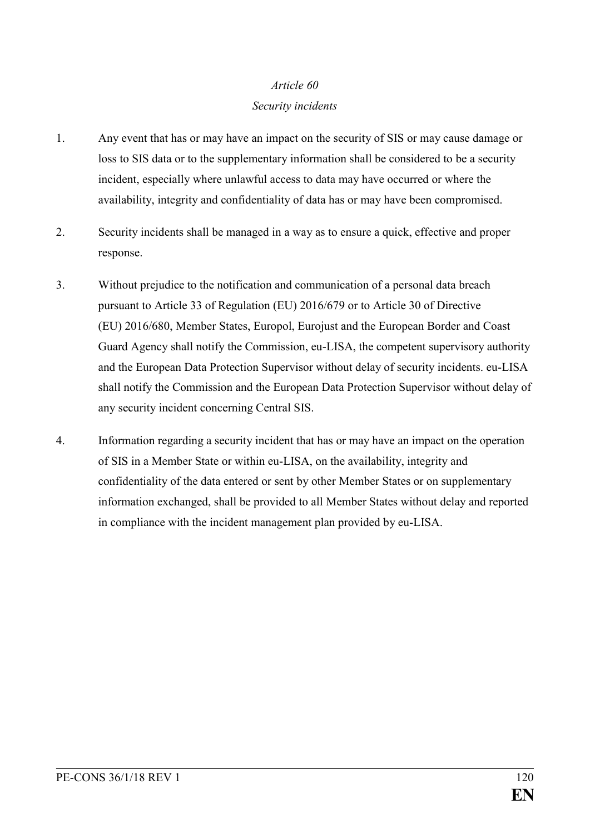#### *Security incidents*

- 1. Any event that has or may have an impact on the security of SIS or may cause damage or loss to SIS data or to the supplementary information shall be considered to be a security incident, especially where unlawful access to data may have occurred or where the availability, integrity and confidentiality of data has or may have been compromised.
- 2. Security incidents shall be managed in a way as to ensure a quick, effective and proper response.
- 3. Without prejudice to the notification and communication of a personal data breach pursuant to Article 33 of Regulation (EU) 2016/679 or to Article 30 of Directive (EU) 2016/680, Member States, Europol, Eurojust and the European Border and Coast Guard Agency shall notify the Commission, eu-LISA, the competent supervisory authority and the European Data Protection Supervisor without delay of security incidents. eu-LISA shall notify the Commission and the European Data Protection Supervisor without delay of any security incident concerning Central SIS.
- 4. Information regarding a security incident that has or may have an impact on the operation of SIS in a Member State or within eu-LISA, on the availability, integrity and confidentiality of the data entered or sent by other Member States or on supplementary information exchanged, shall be provided to all Member States without delay and reported in compliance with the incident management plan provided by eu-LISA.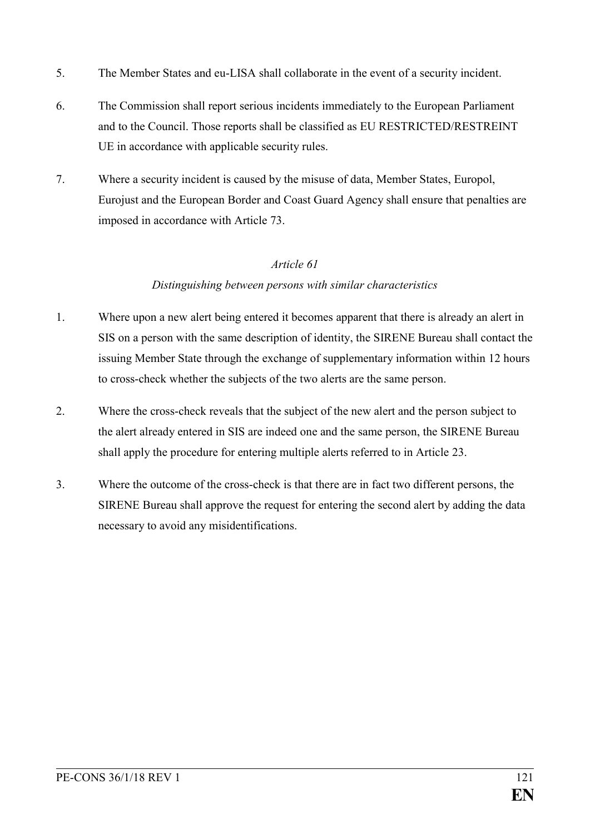- 5. The Member States and eu-LISA shall collaborate in the event of a security incident.
- 6. The Commission shall report serious incidents immediately to the European Parliament and to the Council. Those reports shall be classified as EU RESTRICTED/RESTREINT UE in accordance with applicable security rules.
- 7. Where a security incident is caused by the misuse of data, Member States, Europol, Eurojust and the European Border and Coast Guard Agency shall ensure that penalties are imposed in accordance with Article 73.

### *Distinguishing between persons with similar characteristics*

- 1. Where upon a new alert being entered it becomes apparent that there is already an alert in SIS on a person with the same description of identity, the SIRENE Bureau shall contact the issuing Member State through the exchange of supplementary information within 12 hours to cross-check whether the subjects of the two alerts are the same person.
- 2. Where the cross-check reveals that the subject of the new alert and the person subject to the alert already entered in SIS are indeed one and the same person, the SIRENE Bureau shall apply the procedure for entering multiple alerts referred to in Article 23.
- 3. Where the outcome of the cross-check is that there are in fact two different persons, the SIRENE Bureau shall approve the request for entering the second alert by adding the data necessary to avoid any misidentifications.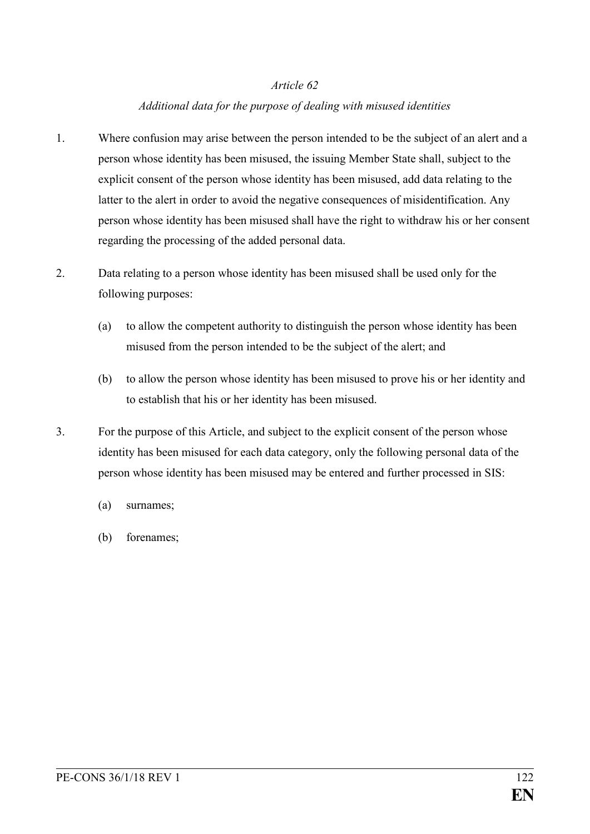### *Additional data for the purpose of dealing with misused identities*

- 1. Where confusion may arise between the person intended to be the subject of an alert and a person whose identity has been misused, the issuing Member State shall, subject to the explicit consent of the person whose identity has been misused, add data relating to the latter to the alert in order to avoid the negative consequences of misidentification. Any person whose identity has been misused shall have the right to withdraw his or her consent regarding the processing of the added personal data.
- 2. Data relating to a person whose identity has been misused shall be used only for the following purposes:
	- (a) to allow the competent authority to distinguish the person whose identity has been misused from the person intended to be the subject of the alert; and
	- (b) to allow the person whose identity has been misused to prove his or her identity and to establish that his or her identity has been misused.
- 3. For the purpose of this Article, and subject to the explicit consent of the person whose identity has been misused for each data category, only the following personal data of the person whose identity has been misused may be entered and further processed in SIS:
	- (a) surnames;
	- (b) forenames;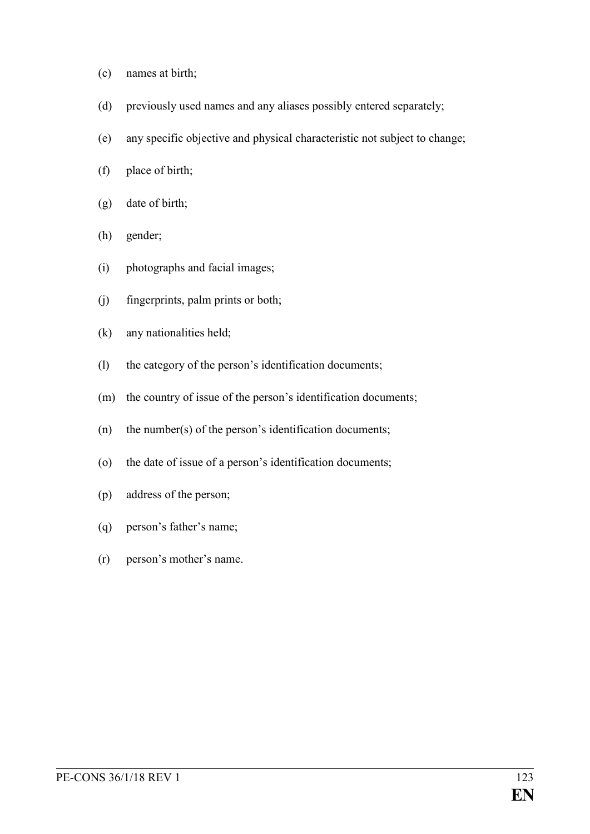- (c) names at birth;
- (d) previously used names and any aliases possibly entered separately;
- (e) any specific objective and physical characteristic not subject to change;
- (f) place of birth;
- (g) date of birth;
- (h) gender;
- (i) photographs and facial images;
- (j) fingerprints, palm prints or both;
- (k) any nationalities held;
- (l) the category of the person's identification documents;
- (m) the country of issue of the person's identification documents;
- (n) the number(s) of the person's identification documents;
- (o) the date of issue of a person's identification documents;
- (p) address of the person;
- (q) person's father's name;
- (r) person's mother's name.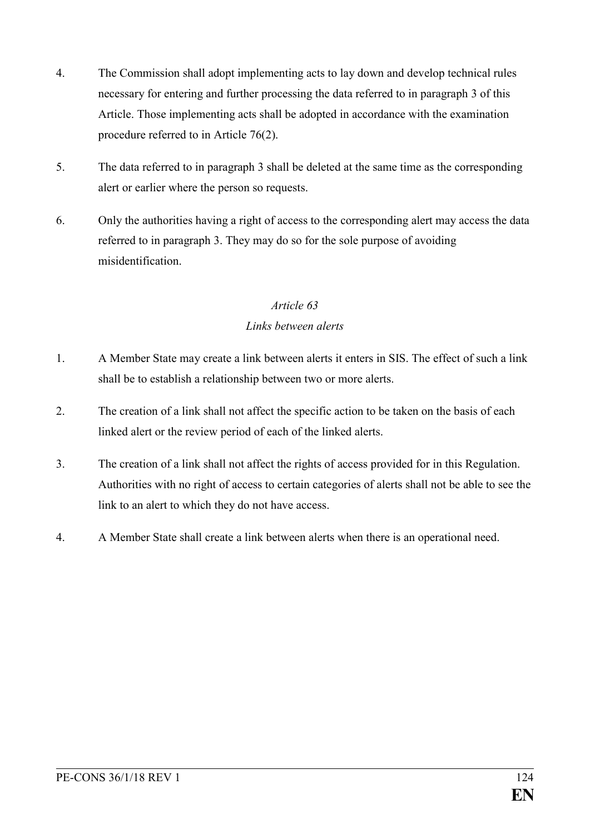- 4. The Commission shall adopt implementing acts to lay down and develop technical rules necessary for entering and further processing the data referred to in paragraph 3 of this Article. Those implementing acts shall be adopted in accordance with the examination procedure referred to in Article 76(2).
- 5. The data referred to in paragraph 3 shall be deleted at the same time as the corresponding alert or earlier where the person so requests.
- 6. Only the authorities having a right of access to the corresponding alert may access the data referred to in paragraph 3. They may do so for the sole purpose of avoiding misidentification.

### *Links between alerts*

- 1. A Member State may create a link between alerts it enters in SIS. The effect of such a link shall be to establish a relationship between two or more alerts.
- 2. The creation of a link shall not affect the specific action to be taken on the basis of each linked alert or the review period of each of the linked alerts.
- 3. The creation of a link shall not affect the rights of access provided for in this Regulation. Authorities with no right of access to certain categories of alerts shall not be able to see the link to an alert to which they do not have access.
- 4. A Member State shall create a link between alerts when there is an operational need.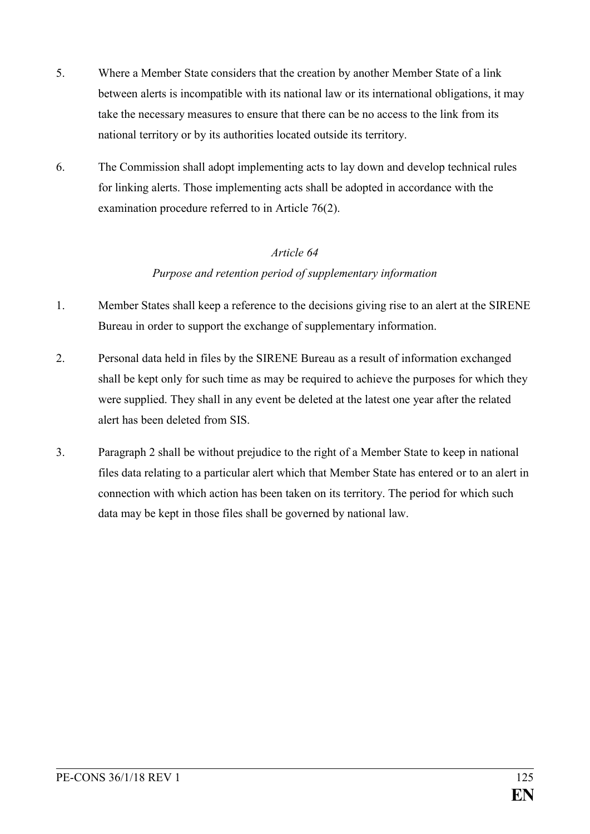- 5. Where a Member State considers that the creation by another Member State of a link between alerts is incompatible with its national law or its international obligations, it may take the necessary measures to ensure that there can be no access to the link from its national territory or by its authorities located outside its territory.
- 6. The Commission shall adopt implementing acts to lay down and develop technical rules for linking alerts. Those implementing acts shall be adopted in accordance with the examination procedure referred to in Article 76(2).

### *Purpose and retention period of supplementary information*

- 1. Member States shall keep a reference to the decisions giving rise to an alert at the SIRENE Bureau in order to support the exchange of supplementary information.
- 2. Personal data held in files by the SIRENE Bureau as a result of information exchanged shall be kept only for such time as may be required to achieve the purposes for which they were supplied. They shall in any event be deleted at the latest one year after the related alert has been deleted from SIS.
- 3. Paragraph 2 shall be without prejudice to the right of a Member State to keep in national files data relating to a particular alert which that Member State has entered or to an alert in connection with which action has been taken on its territory. The period for which such data may be kept in those files shall be governed by national law.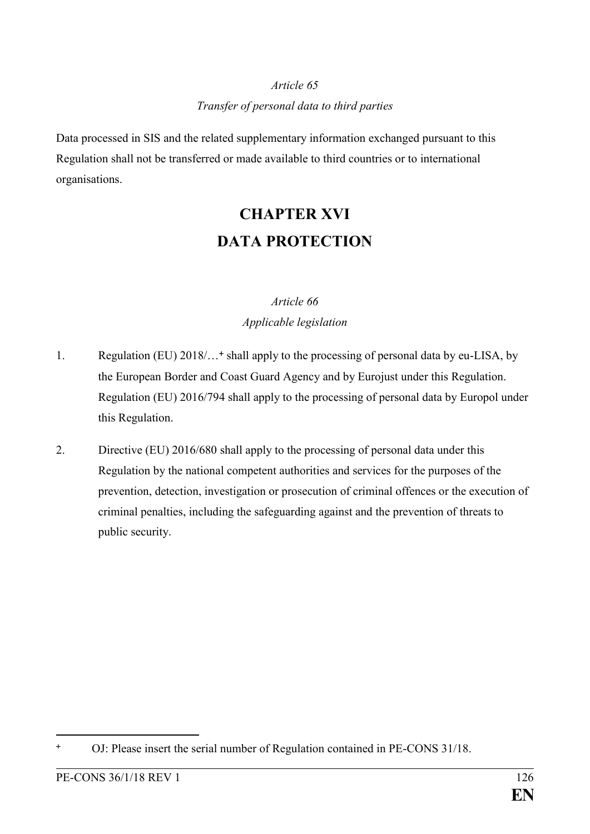## *Article 65 Transfer of personal data to third parties*

Data processed in SIS and the related supplementary information exchanged pursuant to this Regulation shall not be transferred or made available to third countries or to international organisations.

# **CHAPTER XVI DATA PROTECTION**

### *Article 66 Applicable legislation*

- 1. Regulation (EU) 2018/...<sup>+</sup> shall apply to the processing of personal data by eu-LISA, by the European Border and Coast Guard Agency and by Eurojust under this Regulation. Regulation (EU) 2016/794 shall apply to the processing of personal data by Europol under this Regulation.
- 2. Directive (EU) 2016/680 shall apply to the processing of personal data under this Regulation by the national competent authorities and services for the purposes of the prevention, detection, investigation or prosecution of criminal offences or the execution of criminal penalties, including the safeguarding against and the prevention of threats to public security.

<sup>&</sup>lt;u>.</u> OJ: Please insert the serial number of Regulation contained in PE-CONS 31/18.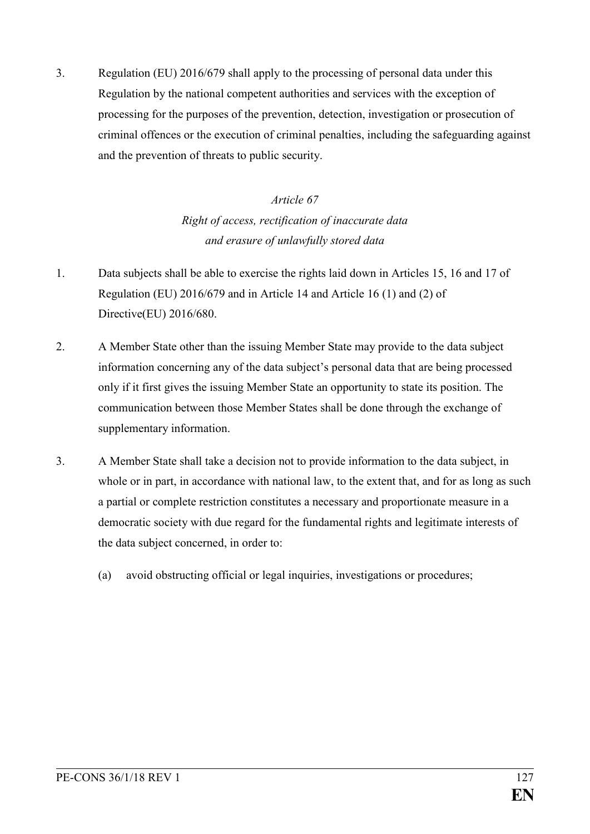3. Regulation (EU) 2016/679 shall apply to the processing of personal data under this Regulation by the national competent authorities and services with the exception of processing for the purposes of the prevention, detection, investigation or prosecution of criminal offences or the execution of criminal penalties, including the safeguarding against and the prevention of threats to public security.

# *Article 67 Right of access, rectification of inaccurate data and erasure of unlawfully stored data*

- 1. Data subjects shall be able to exercise the rights laid down in Articles 15, 16 and 17 of Regulation (EU) 2016/679 and in Article 14 and Article 16 (1) and (2) of Directive(EU) 2016/680.
- 2. A Member State other than the issuing Member State may provide to the data subject information concerning any of the data subject's personal data that are being processed only if it first gives the issuing Member State an opportunity to state its position. The communication between those Member States shall be done through the exchange of supplementary information.
- 3. A Member State shall take a decision not to provide information to the data subject, in whole or in part, in accordance with national law, to the extent that, and for as long as such a partial or complete restriction constitutes a necessary and proportionate measure in a democratic society with due regard for the fundamental rights and legitimate interests of the data subject concerned, in order to:
	- (a) avoid obstructing official or legal inquiries, investigations or procedures;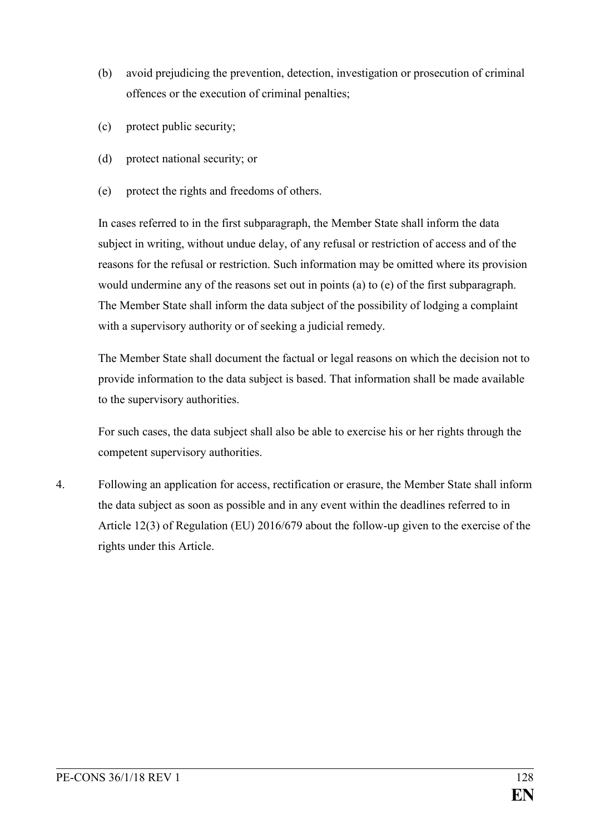- (b) avoid prejudicing the prevention, detection, investigation or prosecution of criminal offences or the execution of criminal penalties;
- (c) protect public security;
- (d) protect national security; or
- (e) protect the rights and freedoms of others.

In cases referred to in the first subparagraph, the Member State shall inform the data subject in writing, without undue delay, of any refusal or restriction of access and of the reasons for the refusal or restriction. Such information may be omitted where its provision would undermine any of the reasons set out in points (a) to (e) of the first subparagraph. The Member State shall inform the data subject of the possibility of lodging a complaint with a supervisory authority or of seeking a judicial remedy.

The Member State shall document the factual or legal reasons on which the decision not to provide information to the data subject is based. That information shall be made available to the supervisory authorities.

For such cases, the data subject shall also be able to exercise his or her rights through the competent supervisory authorities.

4. Following an application for access, rectification or erasure, the Member State shall inform the data subject as soon as possible and in any event within the deadlines referred to in Article 12(3) of Regulation (EU) 2016/679 about the follow-up given to the exercise of the rights under this Article.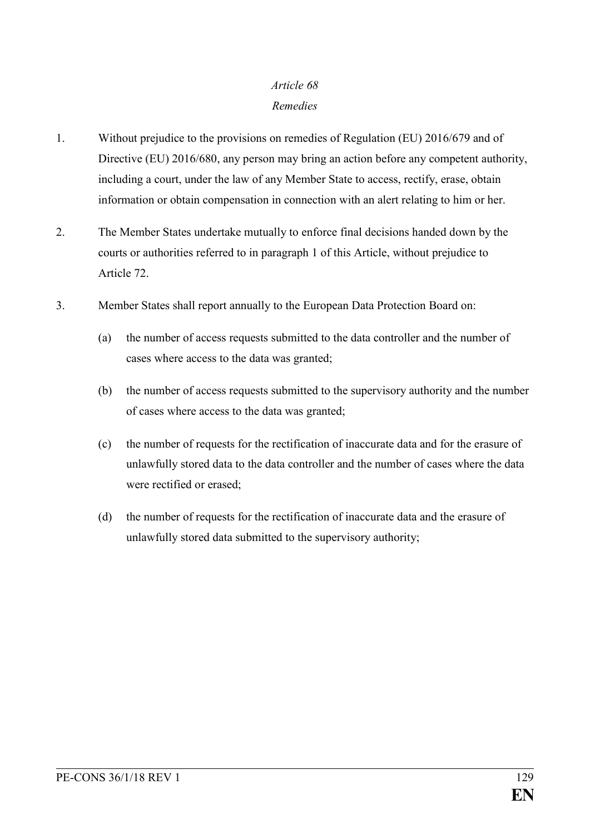### *Remedies*

- 1. Without prejudice to the provisions on remedies of Regulation (EU) 2016/679 and of Directive (EU) 2016/680, any person may bring an action before any competent authority, including a court, under the law of any Member State to access, rectify, erase, obtain information or obtain compensation in connection with an alert relating to him or her.
- 2. The Member States undertake mutually to enforce final decisions handed down by the courts or authorities referred to in paragraph 1 of this Article, without prejudice to Article 72.
- 3. Member States shall report annually to the European Data Protection Board on:
	- (a) the number of access requests submitted to the data controller and the number of cases where access to the data was granted;
	- (b) the number of access requests submitted to the supervisory authority and the number of cases where access to the data was granted;
	- (c) the number of requests for the rectification of inaccurate data and for the erasure of unlawfully stored data to the data controller and the number of cases where the data were rectified or erased;
	- (d) the number of requests for the rectification of inaccurate data and the erasure of unlawfully stored data submitted to the supervisory authority;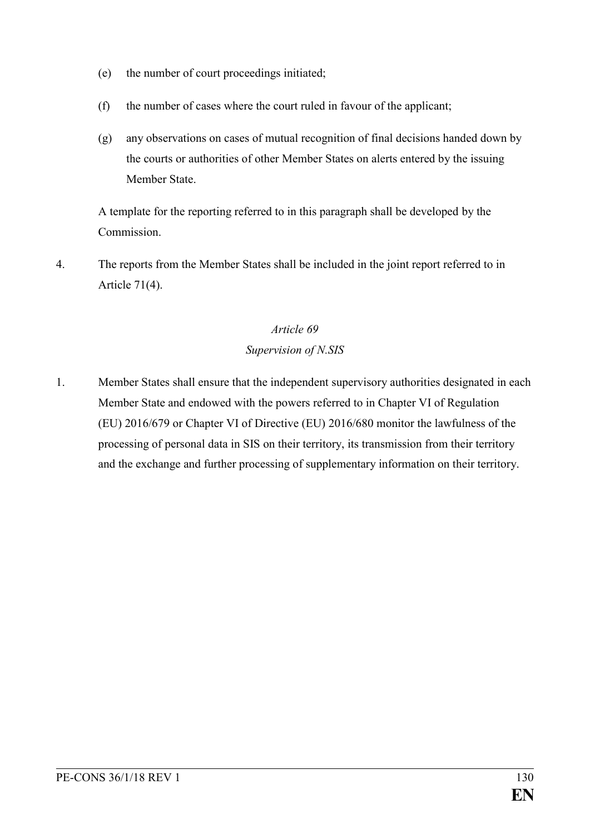- (e) the number of court proceedings initiated;
- (f) the number of cases where the court ruled in favour of the applicant;
- (g) any observations on cases of mutual recognition of final decisions handed down by the courts or authorities of other Member States on alerts entered by the issuing Member State.

A template for the reporting referred to in this paragraph shall be developed by the Commission.

4. The reports from the Member States shall be included in the joint report referred to in Article 71(4).

### *Article 69*

### *Supervision of N.SIS*

1. Member States shall ensure that the independent supervisory authorities designated in each Member State and endowed with the powers referred to in Chapter VI of Regulation (EU) 2016/679 or Chapter VI of Directive (EU) 2016/680 monitor the lawfulness of the processing of personal data in SIS on their territory, its transmission from their territory and the exchange and further processing of supplementary information on their territory.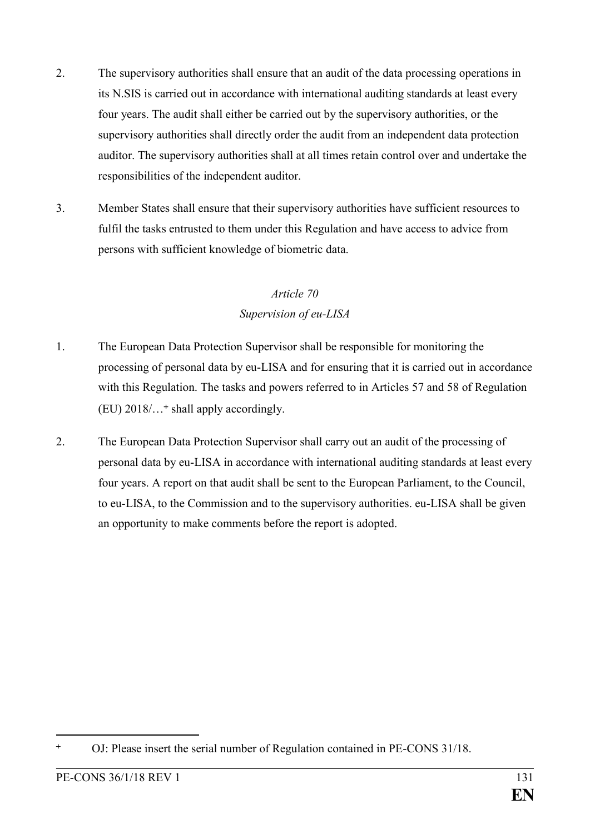- 2. The supervisory authorities shall ensure that an audit of the data processing operations in its N.SIS is carried out in accordance with international auditing standards at least every four years. The audit shall either be carried out by the supervisory authorities, or the supervisory authorities shall directly order the audit from an independent data protection auditor. The supervisory authorities shall at all times retain control over and undertake the responsibilities of the independent auditor.
- 3. Member States shall ensure that their supervisory authorities have sufficient resources to fulfil the tasks entrusted to them under this Regulation and have access to advice from persons with sufficient knowledge of biometric data.

## *Article 70 Supervision of eu-LISA*

- 1. The European Data Protection Supervisor shall be responsible for monitoring the processing of personal data by eu-LISA and for ensuring that it is carried out in accordance with this Regulation. The tasks and powers referred to in Articles 57 and 58 of Regulation (EU) 2018/… shall apply accordingly.
- 2. The European Data Protection Supervisor shall carry out an audit of the processing of personal data by eu-LISA in accordance with international auditing standards at least every four years. A report on that audit shall be sent to the European Parliament, to the Council, to eu-LISA, to the Commission and to the supervisory authorities. eu-LISA shall be given an opportunity to make comments before the report is adopted.

<sup>&</sup>lt;u>.</u> OJ: Please insert the serial number of Regulation contained in PE-CONS 31/18.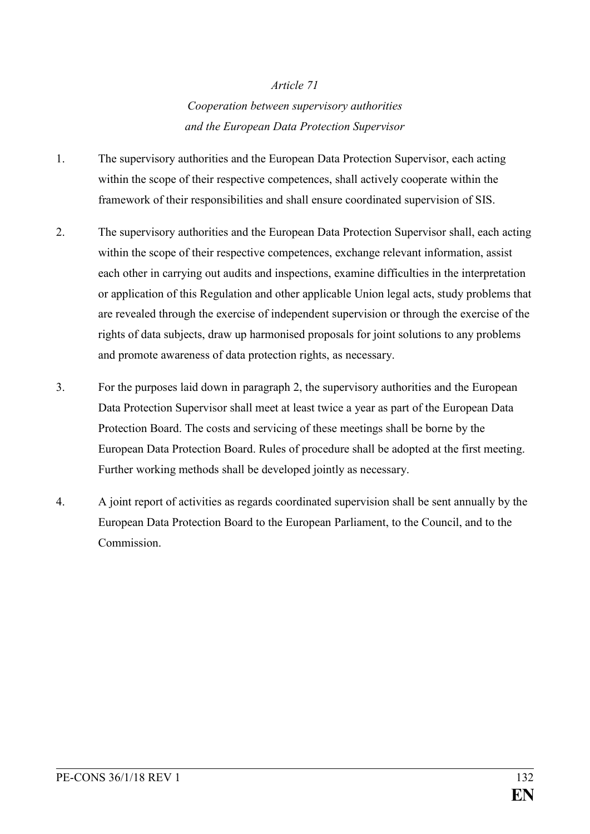### *Cooperation between supervisory authorities and the European Data Protection Supervisor*

- 1. The supervisory authorities and the European Data Protection Supervisor, each acting within the scope of their respective competences, shall actively cooperate within the framework of their responsibilities and shall ensure coordinated supervision of SIS.
- 2. The supervisory authorities and the European Data Protection Supervisor shall, each acting within the scope of their respective competences, exchange relevant information, assist each other in carrying out audits and inspections, examine difficulties in the interpretation or application of this Regulation and other applicable Union legal acts, study problems that are revealed through the exercise of independent supervision or through the exercise of the rights of data subjects, draw up harmonised proposals for joint solutions to any problems and promote awareness of data protection rights, as necessary.
- 3. For the purposes laid down in paragraph 2, the supervisory authorities and the European Data Protection Supervisor shall meet at least twice a year as part of the European Data Protection Board. The costs and servicing of these meetings shall be borne by the European Data Protection Board. Rules of procedure shall be adopted at the first meeting. Further working methods shall be developed jointly as necessary.
- 4. A joint report of activities as regards coordinated supervision shall be sent annually by the European Data Protection Board to the European Parliament, to the Council, and to the Commission.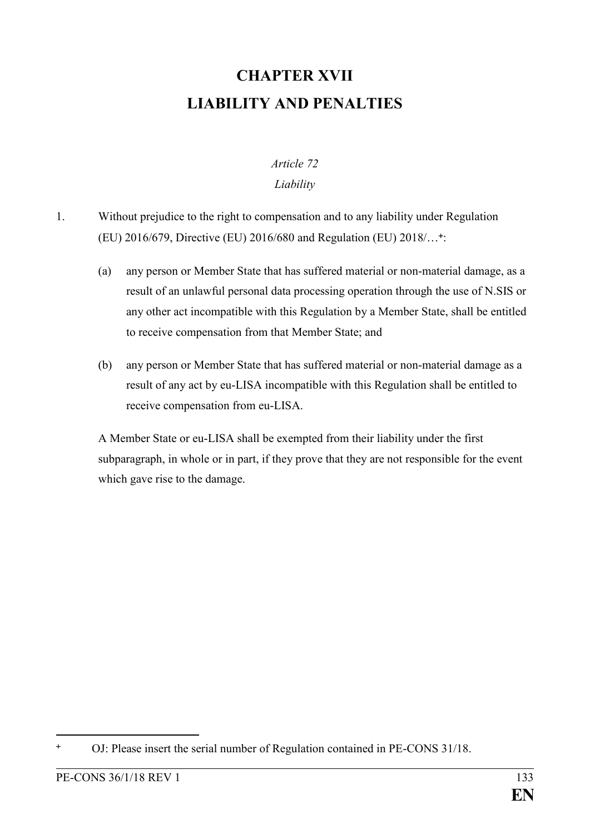# **CHAPTER XVII LIABILITY AND PENALTIES**

# *Article 72*

### *Liability*

- 1. Without prejudice to the right to compensation and to any liability under Regulation (EU) 2016/679, Directive (EU) 2016/680 and Regulation (EU) 2018/… :
	- (a) any person or Member State that has suffered material or non-material damage, as a result of an unlawful personal data processing operation through the use of N.SIS or any other act incompatible with this Regulation by a Member State, shall be entitled to receive compensation from that Member State; and
	- (b) any person or Member State that has suffered material or non-material damage as a result of any act by eu-LISA incompatible with this Regulation shall be entitled to receive compensation from eu-LISA.

A Member State or eu-LISA shall be exempted from their liability under the first subparagraph, in whole or in part, if they prove that they are not responsible for the event which gave rise to the damage.

<u>.</u>

OJ: Please insert the serial number of Regulation contained in PE-CONS 31/18.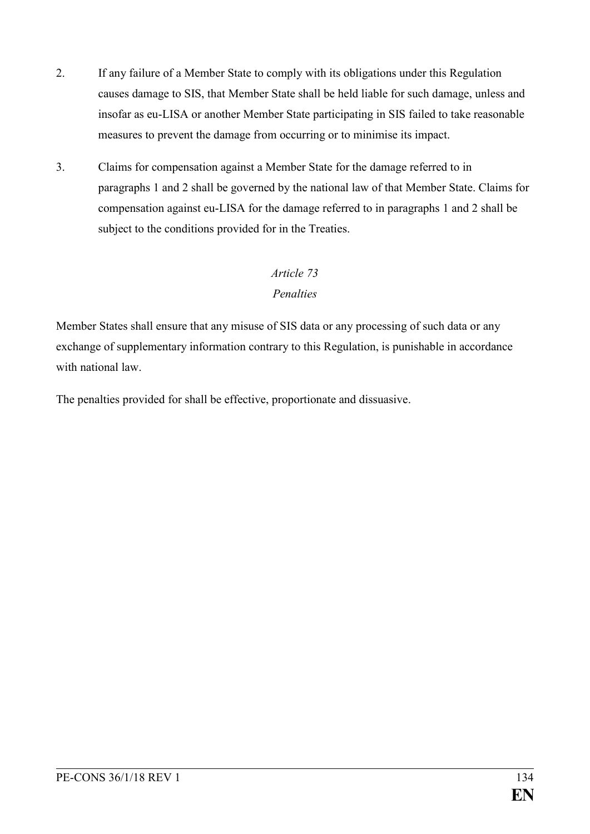- 2. If any failure of a Member State to comply with its obligations under this Regulation causes damage to SIS, that Member State shall be held liable for such damage, unless and insofar as eu-LISA or another Member State participating in SIS failed to take reasonable measures to prevent the damage from occurring or to minimise its impact.
- 3. Claims for compensation against a Member State for the damage referred to in paragraphs 1 and 2 shall be governed by the national law of that Member State. Claims for compensation against eu-LISA for the damage referred to in paragraphs 1 and 2 shall be subject to the conditions provided for in the Treaties.

### *Penalties*

Member States shall ensure that any misuse of SIS data or any processing of such data or any exchange of supplementary information contrary to this Regulation, is punishable in accordance with national law

The penalties provided for shall be effective, proportionate and dissuasive.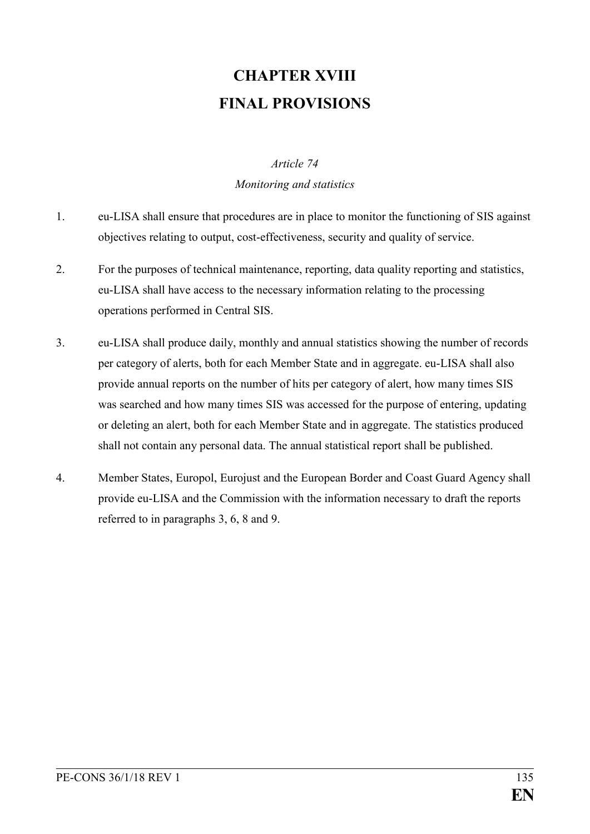# **CHAPTER XVIII FINAL PROVISIONS**

#### *Article 74*

#### *Monitoring and statistics*

- 1. eu-LISA shall ensure that procedures are in place to monitor the functioning of SIS against objectives relating to output, cost-effectiveness, security and quality of service.
- 2. For the purposes of technical maintenance, reporting, data quality reporting and statistics, eu-LISA shall have access to the necessary information relating to the processing operations performed in Central SIS.
- 3. eu-LISA shall produce daily, monthly and annual statistics showing the number of records per category of alerts, both for each Member State and in aggregate. eu-LISA shall also provide annual reports on the number of hits per category of alert, how many times SIS was searched and how many times SIS was accessed for the purpose of entering, updating or deleting an alert, both for each Member State and in aggregate. The statistics produced shall not contain any personal data. The annual statistical report shall be published.
- 4. Member States, Europol, Eurojust and the European Border and Coast Guard Agency shall provide eu-LISA and the Commission with the information necessary to draft the reports referred to in paragraphs 3, 6, 8 and 9.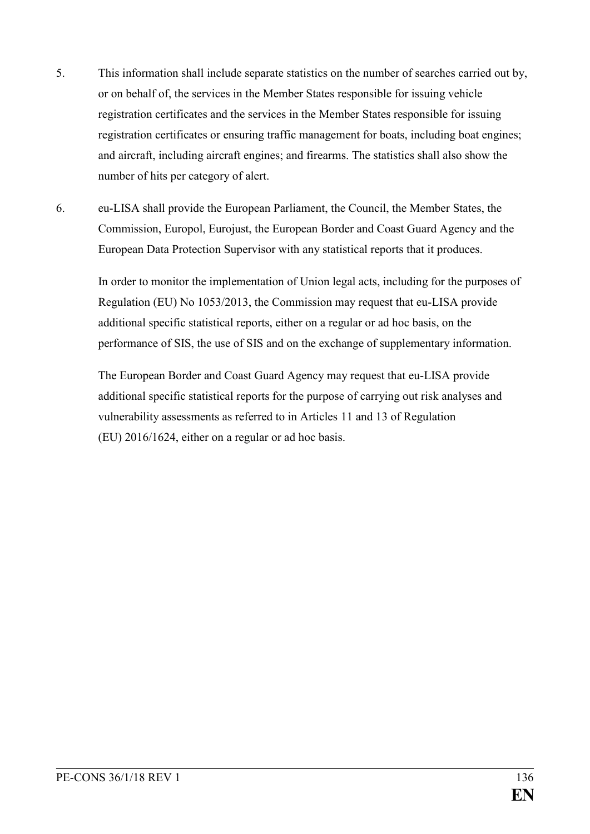- 5. This information shall include separate statistics on the number of searches carried out by, or on behalf of, the services in the Member States responsible for issuing vehicle registration certificates and the services in the Member States responsible for issuing registration certificates or ensuring traffic management for boats, including boat engines; and aircraft, including aircraft engines; and firearms. The statistics shall also show the number of hits per category of alert.
- 6. eu-LISA shall provide the European Parliament, the Council, the Member States, the Commission, Europol, Eurojust, the European Border and Coast Guard Agency and the European Data Protection Supervisor with any statistical reports that it produces.

In order to monitor the implementation of Union legal acts, including for the purposes of Regulation (EU) No 1053/2013, the Commission may request that eu-LISA provide additional specific statistical reports, either on a regular or ad hoc basis, on the performance of SIS, the use of SIS and on the exchange of supplementary information.

The European Border and Coast Guard Agency may request that eu-LISA provide additional specific statistical reports for the purpose of carrying out risk analyses and vulnerability assessments as referred to in Articles 11 and 13 of Regulation (EU) 2016/1624, either on a regular or ad hoc basis.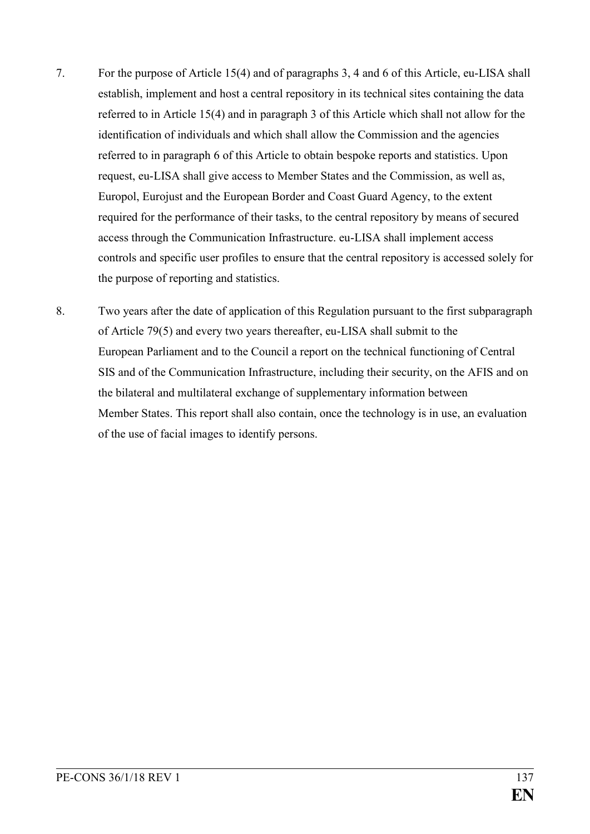- 7. For the purpose of Article 15(4) and of paragraphs 3, 4 and 6 of this Article, eu-LISA shall establish, implement and host a central repository in its technical sites containing the data referred to in Article 15(4) and in paragraph 3 of this Article which shall not allow for the identification of individuals and which shall allow the Commission and the agencies referred to in paragraph 6 of this Article to obtain bespoke reports and statistics. Upon request, eu-LISA shall give access to Member States and the Commission, as well as, Europol, Eurojust and the European Border and Coast Guard Agency, to the extent required for the performance of their tasks, to the central repository by means of secured access through the Communication Infrastructure. eu-LISA shall implement access controls and specific user profiles to ensure that the central repository is accessed solely for the purpose of reporting and statistics.
- 8. Two years after the date of application of this Regulation pursuant to the first subparagraph of Article 79(5) and every two years thereafter, eu-LISA shall submit to the European Parliament and to the Council a report on the technical functioning of Central SIS and of the Communication Infrastructure, including their security, on the AFIS and on the bilateral and multilateral exchange of supplementary information between Member States. This report shall also contain, once the technology is in use, an evaluation of the use of facial images to identify persons.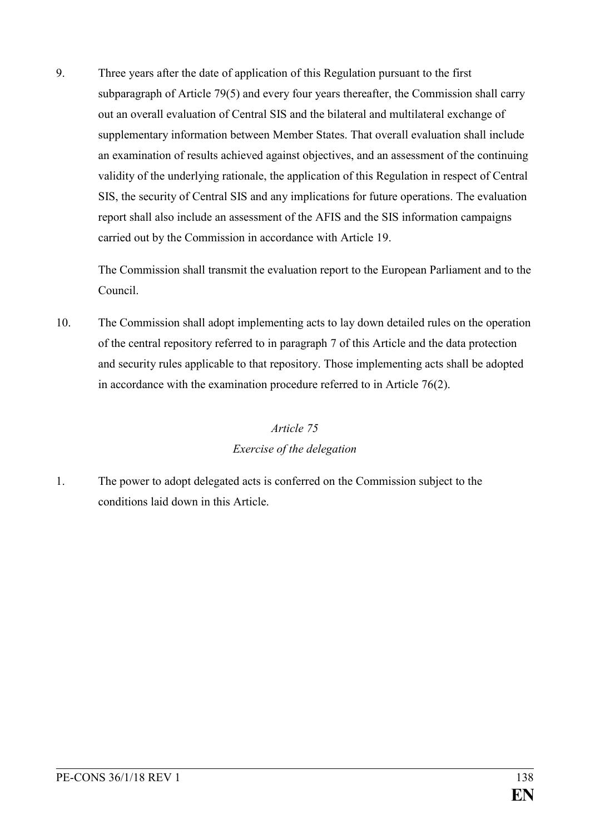9. Three years after the date of application of this Regulation pursuant to the first subparagraph of Article 79(5) and every four years thereafter, the Commission shall carry out an overall evaluation of Central SIS and the bilateral and multilateral exchange of supplementary information between Member States. That overall evaluation shall include an examination of results achieved against objectives, and an assessment of the continuing validity of the underlying rationale, the application of this Regulation in respect of Central SIS, the security of Central SIS and any implications for future operations. The evaluation report shall also include an assessment of the AFIS and the SIS information campaigns carried out by the Commission in accordance with Article 19.

The Commission shall transmit the evaluation report to the European Parliament and to the Council.

10. The Commission shall adopt implementing acts to lay down detailed rules on the operation of the central repository referred to in paragraph 7 of this Article and the data protection and security rules applicable to that repository. Those implementing acts shall be adopted in accordance with the examination procedure referred to in Article 76(2).

# *Article 75 Exercise of the delegation*

1. The power to adopt delegated acts is conferred on the Commission subject to the conditions laid down in this Article.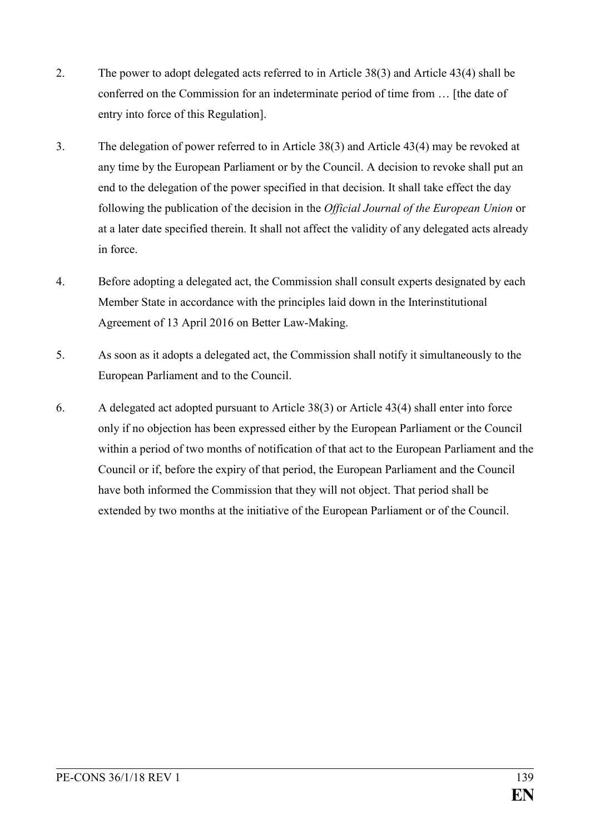- 2. The power to adopt delegated acts referred to in Article 38(3) and Article 43(4) shall be conferred on the Commission for an indeterminate period of time from … [the date of entry into force of this Regulation].
- 3. The delegation of power referred to in Article 38(3) and Article 43(4) may be revoked at any time by the European Parliament or by the Council. A decision to revoke shall put an end to the delegation of the power specified in that decision. It shall take effect the day following the publication of the decision in the *Official Journal of the European Union* or at a later date specified therein. It shall not affect the validity of any delegated acts already in force.
- 4. Before adopting a delegated act, the Commission shall consult experts designated by each Member State in accordance with the principles laid down in the Interinstitutional Agreement of 13 April 2016 on Better Law-Making.
- 5. As soon as it adopts a delegated act, the Commission shall notify it simultaneously to the European Parliament and to the Council.
- 6. A delegated act adopted pursuant to Article 38(3) or Article 43(4) shall enter into force only if no objection has been expressed either by the European Parliament or the Council within a period of two months of notification of that act to the European Parliament and the Council or if, before the expiry of that period, the European Parliament and the Council have both informed the Commission that they will not object. That period shall be extended by two months at the initiative of the European Parliament or of the Council.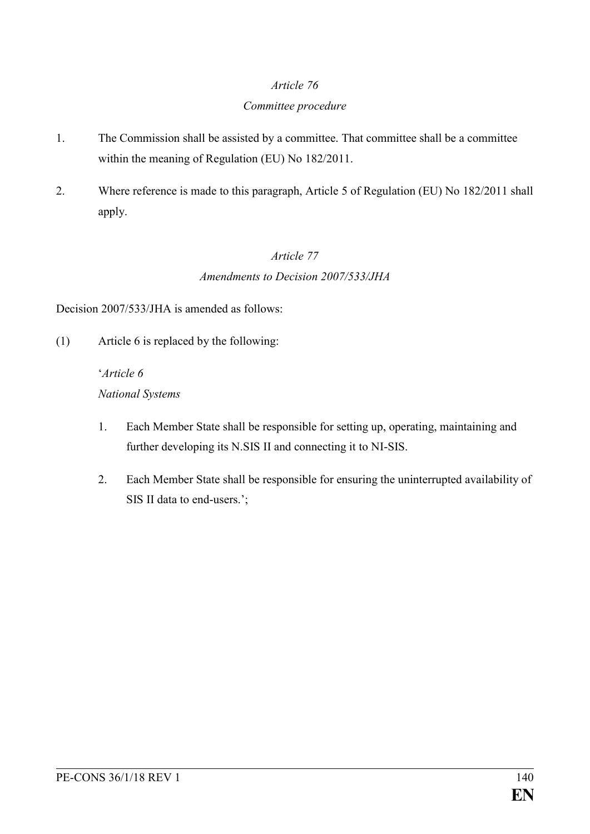### *Committee procedure*

- 1. The Commission shall be assisted by a committee. That committee shall be a committee within the meaning of Regulation (EU) No 182/2011.
- 2. Where reference is made to this paragraph, Article 5 of Regulation (EU) No 182/2011 shall apply.

## *Article 77 Amendments to Decision 2007/533/JHA*

Decision 2007/533/JHA is amended as follows:

(1) Article 6 is replaced by the following:

### '*Article 6*

### *National Systems*

- 1. Each Member State shall be responsible for setting up, operating, maintaining and further developing its N.SIS II and connecting it to NI-SIS.
- 2. Each Member State shall be responsible for ensuring the uninterrupted availability of SIS II data to end-users.';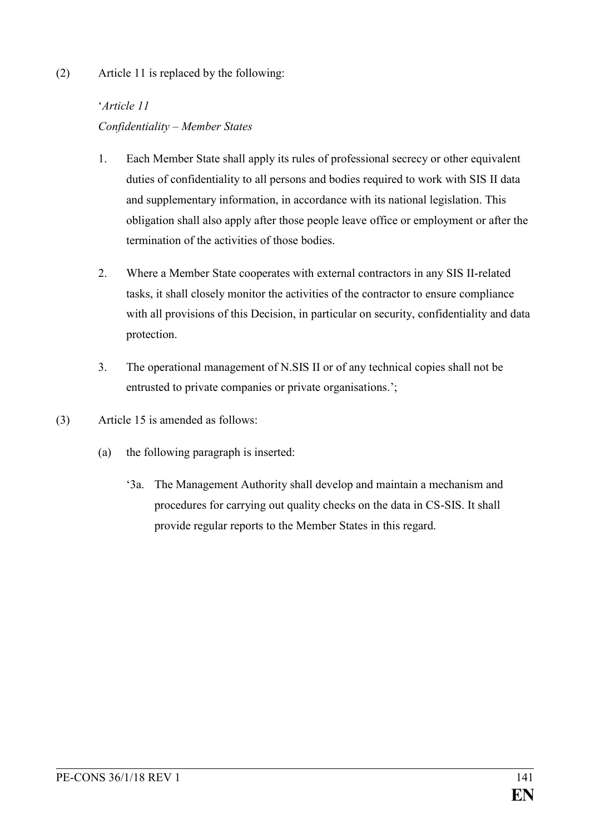### (2) Article 11 is replaced by the following:

## '*Article 11 Confidentiality – Member States*

- 1. Each Member State shall apply its rules of professional secrecy or other equivalent duties of confidentiality to all persons and bodies required to work with SIS II data and supplementary information, in accordance with its national legislation. This obligation shall also apply after those people leave office or employment or after the termination of the activities of those bodies.
- 2. Where a Member State cooperates with external contractors in any SIS II-related tasks, it shall closely monitor the activities of the contractor to ensure compliance with all provisions of this Decision, in particular on security, confidentiality and data protection.
- 3. The operational management of N.SIS II or of any technical copies shall not be entrusted to private companies or private organisations.';
- (3) Article 15 is amended as follows:
	- (a) the following paragraph is inserted:
		- '3a. The Management Authority shall develop and maintain a mechanism and procedures for carrying out quality checks on the data in CS-SIS. It shall provide regular reports to the Member States in this regard.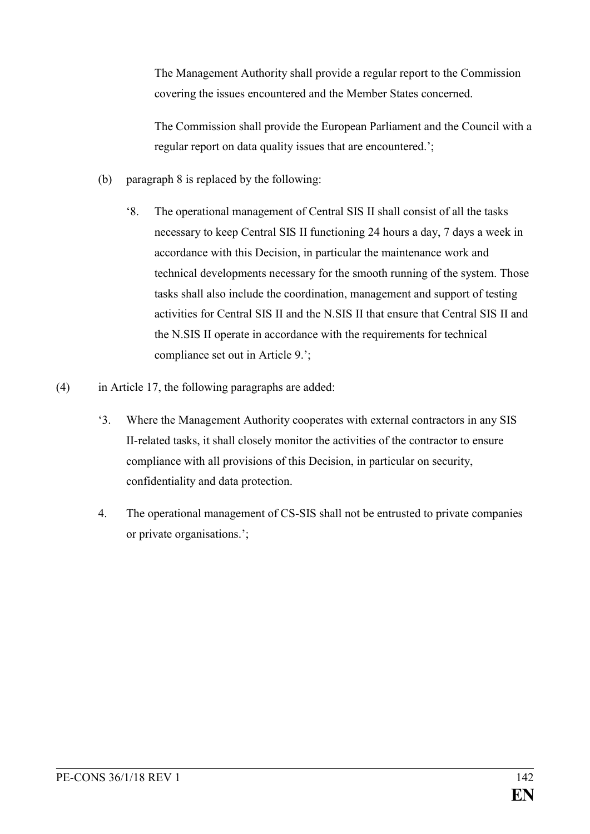The Management Authority shall provide a regular report to the Commission covering the issues encountered and the Member States concerned.

The Commission shall provide the European Parliament and the Council with a regular report on data quality issues that are encountered.';

- (b) paragraph 8 is replaced by the following:
	- '8. The operational management of Central SIS II shall consist of all the tasks necessary to keep Central SIS II functioning 24 hours a day, 7 days a week in accordance with this Decision, in particular the maintenance work and technical developments necessary for the smooth running of the system. Those tasks shall also include the coordination, management and support of testing activities for Central SIS II and the N.SIS II that ensure that Central SIS II and the N.SIS II operate in accordance with the requirements for technical compliance set out in Article 9.';
- (4) in Article 17, the following paragraphs are added:
	- '3. Where the Management Authority cooperates with external contractors in any SIS II-related tasks, it shall closely monitor the activities of the contractor to ensure compliance with all provisions of this Decision, in particular on security, confidentiality and data protection.
	- 4. The operational management of CS-SIS shall not be entrusted to private companies or private organisations.';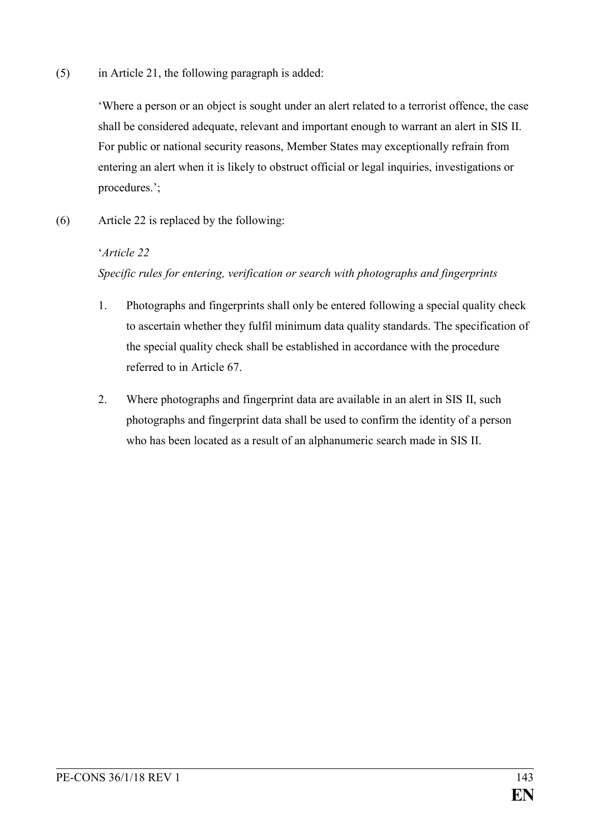(5) in Article 21, the following paragraph is added:

'Where a person or an object is sought under an alert related to a terrorist offence, the case shall be considered adequate, relevant and important enough to warrant an alert in SIS II. For public or national security reasons, Member States may exceptionally refrain from entering an alert when it is likely to obstruct official or legal inquiries, investigations or procedures.';

(6) Article 22 is replaced by the following:

### '*Article 22*

### *Specific rules for entering, verification or search with photographs and fingerprints*

- 1. Photographs and fingerprints shall only be entered following a special quality check to ascertain whether they fulfil minimum data quality standards. The specification of the special quality check shall be established in accordance with the procedure referred to in Article 67.
- 2. Where photographs and fingerprint data are available in an alert in SIS II, such photographs and fingerprint data shall be used to confirm the identity of a person who has been located as a result of an alphanumeric search made in SIS II.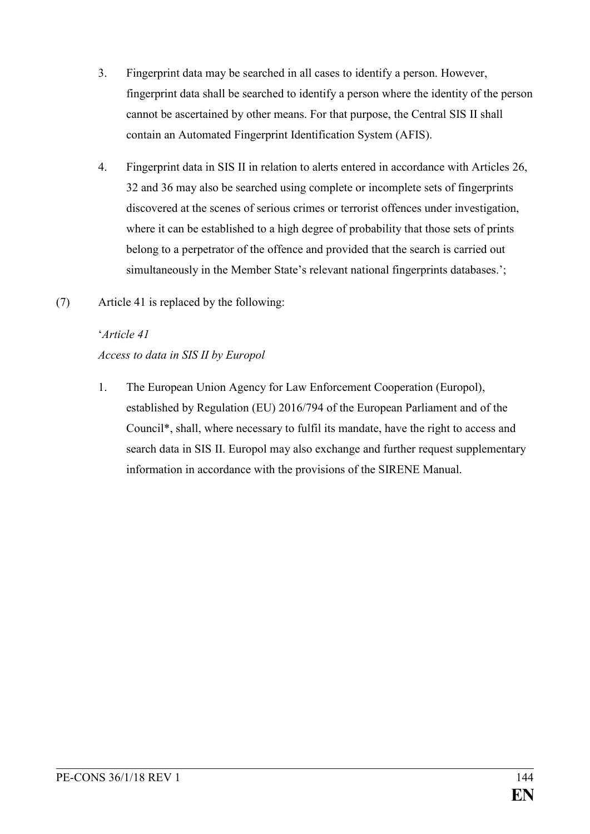- 3. Fingerprint data may be searched in all cases to identify a person. However, fingerprint data shall be searched to identify a person where the identity of the person cannot be ascertained by other means. For that purpose, the Central SIS II shall contain an Automated Fingerprint Identification System (AFIS).
- 4. Fingerprint data in SIS II in relation to alerts entered in accordance with Articles 26, 32 and 36 may also be searched using complete or incomplete sets of fingerprints discovered at the scenes of serious crimes or terrorist offences under investigation, where it can be established to a high degree of probability that those sets of prints belong to a perpetrator of the offence and provided that the search is carried out simultaneously in the Member State's relevant national fingerprints databases.';
- (7) Article 41 is replaced by the following:

## '*Article 41 Access to data in SIS II by Europol*

1. The European Union Agency for Law Enforcement Cooperation (Europol), established by Regulation (EU) 2016/794 of the European Parliament and of the Council\*, shall, where necessary to fulfil its mandate, have the right to access and search data in SIS II. Europol may also exchange and further request supplementary information in accordance with the provisions of the SIRENE Manual.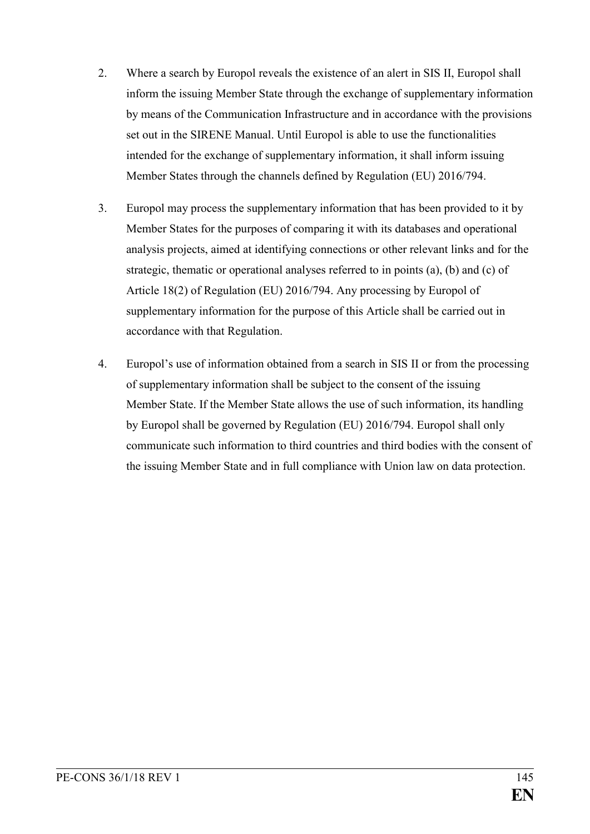- 2. Where a search by Europol reveals the existence of an alert in SIS II, Europol shall inform the issuing Member State through the exchange of supplementary information by means of the Communication Infrastructure and in accordance with the provisions set out in the SIRENE Manual. Until Europol is able to use the functionalities intended for the exchange of supplementary information, it shall inform issuing Member States through the channels defined by Regulation (EU) 2016/794.
- 3. Europol may process the supplementary information that has been provided to it by Member States for the purposes of comparing it with its databases and operational analysis projects, aimed at identifying connections or other relevant links and for the strategic, thematic or operational analyses referred to in points (a), (b) and (c) of Article 18(2) of Regulation (EU) 2016/794. Any processing by Europol of supplementary information for the purpose of this Article shall be carried out in accordance with that Regulation.
- 4. Europol's use of information obtained from a search in SIS II or from the processing of supplementary information shall be subject to the consent of the issuing Member State. If the Member State allows the use of such information, its handling by Europol shall be governed by Regulation (EU) 2016/794. Europol shall only communicate such information to third countries and third bodies with the consent of the issuing Member State and in full compliance with Union law on data protection.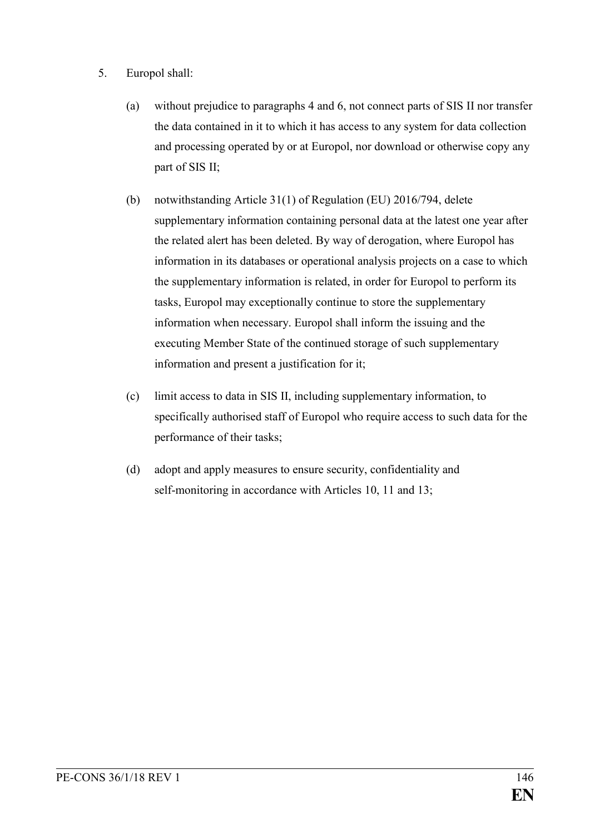- 5. Europol shall:
	- (a) without prejudice to paragraphs 4 and 6, not connect parts of SIS II nor transfer the data contained in it to which it has access to any system for data collection and processing operated by or at Europol, nor download or otherwise copy any part of SIS II;
	- (b) notwithstanding Article 31(1) of Regulation (EU) 2016/794, delete supplementary information containing personal data at the latest one year after the related alert has been deleted. By way of derogation, where Europol has information in its databases or operational analysis projects on a case to which the supplementary information is related, in order for Europol to perform its tasks, Europol may exceptionally continue to store the supplementary information when necessary. Europol shall inform the issuing and the executing Member State of the continued storage of such supplementary information and present a justification for it;
	- (c) limit access to data in SIS II, including supplementary information, to specifically authorised staff of Europol who require access to such data for the performance of their tasks;
	- (d) adopt and apply measures to ensure security, confidentiality and self-monitoring in accordance with Articles 10, 11 and 13;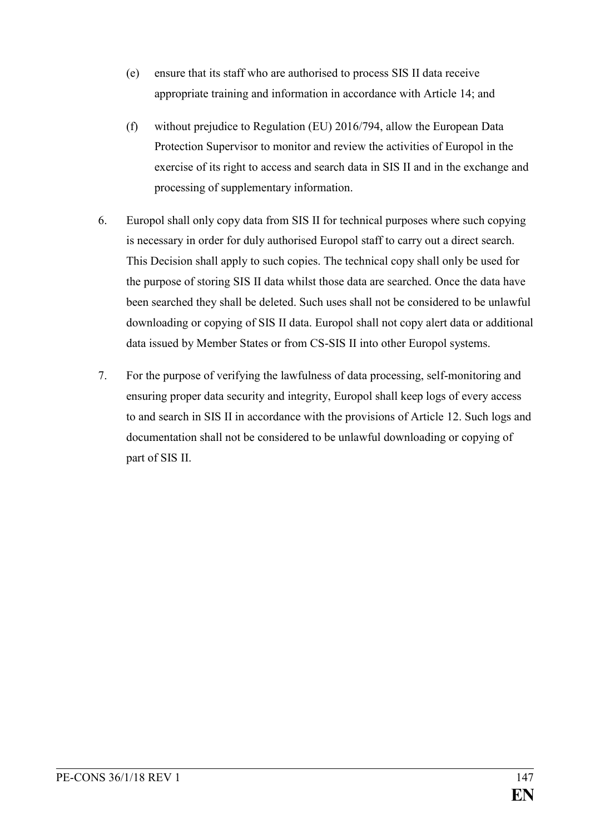- (e) ensure that its staff who are authorised to process SIS II data receive appropriate training and information in accordance with Article 14; and
- (f) without prejudice to Regulation (EU) 2016/794, allow the European Data Protection Supervisor to monitor and review the activities of Europol in the exercise of its right to access and search data in SIS II and in the exchange and processing of supplementary information.
- 6. Europol shall only copy data from SIS II for technical purposes where such copying is necessary in order for duly authorised Europol staff to carry out a direct search. This Decision shall apply to such copies. The technical copy shall only be used for the purpose of storing SIS II data whilst those data are searched. Once the data have been searched they shall be deleted. Such uses shall not be considered to be unlawful downloading or copying of SIS II data. Europol shall not copy alert data or additional data issued by Member States or from CS-SIS II into other Europol systems.
- 7. For the purpose of verifying the lawfulness of data processing, self-monitoring and ensuring proper data security and integrity, Europol shall keep logs of every access to and search in SIS II in accordance with the provisions of Article 12. Such logs and documentation shall not be considered to be unlawful downloading or copying of part of SIS II.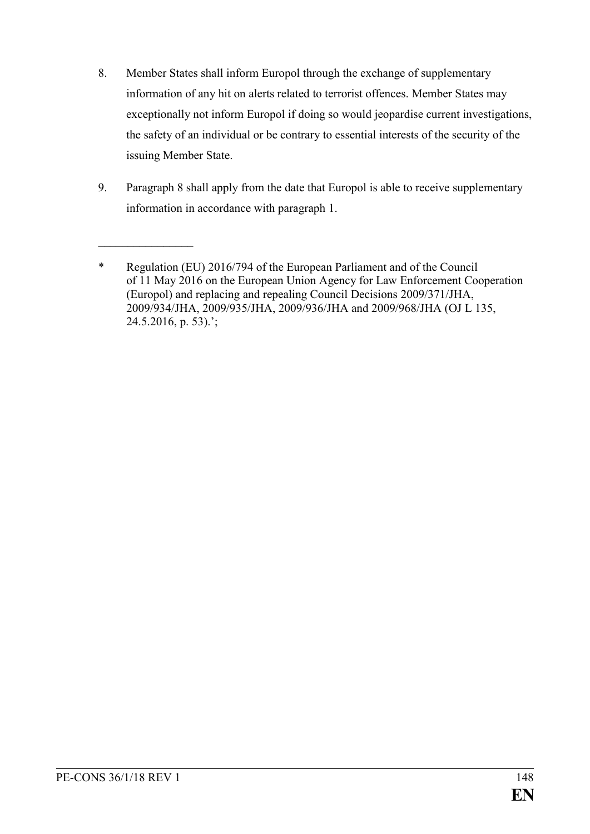- 8. Member States shall inform Europol through the exchange of supplementary information of any hit on alerts related to terrorist offences. Member States may exceptionally not inform Europol if doing so would jeopardise current investigations, the safety of an individual or be contrary to essential interests of the security of the issuing Member State.
- 9. Paragraph 8 shall apply from the date that Europol is able to receive supplementary information in accordance with paragraph 1.

 $\mathcal{L}_\text{max}$ 

<sup>\*</sup> Regulation (EU) 2016/794 of the European Parliament and of the Council of 11 May 2016 on the European Union Agency for Law Enforcement Cooperation (Europol) and replacing and repealing Council Decisions 2009/371/JHA, 2009/934/JHA, 2009/935/JHA, 2009/936/JHA and 2009/968/JHA (OJ L 135,  $24.5.2016$ , p. 53).';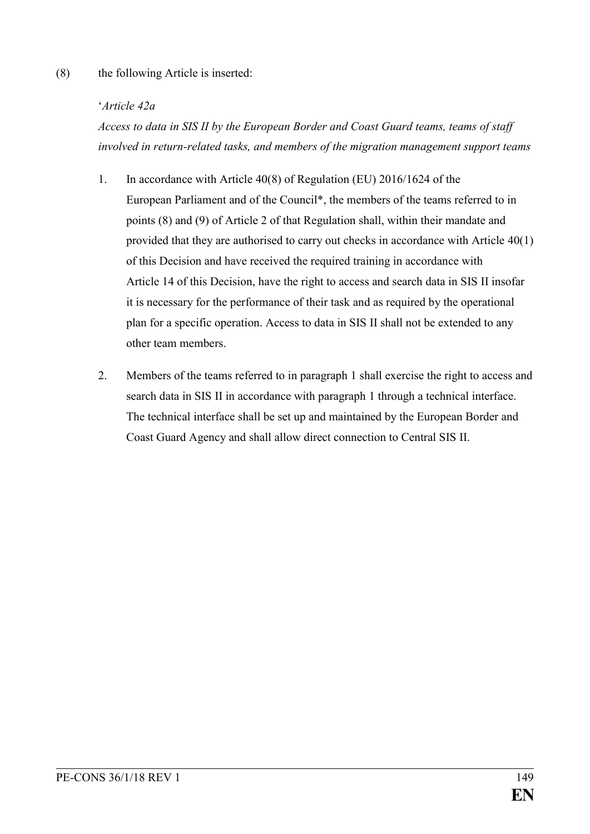#### (8) the following Article is inserted:

#### '*Article 42a*

*Access to data in SIS II by the European Border and Coast Guard teams, teams of staff involved in return-related tasks, and members of the migration management support teams*

- 1. In accordance with Article 40(8) of Regulation (EU) 2016/1624 of the European Parliament and of the Council\*, the members of the teams referred to in points (8) and (9) of Article 2 of that Regulation shall, within their mandate and provided that they are authorised to carry out checks in accordance with Article 40(1) of this Decision and have received the required training in accordance with Article 14 of this Decision, have the right to access and search data in SIS II insofar it is necessary for the performance of their task and as required by the operational plan for a specific operation. Access to data in SIS II shall not be extended to any other team members.
- 2. Members of the teams referred to in paragraph 1 shall exercise the right to access and search data in SIS II in accordance with paragraph 1 through a technical interface. The technical interface shall be set up and maintained by the European Border and Coast Guard Agency and shall allow direct connection to Central SIS II.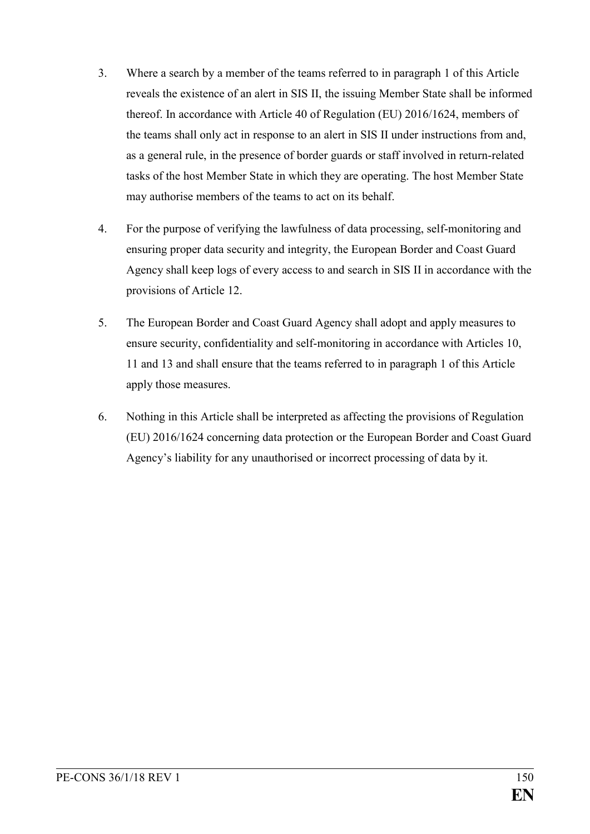- 3. Where a search by a member of the teams referred to in paragraph 1 of this Article reveals the existence of an alert in SIS II, the issuing Member State shall be informed thereof. In accordance with Article 40 of Regulation (EU) 2016/1624, members of the teams shall only act in response to an alert in SIS II under instructions from and, as a general rule, in the presence of border guards or staff involved in return-related tasks of the host Member State in which they are operating. The host Member State may authorise members of the teams to act on its behalf.
- 4. For the purpose of verifying the lawfulness of data processing, self-monitoring and ensuring proper data security and integrity, the European Border and Coast Guard Agency shall keep logs of every access to and search in SIS II in accordance with the provisions of Article 12.
- 5. The European Border and Coast Guard Agency shall adopt and apply measures to ensure security, confidentiality and self-monitoring in accordance with Articles 10, 11 and 13 and shall ensure that the teams referred to in paragraph 1 of this Article apply those measures.
- 6. Nothing in this Article shall be interpreted as affecting the provisions of Regulation (EU) 2016/1624 concerning data protection or the European Border and Coast Guard Agency's liability for any unauthorised or incorrect processing of data by it.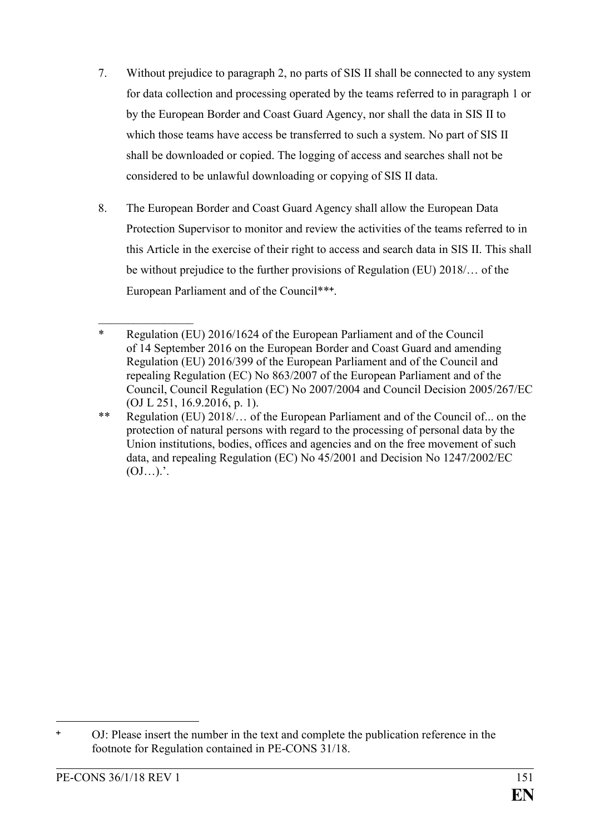- 7. Without prejudice to paragraph 2, no parts of SIS II shall be connected to any system for data collection and processing operated by the teams referred to in paragraph 1 or by the European Border and Coast Guard Agency, nor shall the data in SIS II to which those teams have access be transferred to such a system. No part of SIS II shall be downloaded or copied. The logging of access and searches shall not be considered to be unlawful downloading or copying of SIS II data.
- 8. The European Border and Coast Guard Agency shall allow the European Data Protection Supervisor to monitor and review the activities of the teams referred to in this Article in the exercise of their right to access and search data in SIS II. This shall be without prejudice to the further provisions of Regulation (EU) 2018/… of the European Parliament and of the Council\*\*\*.

1

 $\frac{1}{2}$ 

<sup>\*</sup> Regulation (EU) 2016/1624 of the European Parliament and of the Council of 14 September 2016 on the European Border and Coast Guard and amending Regulation (EU) 2016/399 of the European Parliament and of the Council and repealing Regulation (EC) No 863/2007 of the European Parliament and of the Council, Council Regulation (EC) No 2007/2004 and Council Decision 2005/267/EC (OJ L 251, 16.9.2016, p. 1).

<sup>\*\*</sup> Regulation (EU) 2018/… of the European Parliament and of the Council of... on the protection of natural persons with regard to the processing of personal data by the Union institutions, bodies, offices and agencies and on the free movement of such data, and repealing Regulation (EC) No 45/2001 and Decision No 1247/2002/EC  $(OJ...)'$ .

OJ: Please insert the number in the text and complete the publication reference in the footnote for Regulation contained in PE-CONS 31/18.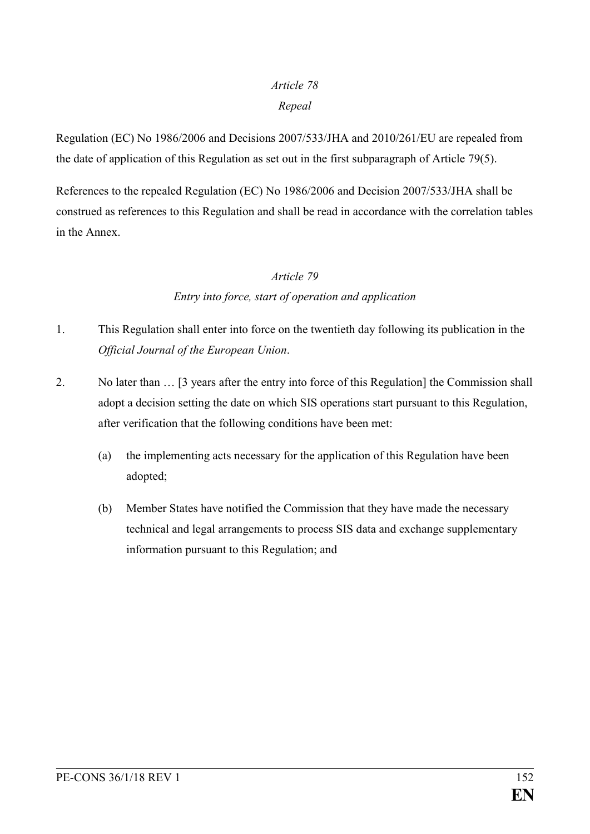# *Article 78*

#### *Repeal*

Regulation (EC) No 1986/2006 and Decisions 2007/533/JHA and 2010/261/EU are repealed from the date of application of this Regulation as set out in the first subparagraph of Article 79(5).

References to the repealed Regulation (EC) No 1986/2006 and Decision 2007/533/JHA shall be construed as references to this Regulation and shall be read in accordance with the correlation tables in the Annex.

#### *Article 79*

# *Entry into force, start of operation and application*

- 1. This Regulation shall enter into force on the twentieth day following its publication in the *Official Journal of the European Union*.
- 2. No later than … [3 years after the entry into force of this Regulation] the Commission shall adopt a decision setting the date on which SIS operations start pursuant to this Regulation, after verification that the following conditions have been met:
	- (a) the implementing acts necessary for the application of this Regulation have been adopted;
	- (b) Member States have notified the Commission that they have made the necessary technical and legal arrangements to process SIS data and exchange supplementary information pursuant to this Regulation; and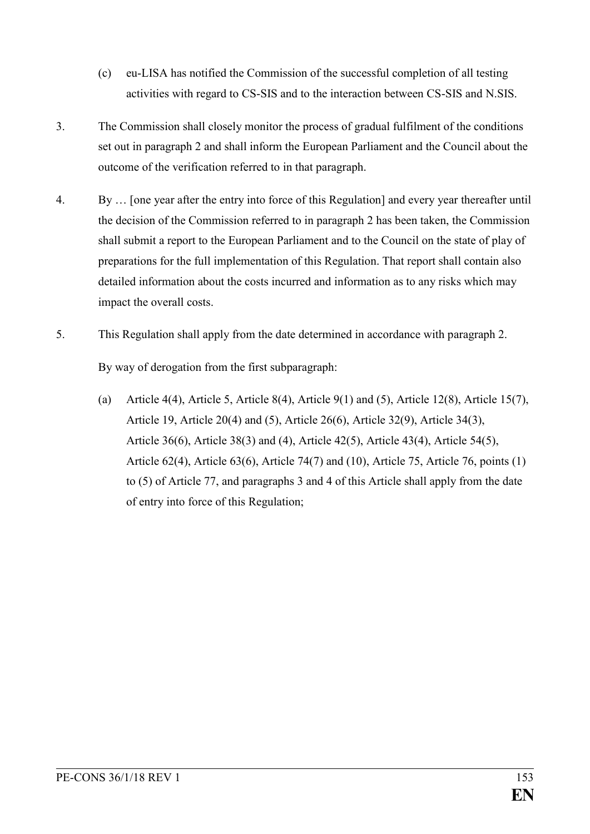- (c) eu-LISA has notified the Commission of the successful completion of all testing activities with regard to CS-SIS and to the interaction between CS-SIS and N.SIS.
- 3. The Commission shall closely monitor the process of gradual fulfilment of the conditions set out in paragraph 2 and shall inform the European Parliament and the Council about the outcome of the verification referred to in that paragraph.
- 4. By … [one year after the entry into force of this Regulation] and every year thereafter until the decision of the Commission referred to in paragraph 2 has been taken, the Commission shall submit a report to the European Parliament and to the Council on the state of play of preparations for the full implementation of this Regulation. That report shall contain also detailed information about the costs incurred and information as to any risks which may impact the overall costs.
- 5. This Regulation shall apply from the date determined in accordance with paragraph 2.

By way of derogation from the first subparagraph:

(a) Article 4(4), Article 5, Article 8(4), Article 9(1) and (5), Article 12(8), Article 15(7), Article 19, Article 20(4) and (5), Article 26(6), Article 32(9), Article 34(3), Article 36(6), Article 38(3) and (4), Article 42(5), Article 43(4), Article 54(5), Article 62(4), Article 63(6), Article 74(7) and (10), Article 75, Article 76, points (1) to (5) of Article 77, and paragraphs 3 and 4 of this Article shall apply from the date of entry into force of this Regulation;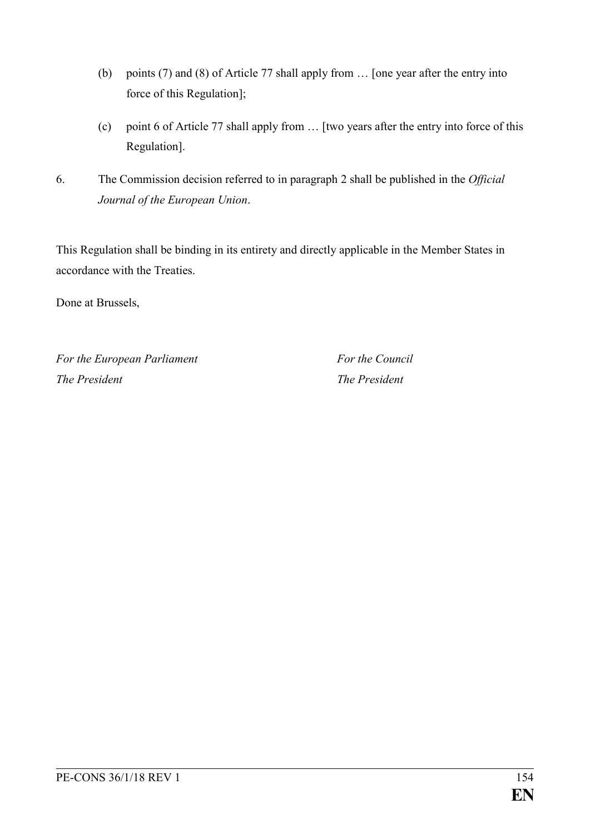- (b) points (7) and (8) of Article 77 shall apply from … [one year after the entry into force of this Regulation];
- (c) point 6 of Article 77 shall apply from … [two years after the entry into force of this Regulation].
- 6. The Commission decision referred to in paragraph 2 shall be published in the *Official Journal of the European Union*.

This Regulation shall be binding in its entirety and directly applicable in the Member States in accordance with the Treaties.

Done at Brussels,

*For the European Parliament For the Council The President The President*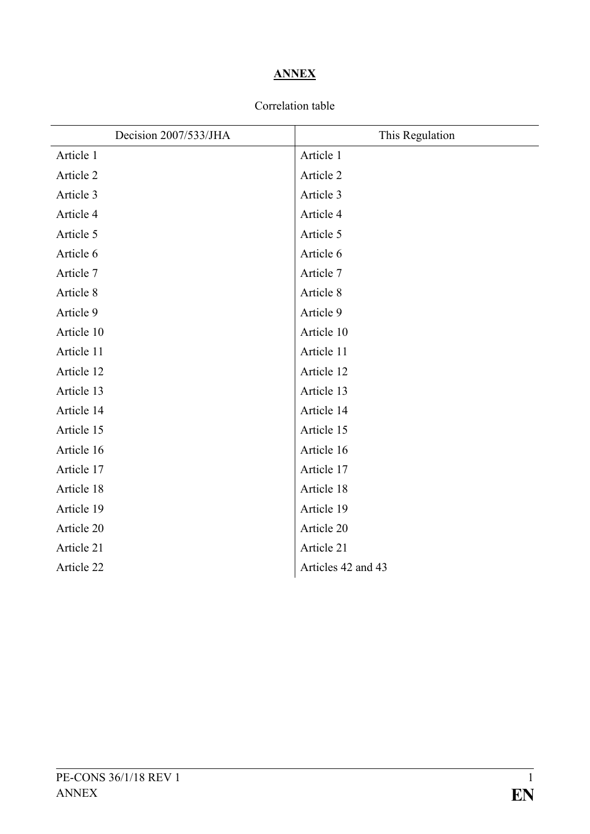# **ANNEX**

### Correlation table

| Decision 2007/533/JHA | This Regulation    |
|-----------------------|--------------------|
| Article 1             | Article 1          |
| Article 2             | Article 2          |
| Article 3             | Article 3          |
| Article 4             | Article 4          |
| Article 5             | Article 5          |
| Article 6             | Article 6          |
| Article 7             | Article 7          |
| Article 8             | Article 8          |
| Article 9             | Article 9          |
| Article 10            | Article 10         |
| Article 11            | Article 11         |
| Article 12            | Article 12         |
| Article 13            | Article 13         |
| Article 14            | Article 14         |
| Article 15            | Article 15         |
| Article 16            | Article 16         |
| Article 17            | Article 17         |
| Article 18            | Article 18         |
| Article 19            | Article 19         |
| Article 20            | Article 20         |
| Article 21            | Article 21         |
| Article 22            | Articles 42 and 43 |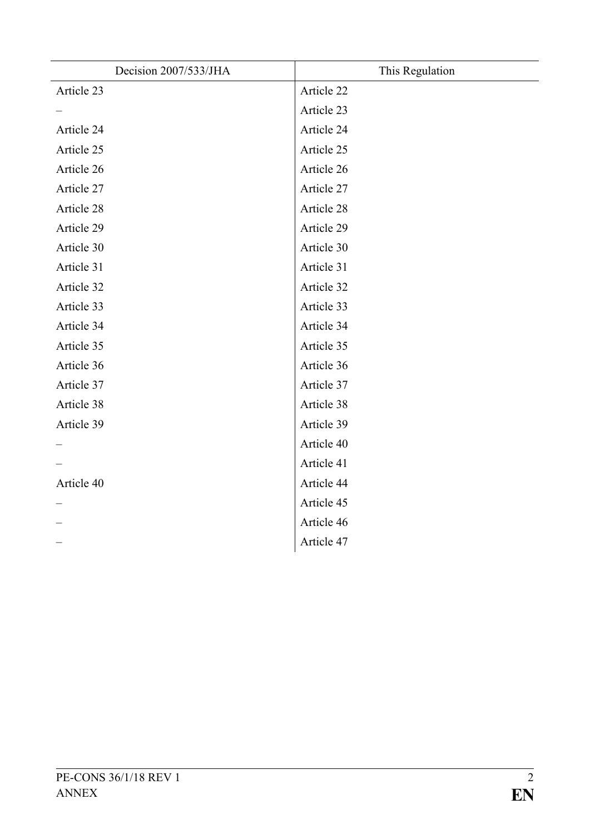| Decision 2007/533/JHA | This Regulation |
|-----------------------|-----------------|
| Article 23            | Article 22      |
|                       | Article 23      |
| Article 24            | Article 24      |
| Article 25            | Article 25      |
| Article 26            | Article 26      |
| Article 27            | Article 27      |
| Article 28            | Article 28      |
| Article 29            | Article 29      |
| Article 30            | Article 30      |
| Article 31            | Article 31      |
| Article 32            | Article 32      |
| Article 33            | Article 33      |
| Article 34            | Article 34      |
| Article 35            | Article 35      |
| Article 36            | Article 36      |
| Article 37            | Article 37      |
| Article 38            | Article 38      |
| Article 39            | Article 39      |
|                       | Article 40      |
|                       | Article 41      |
| Article 40            | Article 44      |
|                       | Article 45      |
|                       | Article 46      |
|                       | Article 47      |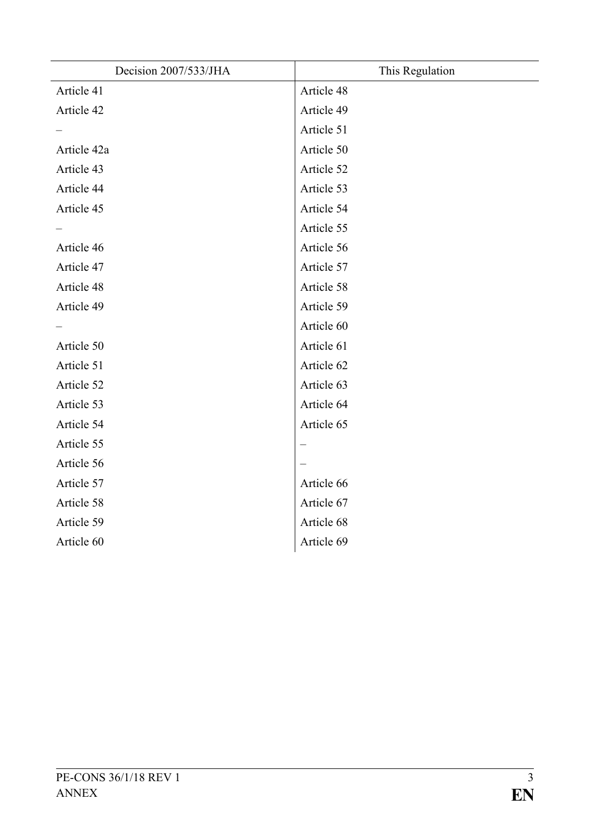| Decision 2007/533/JHA | This Regulation |
|-----------------------|-----------------|
| Article 41            | Article 48      |
| Article 42            | Article 49      |
|                       | Article 51      |
| Article 42a           | Article 50      |
| Article 43            | Article 52      |
| Article 44            | Article 53      |
| Article 45            | Article 54      |
|                       | Article 55      |
| Article 46            | Article 56      |
| Article 47            | Article 57      |
| Article 48            | Article 58      |
| Article 49            | Article 59      |
|                       | Article 60      |
| Article 50            | Article 61      |
| Article 51            | Article 62      |
| Article 52            | Article 63      |
| Article 53            | Article 64      |
| Article 54            | Article 65      |
| Article 55            |                 |
| Article 56            |                 |
| Article 57            | Article 66      |
| Article 58            | Article 67      |
| Article 59            | Article 68      |
| Article 60            | Article 69      |